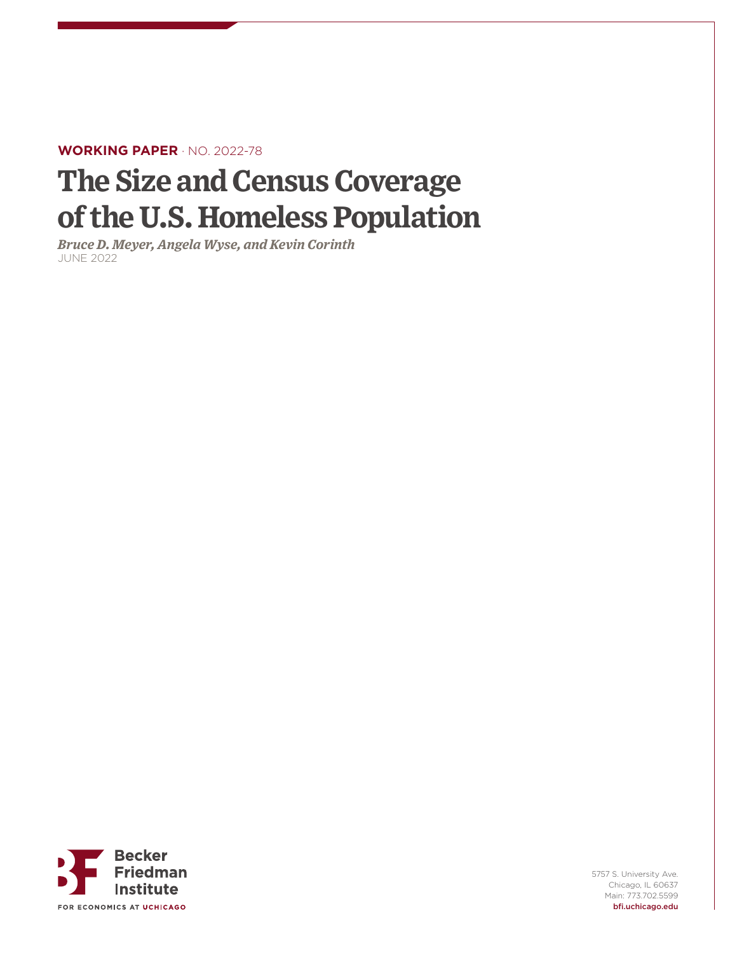#### **WORKING PAPER** · NO. 2022-78

# **The Size and Census Coverage of the U.S. Homeless Population**

*Bruce D. Meyer, Angela Wyse, and Kevin Corinth* JUNE 2022



5757 S. University Ave. Chicago, IL 60637 Main: 773.702.5599 bfi.uchicago.edu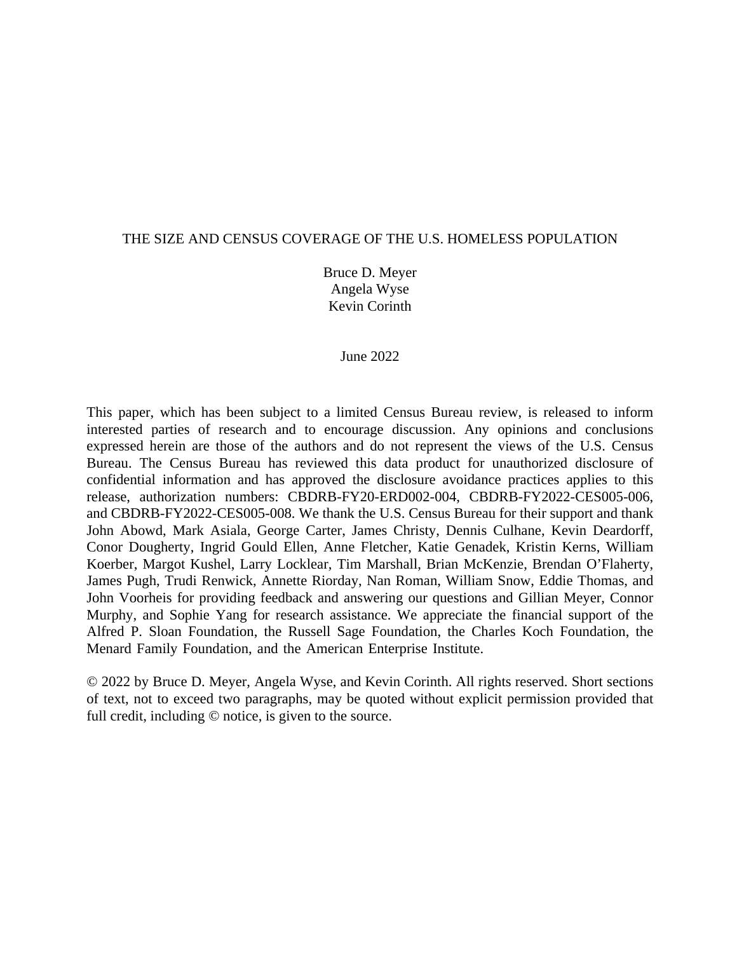#### THE SIZE AND CENSUS COVERAGE OF THE U.S. HOMELESS POPULATION

Bruce D. Meyer Angela Wyse Kevin Corinth

June 2022

This paper, which has been subject to a limited Census Bureau review, is released to inform interested parties of research and to encourage discussion. Any opinions and conclusions expressed herein are those of the authors and do not represent the views of the U.S. Census Bureau. The Census Bureau has reviewed this data product for unauthorized disclosure of confidential information and has approved the disclosure avoidance practices applies to this release, authorization numbers: CBDRB-FY20-ERD002-004, CBDRB-FY2022-CES005-006, and CBDRB-FY2022-CES005-008. We thank the U.S. Census Bureau for their support and thank John Abowd, Mark Asiala, George Carter, James Christy, Dennis Culhane, Kevin Deardorff, Conor Dougherty, Ingrid Gould Ellen, Anne Fletcher, Katie Genadek, Kristin Kerns, William Koerber, Margot Kushel, Larry Locklear, Tim Marshall, Brian McKenzie, Brendan O'Flaherty, James Pugh, Trudi Renwick, Annette Riorday, Nan Roman, William Snow, Eddie Thomas, and John Voorheis for providing feedback and answering our questions and Gillian Meyer, Connor Murphy, and Sophie Yang for research assistance. We appreciate the financial support of the Alfred P. Sloan Foundation, the Russell Sage Foundation, the Charles Koch Foundation, the Menard Family Foundation, and the American Enterprise Institute.

© 2022 by Bruce D. Meyer, Angela Wyse, and Kevin Corinth. All rights reserved. Short sections of text, not to exceed two paragraphs, may be quoted without explicit permission provided that full credit, including © notice, is given to the source.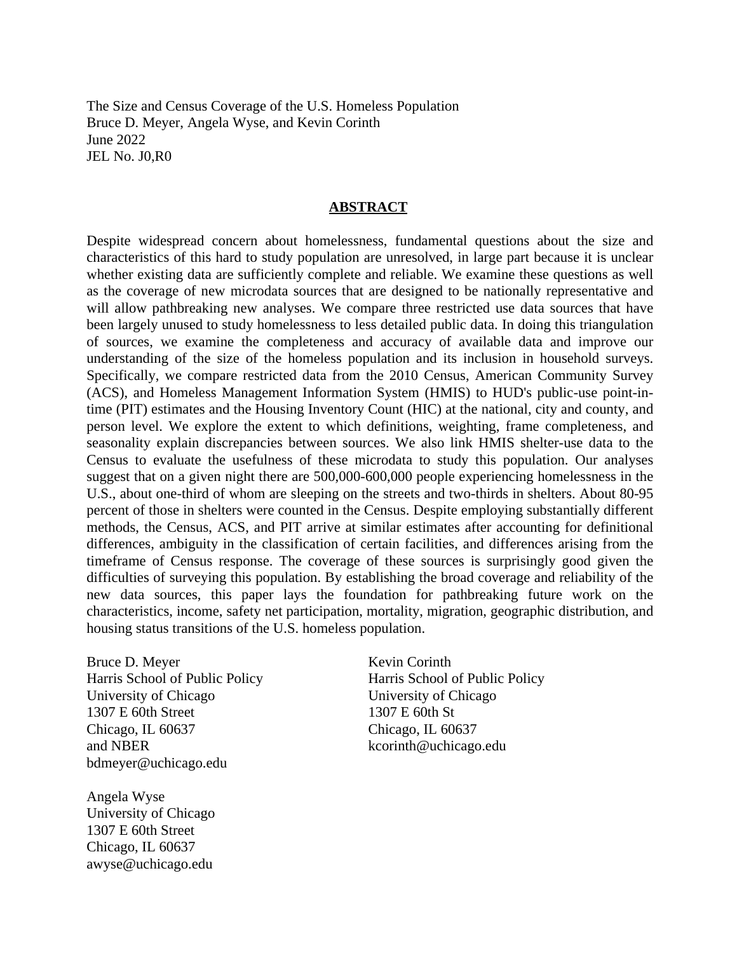The Size and Census Coverage of the U.S. Homeless Population Bruce D. Meyer, Angela Wyse, and Kevin Corinth June 2022 JEL No. J0,R0

#### **ABSTRACT**

Despite widespread concern about homelessness, fundamental questions about the size and characteristics of this hard to study population are unresolved, in large part because it is unclear whether existing data are sufficiently complete and reliable. We examine these questions as well as the coverage of new microdata sources that are designed to be nationally representative and will allow pathbreaking new analyses. We compare three restricted use data sources that have been largely unused to study homelessness to less detailed public data. In doing this triangulation of sources, we examine the completeness and accuracy of available data and improve our understanding of the size of the homeless population and its inclusion in household surveys. Specifically, we compare restricted data from the 2010 Census, American Community Survey (ACS), and Homeless Management Information System (HMIS) to HUD's public-use point-intime (PIT) estimates and the Housing Inventory Count (HIC) at the national, city and county, and person level. We explore the extent to which definitions, weighting, frame completeness, and seasonality explain discrepancies between sources. We also link HMIS shelter-use data to the Census to evaluate the usefulness of these microdata to study this population. Our analyses suggest that on a given night there are 500,000-600,000 people experiencing homelessness in the U.S., about one-third of whom are sleeping on the streets and two-thirds in shelters. About 80-95 percent of those in shelters were counted in the Census. Despite employing substantially different methods, the Census, ACS, and PIT arrive at similar estimates after accounting for definitional differences, ambiguity in the classification of certain facilities, and differences arising from the timeframe of Census response. The coverage of these sources is surprisingly good given the difficulties of surveying this population. By establishing the broad coverage and reliability of the new data sources, this paper lays the foundation for pathbreaking future work on the characteristics, income, safety net participation, mortality, migration, geographic distribution, and housing status transitions of the U.S. homeless population.

Bruce D. Meyer Harris School of Public Policy University of Chicago 1307 E 60th Street Chicago, IL 60637 and NBER bdmeyer@uchicago.edu

Angela Wyse University of Chicago 1307 E 60th Street Chicago, IL 60637 awyse@uchicago.edu

Kevin Corinth Harris School of Public Policy University of Chicago 1307 E 60th St Chicago, IL 60637 kcorinth@uchicago.edu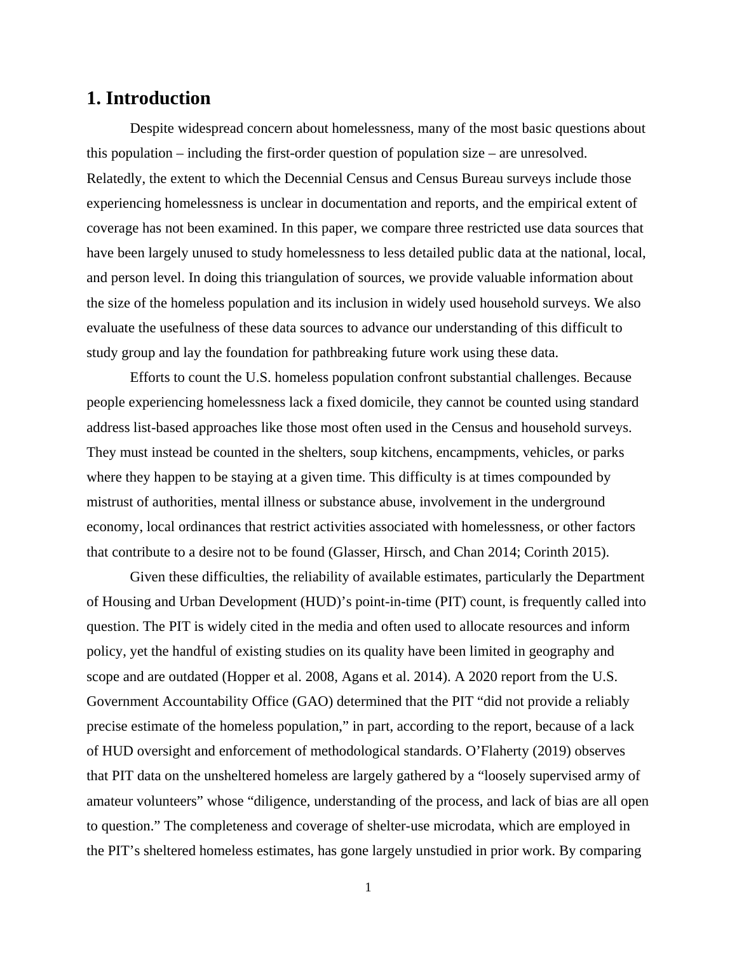## **1. Introduction**

Despite widespread concern about homelessness, many of the most basic questions about this population – including the first-order question of population size – are unresolved. Relatedly, the extent to which the Decennial Census and Census Bureau surveys include those experiencing homelessness is unclear in documentation and reports, and the empirical extent of coverage has not been examined. In this paper, we compare three restricted use data sources that have been largely unused to study homelessness to less detailed public data at the national, local, and person level. In doing this triangulation of sources, we provide valuable information about the size of the homeless population and its inclusion in widely used household surveys. We also evaluate the usefulness of these data sources to advance our understanding of this difficult to study group and lay the foundation for pathbreaking future work using these data.

Efforts to count the U.S. homeless population confront substantial challenges. Because people experiencing homelessness lack a fixed domicile, they cannot be counted using standard address list-based approaches like those most often used in the Census and household surveys. They must instead be counted in the shelters, soup kitchens, encampments, vehicles, or parks where they happen to be staying at a given time. This difficulty is at times compounded by mistrust of authorities, mental illness or substance abuse, involvement in the underground economy, local ordinances that restrict activities associated with homelessness, or other factors that contribute to a desire not to be found (Glasser, Hirsch, and Chan 2014; Corinth 2015).

Given these difficulties, the reliability of available estimates, particularly the Department of Housing and Urban Development (HUD)'s point-in-time (PIT) count, is frequently called into question. The PIT is widely cited in the media and often used to allocate resources and inform policy, yet the handful of existing studies on its quality have been limited in geography and scope and are outdated (Hopper et al. 2008, Agans et al. 2014). A 2020 report from the U.S. Government Accountability Office (GAO) determined that the PIT "did not provide a reliably precise estimate of the homeless population," in part, according to the report, because of a lack of HUD oversight and enforcement of methodological standards. O'Flaherty (2019) observes that PIT data on the unsheltered homeless are largely gathered by a "loosely supervised army of amateur volunteers" whose "diligence, understanding of the process, and lack of bias are all open to question." The completeness and coverage of shelter-use microdata, which are employed in the PIT's sheltered homeless estimates, has gone largely unstudied in prior work. By comparing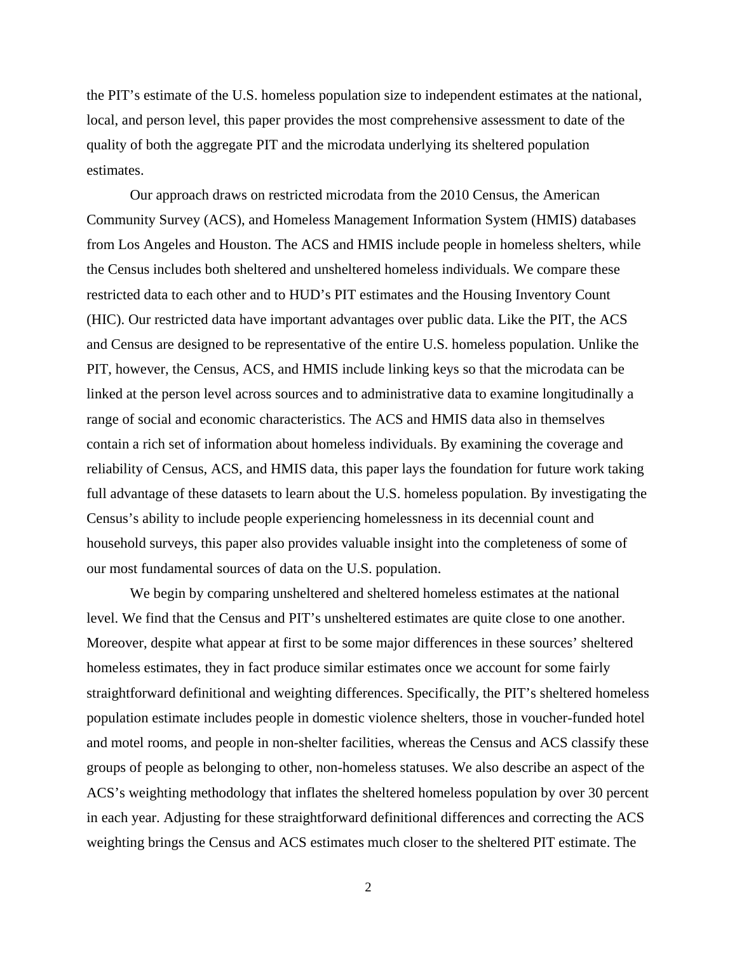the PIT's estimate of the U.S. homeless population size to independent estimates at the national, local, and person level, this paper provides the most comprehensive assessment to date of the quality of both the aggregate PIT and the microdata underlying its sheltered population estimates.

Our approach draws on restricted microdata from the 2010 Census, the American Community Survey (ACS), and Homeless Management Information System (HMIS) databases from Los Angeles and Houston. The ACS and HMIS include people in homeless shelters, while the Census includes both sheltered and unsheltered homeless individuals. We compare these restricted data to each other and to HUD's PIT estimates and the Housing Inventory Count (HIC). Our restricted data have important advantages over public data. Like the PIT, the ACS and Census are designed to be representative of the entire U.S. homeless population. Unlike the PIT, however, the Census, ACS, and HMIS include linking keys so that the microdata can be linked at the person level across sources and to administrative data to examine longitudinally a range of social and economic characteristics. The ACS and HMIS data also in themselves contain a rich set of information about homeless individuals. By examining the coverage and reliability of Census, ACS, and HMIS data, this paper lays the foundation for future work taking full advantage of these datasets to learn about the U.S. homeless population. By investigating the Census's ability to include people experiencing homelessness in its decennial count and household surveys, this paper also provides valuable insight into the completeness of some of our most fundamental sources of data on the U.S. population.

We begin by comparing unsheltered and sheltered homeless estimates at the national level. We find that the Census and PIT's unsheltered estimates are quite close to one another. Moreover, despite what appear at first to be some major differences in these sources' sheltered homeless estimates, they in fact produce similar estimates once we account for some fairly straightforward definitional and weighting differences. Specifically, the PIT's sheltered homeless population estimate includes people in domestic violence shelters, those in voucher-funded hotel and motel rooms, and people in non-shelter facilities, whereas the Census and ACS classify these groups of people as belonging to other, non-homeless statuses. We also describe an aspect of the ACS's weighting methodology that inflates the sheltered homeless population by over 30 percent in each year. Adjusting for these straightforward definitional differences and correcting the ACS weighting brings the Census and ACS estimates much closer to the sheltered PIT estimate. The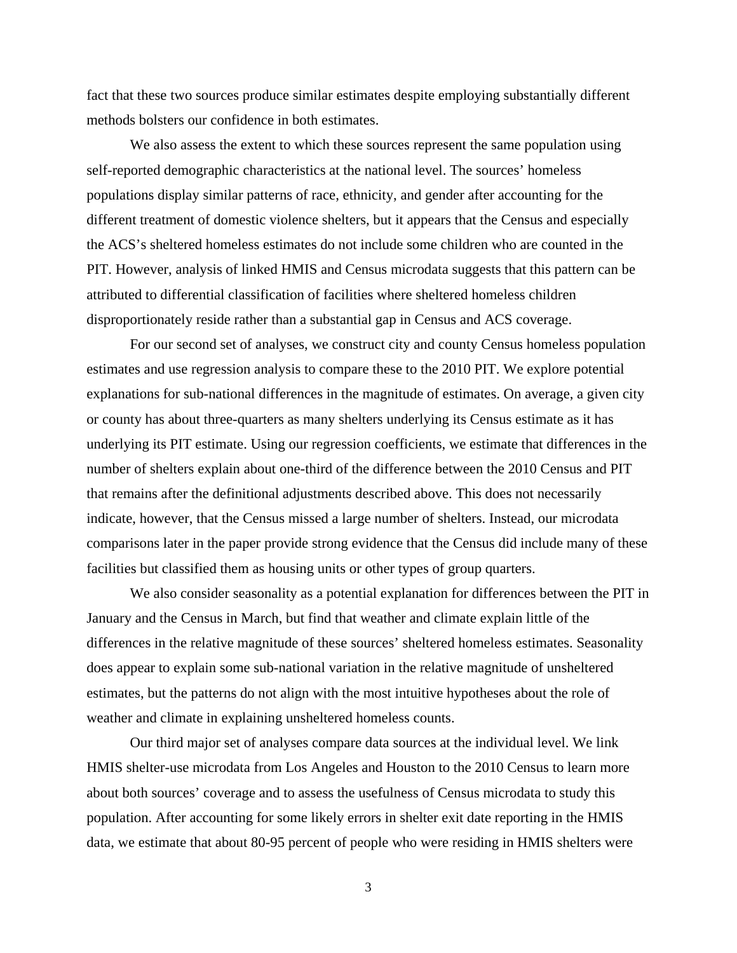fact that these two sources produce similar estimates despite employing substantially different methods bolsters our confidence in both estimates.

We also assess the extent to which these sources represent the same population using self-reported demographic characteristics at the national level. The sources' homeless populations display similar patterns of race, ethnicity, and gender after accounting for the different treatment of domestic violence shelters, but it appears that the Census and especially the ACS's sheltered homeless estimates do not include some children who are counted in the PIT. However, analysis of linked HMIS and Census microdata suggests that this pattern can be attributed to differential classification of facilities where sheltered homeless children disproportionately reside rather than a substantial gap in Census and ACS coverage.

For our second set of analyses, we construct city and county Census homeless population estimates and use regression analysis to compare these to the 2010 PIT. We explore potential explanations for sub-national differences in the magnitude of estimates. On average, a given city or county has about three-quarters as many shelters underlying its Census estimate as it has underlying its PIT estimate. Using our regression coefficients, we estimate that differences in the number of shelters explain about one-third of the difference between the 2010 Census and PIT that remains after the definitional adjustments described above. This does not necessarily indicate, however, that the Census missed a large number of shelters. Instead, our microdata comparisons later in the paper provide strong evidence that the Census did include many of these facilities but classified them as housing units or other types of group quarters.

We also consider seasonality as a potential explanation for differences between the PIT in January and the Census in March, but find that weather and climate explain little of the differences in the relative magnitude of these sources' sheltered homeless estimates. Seasonality does appear to explain some sub-national variation in the relative magnitude of unsheltered estimates, but the patterns do not align with the most intuitive hypotheses about the role of weather and climate in explaining unsheltered homeless counts.

Our third major set of analyses compare data sources at the individual level. We link HMIS shelter-use microdata from Los Angeles and Houston to the 2010 Census to learn more about both sources' coverage and to assess the usefulness of Census microdata to study this population. After accounting for some likely errors in shelter exit date reporting in the HMIS data, we estimate that about 80-95 percent of people who were residing in HMIS shelters were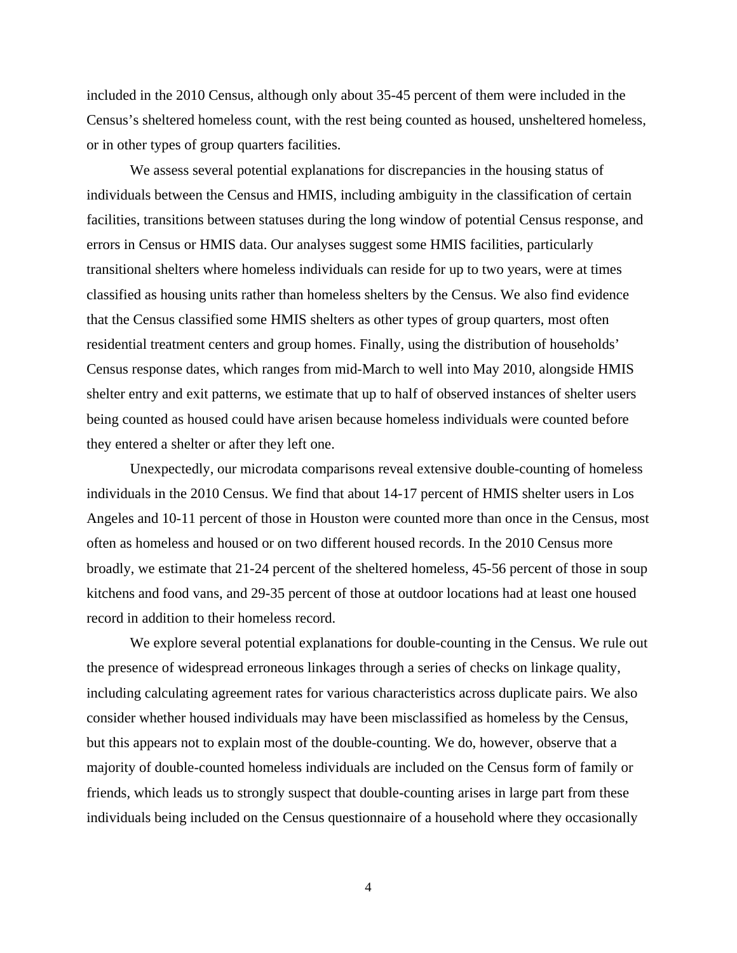included in the 2010 Census, although only about 35-45 percent of them were included in the Census's sheltered homeless count, with the rest being counted as housed, unsheltered homeless, or in other types of group quarters facilities.

We assess several potential explanations for discrepancies in the housing status of individuals between the Census and HMIS, including ambiguity in the classification of certain facilities, transitions between statuses during the long window of potential Census response, and errors in Census or HMIS data. Our analyses suggest some HMIS facilities, particularly transitional shelters where homeless individuals can reside for up to two years, were at times classified as housing units rather than homeless shelters by the Census. We also find evidence that the Census classified some HMIS shelters as other types of group quarters, most often residential treatment centers and group homes. Finally, using the distribution of households' Census response dates, which ranges from mid-March to well into May 2010, alongside HMIS shelter entry and exit patterns, we estimate that up to half of observed instances of shelter users being counted as housed could have arisen because homeless individuals were counted before they entered a shelter or after they left one.

Unexpectedly, our microdata comparisons reveal extensive double-counting of homeless individuals in the 2010 Census. We find that about 14-17 percent of HMIS shelter users in Los Angeles and 10-11 percent of those in Houston were counted more than once in the Census, most often as homeless and housed or on two different housed records. In the 2010 Census more broadly, we estimate that 21-24 percent of the sheltered homeless, 45-56 percent of those in soup kitchens and food vans, and 29-35 percent of those at outdoor locations had at least one housed record in addition to their homeless record.

We explore several potential explanations for double-counting in the Census. We rule out the presence of widespread erroneous linkages through a series of checks on linkage quality, including calculating agreement rates for various characteristics across duplicate pairs. We also consider whether housed individuals may have been misclassified as homeless by the Census, but this appears not to explain most of the double-counting. We do, however, observe that a majority of double-counted homeless individuals are included on the Census form of family or friends, which leads us to strongly suspect that double-counting arises in large part from these individuals being included on the Census questionnaire of a household where they occasionally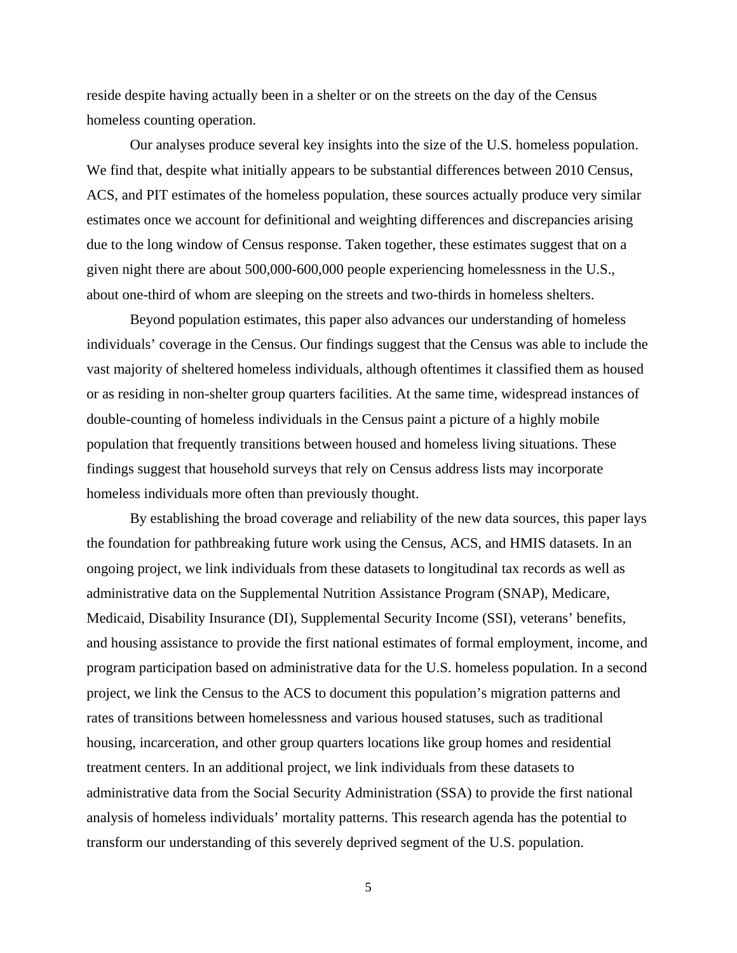reside despite having actually been in a shelter or on the streets on the day of the Census homeless counting operation.

Our analyses produce several key insights into the size of the U.S. homeless population. We find that, despite what initially appears to be substantial differences between 2010 Census, ACS, and PIT estimates of the homeless population, these sources actually produce very similar estimates once we account for definitional and weighting differences and discrepancies arising due to the long window of Census response. Taken together, these estimates suggest that on a given night there are about 500,000-600,000 people experiencing homelessness in the U.S., about one-third of whom are sleeping on the streets and two-thirds in homeless shelters.

Beyond population estimates, this paper also advances our understanding of homeless individuals' coverage in the Census. Our findings suggest that the Census was able to include the vast majority of sheltered homeless individuals, although oftentimes it classified them as housed or as residing in non-shelter group quarters facilities. At the same time, widespread instances of double-counting of homeless individuals in the Census paint a picture of a highly mobile population that frequently transitions between housed and homeless living situations. These findings suggest that household surveys that rely on Census address lists may incorporate homeless individuals more often than previously thought.

By establishing the broad coverage and reliability of the new data sources, this paper lays the foundation for pathbreaking future work using the Census, ACS, and HMIS datasets. In an ongoing project, we link individuals from these datasets to longitudinal tax records as well as administrative data on the Supplemental Nutrition Assistance Program (SNAP), Medicare, Medicaid, Disability Insurance (DI), Supplemental Security Income (SSI), veterans' benefits, and housing assistance to provide the first national estimates of formal employment, income, and program participation based on administrative data for the U.S. homeless population. In a second project, we link the Census to the ACS to document this population's migration patterns and rates of transitions between homelessness and various housed statuses, such as traditional housing, incarceration, and other group quarters locations like group homes and residential treatment centers. In an additional project, we link individuals from these datasets to administrative data from the Social Security Administration (SSA) to provide the first national analysis of homeless individuals' mortality patterns. This research agenda has the potential to transform our understanding of this severely deprived segment of the U.S. population.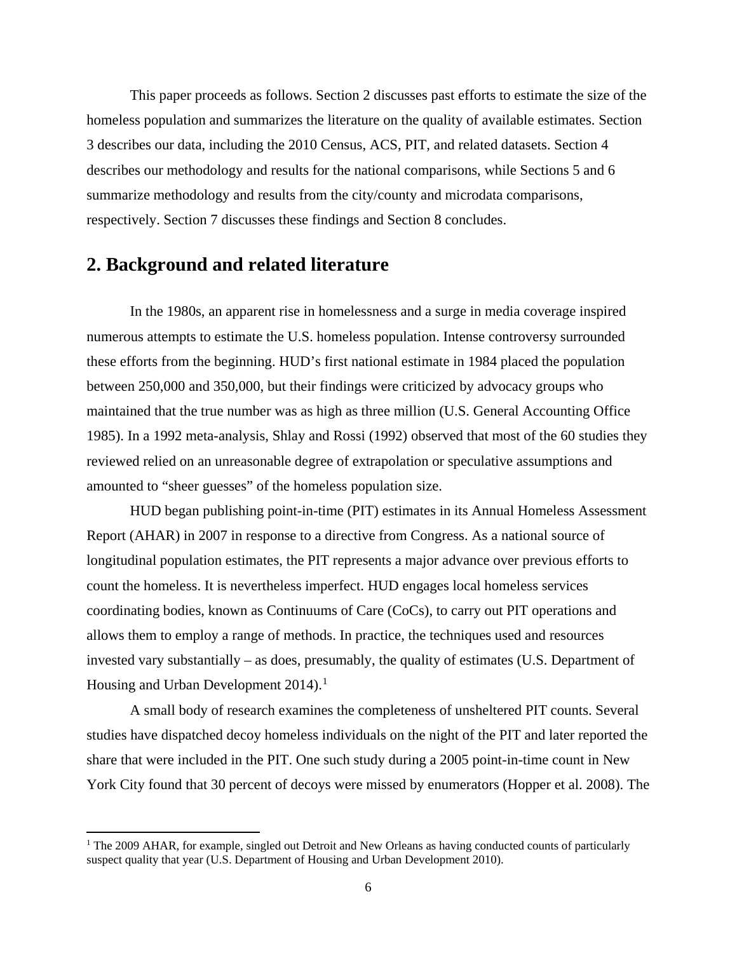This paper proceeds as follows. Section 2 discusses past efforts to estimate the size of the homeless population and summarizes the literature on the quality of available estimates. Section 3 describes our data, including the 2010 Census, ACS, PIT, and related datasets. Section 4 describes our methodology and results for the national comparisons, while Sections 5 and 6 summarize methodology and results from the city/county and microdata comparisons, respectively. Section 7 discusses these findings and Section 8 concludes.

## **2. Background and related literature**

 $\overline{\phantom{a}}$ 

In the 1980s, an apparent rise in homelessness and a surge in media coverage inspired numerous attempts to estimate the U.S. homeless population. Intense controversy surrounded these efforts from the beginning. HUD's first national estimate in 1984 placed the population between 250,000 and 350,000, but their findings were criticized by advocacy groups who maintained that the true number was as high as three million (U.S. General Accounting Office 1985). In a 1992 meta-analysis, Shlay and Rossi (1992) observed that most of the 60 studies they reviewed relied on an unreasonable degree of extrapolation or speculative assumptions and amounted to "sheer guesses" of the homeless population size.

HUD began publishing point-in-time (PIT) estimates in its Annual Homeless Assessment Report (AHAR) in 2007 in response to a directive from Congress. As a national source of longitudinal population estimates, the PIT represents a major advance over previous efforts to count the homeless. It is nevertheless imperfect. HUD engages local homeless services coordinating bodies, known as Continuums of Care (CoCs), to carry out PIT operations and allows them to employ a range of methods. In practice, the techniques used and resources invested vary substantially – as does, presumably, the quality of estimates (U.S. Department of Housing and Urban Development  $2014$  $2014$  $2014$ ).<sup>1</sup>

A small body of research examines the completeness of unsheltered PIT counts. Several studies have dispatched decoy homeless individuals on the night of the PIT and later reported the share that were included in the PIT. One such study during a 2005 point-in-time count in New York City found that 30 percent of decoys were missed by enumerators (Hopper et al. 2008). The

<span id="page-8-0"></span><sup>&</sup>lt;sup>1</sup> The 2009 AHAR, for example, singled out Detroit and New Orleans as having conducted counts of particularly suspect quality that year (U.S. Department of Housing and Urban Development 2010).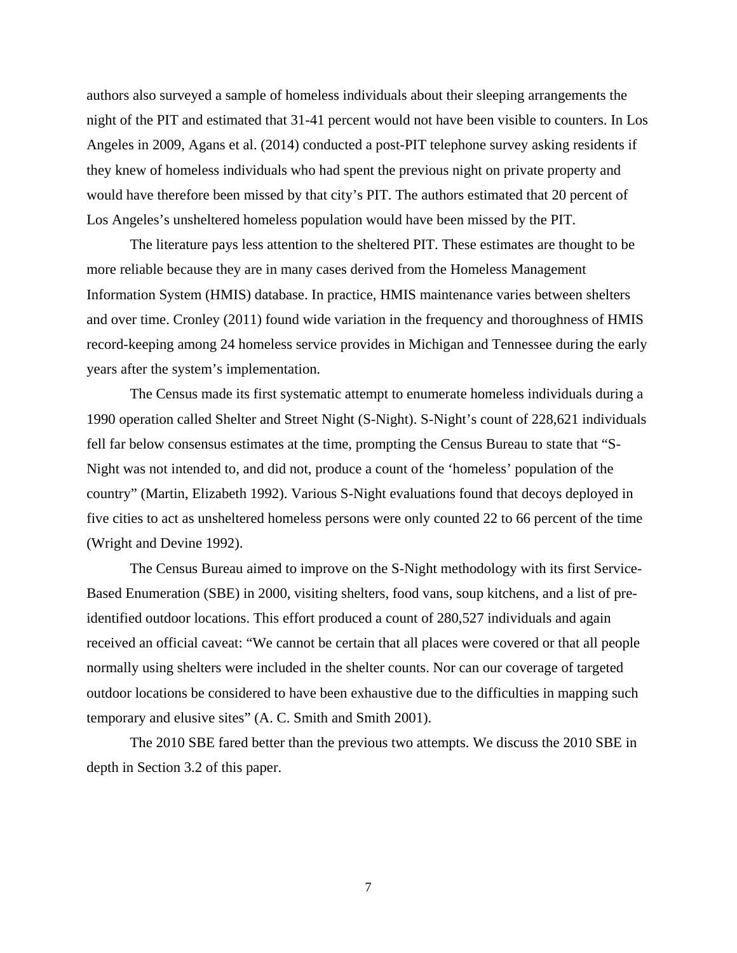authors also surveyed a sample of homeless individuals about their sleeping arrangements the night of the PIT and estimated that 31-41 percent would not have been visible to counters. In Los Angeles in 2009, Agans et al. (2014) conducted a post-PIT telephone survey asking residents if they knew of homeless individuals who had spent the previous night on private property and would have therefore been missed by that city's PIT. The authors estimated that 20 percent of Los Angeles's unsheltered homeless population would have been missed by the PIT.

The literature pays less attention to the sheltered PIT. These estimates are thought to be more reliable because they are in many cases derived from the Homeless Management Information System (HMIS) database. In practice, HMIS maintenance varies between shelters and over time. Cronley (2011) found wide variation in the frequency and thoroughness of HMIS record-keeping among 24 homeless service provides in Michigan and Tennessee during the early years after the system's implementation.

The Census made its first systematic attempt to enumerate homeless individuals during a 1990 operation called Shelter and Street Night (S-Night). S-Night's count of 228,621 individuals fell far below consensus estimates at the time, prompting the Census Bureau to state that "S-Night was not intended to, and did not, produce a count of the 'homeless' population of the country" (Martin, Elizabeth 1992). Various S-Night evaluations found that decoys deployed in five cities to act as unsheltered homeless persons were only counted 22 to 66 percent of the time (Wright and Devine 1992).

The Census Bureau aimed to improve on the S-Night methodology with its first Service-Based Enumeration (SBE) in 2000, visiting shelters, food vans, soup kitchens, and a list of preidentified outdoor locations. This effort produced a count of 280,527 individuals and again received an official caveat: "We cannot be certain that all places were covered or that all people normally using shelters were included in the shelter counts. Nor can our coverage of targeted outdoor locations be considered to have been exhaustive due to the difficulties in mapping such temporary and elusive sites" (A. C. Smith and Smith 2001).

 The 2010 SBE fared better than the previous two attempts. We discuss the 2010 SBE in depth in Section 3.2 of this paper.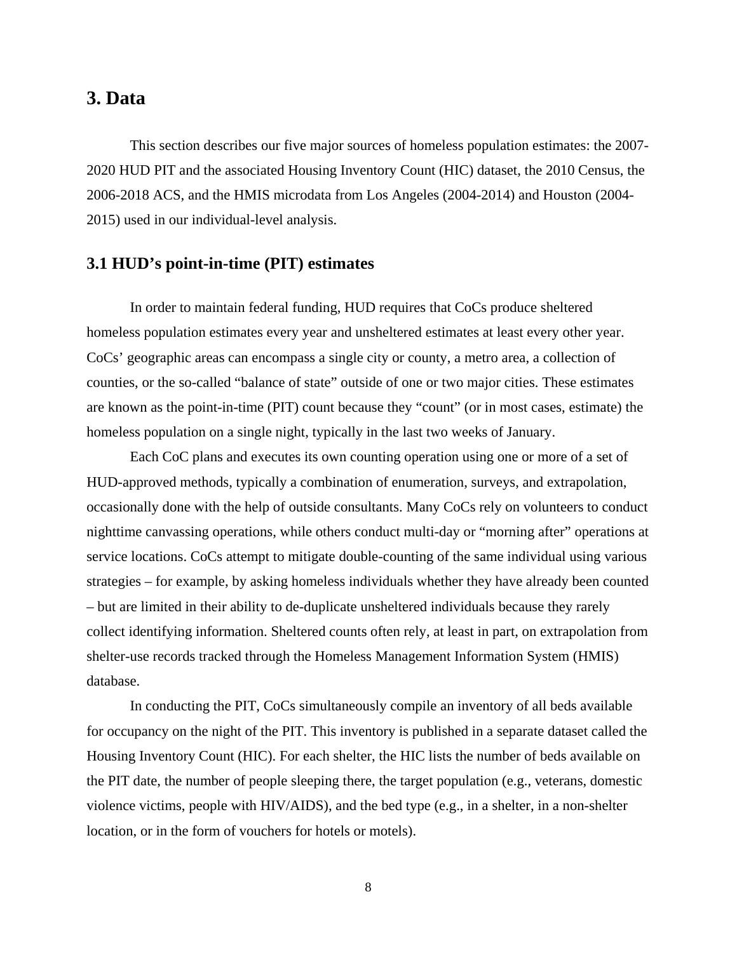## **3. Data**

This section describes our five major sources of homeless population estimates: the 2007- 2020 HUD PIT and the associated Housing Inventory Count (HIC) dataset, the 2010 Census, the 2006-2018 ACS, and the HMIS microdata from Los Angeles (2004-2014) and Houston (2004- 2015) used in our individual-level analysis.

#### **3.1 HUD's point-in-time (PIT) estimates**

In order to maintain federal funding, HUD requires that CoCs produce sheltered homeless population estimates every year and unsheltered estimates at least every other year. CoCs' geographic areas can encompass a single city or county, a metro area, a collection of counties, or the so-called "balance of state" outside of one or two major cities. These estimates are known as the point-in-time (PIT) count because they "count" (or in most cases, estimate) the homeless population on a single night, typically in the last two weeks of January.

Each CoC plans and executes its own counting operation using one or more of a set of HUD-approved methods, typically a combination of enumeration, surveys, and extrapolation, occasionally done with the help of outside consultants. Many CoCs rely on volunteers to conduct nighttime canvassing operations, while others conduct multi-day or "morning after" operations at service locations. CoCs attempt to mitigate double-counting of the same individual using various strategies – for example, by asking homeless individuals whether they have already been counted – but are limited in their ability to de-duplicate unsheltered individuals because they rarely collect identifying information. Sheltered counts often rely, at least in part, on extrapolation from shelter-use records tracked through the Homeless Management Information System (HMIS) database.

In conducting the PIT, CoCs simultaneously compile an inventory of all beds available for occupancy on the night of the PIT. This inventory is published in a separate dataset called the Housing Inventory Count (HIC). For each shelter, the HIC lists the number of beds available on the PIT date, the number of people sleeping there, the target population (e.g., veterans, domestic violence victims, people with HIV/AIDS), and the bed type (e.g., in a shelter, in a non-shelter location, or in the form of vouchers for hotels or motels).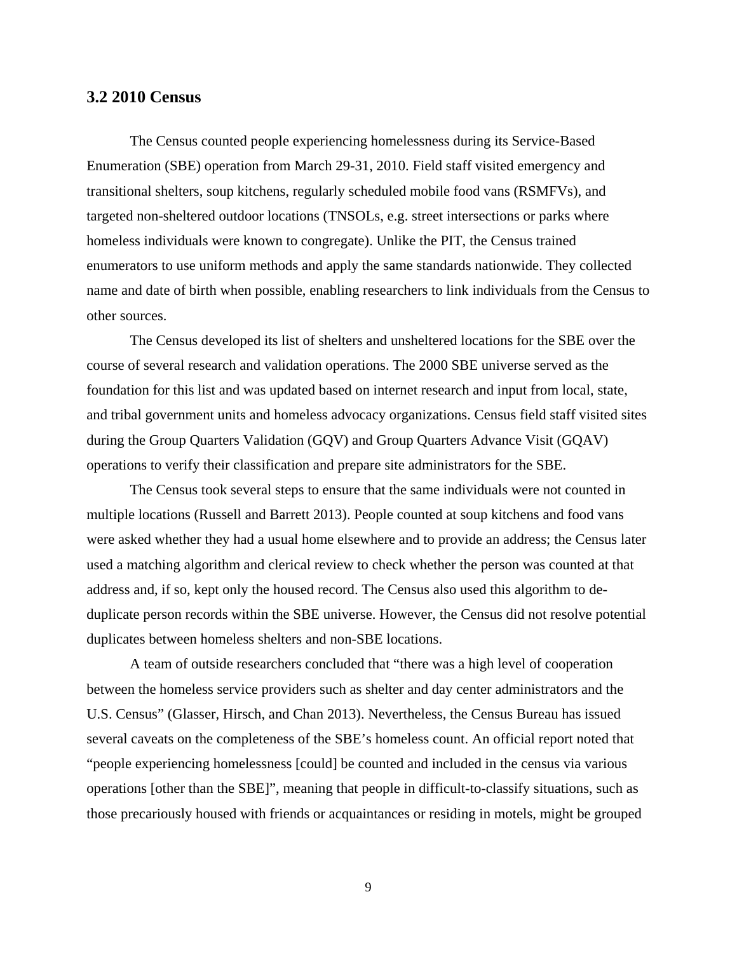#### **3.2 2010 Census**

The Census counted people experiencing homelessness during its Service-Based Enumeration (SBE) operation from March 29-31, 2010. Field staff visited emergency and transitional shelters, soup kitchens, regularly scheduled mobile food vans (RSMFVs), and targeted non-sheltered outdoor locations (TNSOLs, e.g. street intersections or parks where homeless individuals were known to congregate). Unlike the PIT, the Census trained enumerators to use uniform methods and apply the same standards nationwide. They collected name and date of birth when possible, enabling researchers to link individuals from the Census to other sources.

The Census developed its list of shelters and unsheltered locations for the SBE over the course of several research and validation operations. The 2000 SBE universe served as the foundation for this list and was updated based on internet research and input from local, state, and tribal government units and homeless advocacy organizations. Census field staff visited sites during the Group Quarters Validation (GQV) and Group Quarters Advance Visit (GQAV) operations to verify their classification and prepare site administrators for the SBE.

The Census took several steps to ensure that the same individuals were not counted in multiple locations (Russell and Barrett 2013). People counted at soup kitchens and food vans were asked whether they had a usual home elsewhere and to provide an address; the Census later used a matching algorithm and clerical review to check whether the person was counted at that address and, if so, kept only the housed record. The Census also used this algorithm to deduplicate person records within the SBE universe. However, the Census did not resolve potential duplicates between homeless shelters and non-SBE locations.

A team of outside researchers concluded that "there was a high level of cooperation between the homeless service providers such as shelter and day center administrators and the U.S. Census" (Glasser, Hirsch, and Chan 2013). Nevertheless, the Census Bureau has issued several caveats on the completeness of the SBE's homeless count. An official report noted that "people experiencing homelessness [could] be counted and included in the census via various operations [other than the SBE]", meaning that people in difficult-to-classify situations, such as those precariously housed with friends or acquaintances or residing in motels, might be grouped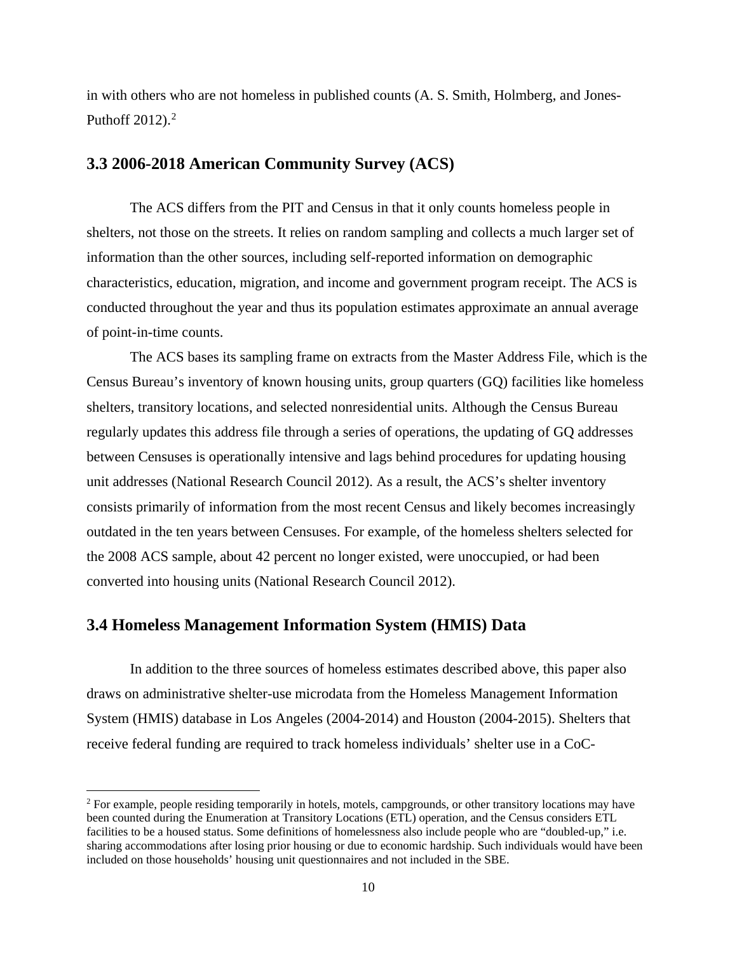in with others who are not homeless in published counts (A. S. Smith, Holmberg, and Jones-Puthoff  $2012$  $2012$ ).<sup>2</sup>

#### **3.3 2006-2018 American Community Survey (ACS)**

The ACS differs from the PIT and Census in that it only counts homeless people in shelters, not those on the streets. It relies on random sampling and collects a much larger set of information than the other sources, including self-reported information on demographic characteristics, education, migration, and income and government program receipt. The ACS is conducted throughout the year and thus its population estimates approximate an annual average of point-in-time counts.

The ACS bases its sampling frame on extracts from the Master Address File, which is the Census Bureau's inventory of known housing units, group quarters (GQ) facilities like homeless shelters, transitory locations, and selected nonresidential units. Although the Census Bureau regularly updates this address file through a series of operations, the updating of GQ addresses between Censuses is operationally intensive and lags behind procedures for updating housing unit addresses (National Research Council 2012). As a result, the ACS's shelter inventory consists primarily of information from the most recent Census and likely becomes increasingly outdated in the ten years between Censuses. For example, of the homeless shelters selected for the 2008 ACS sample, about 42 percent no longer existed, were unoccupied, or had been converted into housing units (National Research Council 2012).

## **3.4 Homeless Management Information System (HMIS) Data**

 $\overline{\phantom{a}}$ 

In addition to the three sources of homeless estimates described above, this paper also draws on administrative shelter-use microdata from the Homeless Management Information System (HMIS) database in Los Angeles (2004-2014) and Houston (2004-2015). Shelters that receive federal funding are required to track homeless individuals' shelter use in a CoC-

<span id="page-12-0"></span><sup>&</sup>lt;sup>2</sup> For example, people residing temporarily in hotels, motels, campgrounds, or other transitory locations may have been counted during the Enumeration at Transitory Locations (ETL) operation, and the Census considers ETL facilities to be a housed status. Some definitions of homelessness also include people who are "doubled-up," i.e. sharing accommodations after losing prior housing or due to economic hardship. Such individuals would have been included on those households' housing unit questionnaires and not included in the SBE.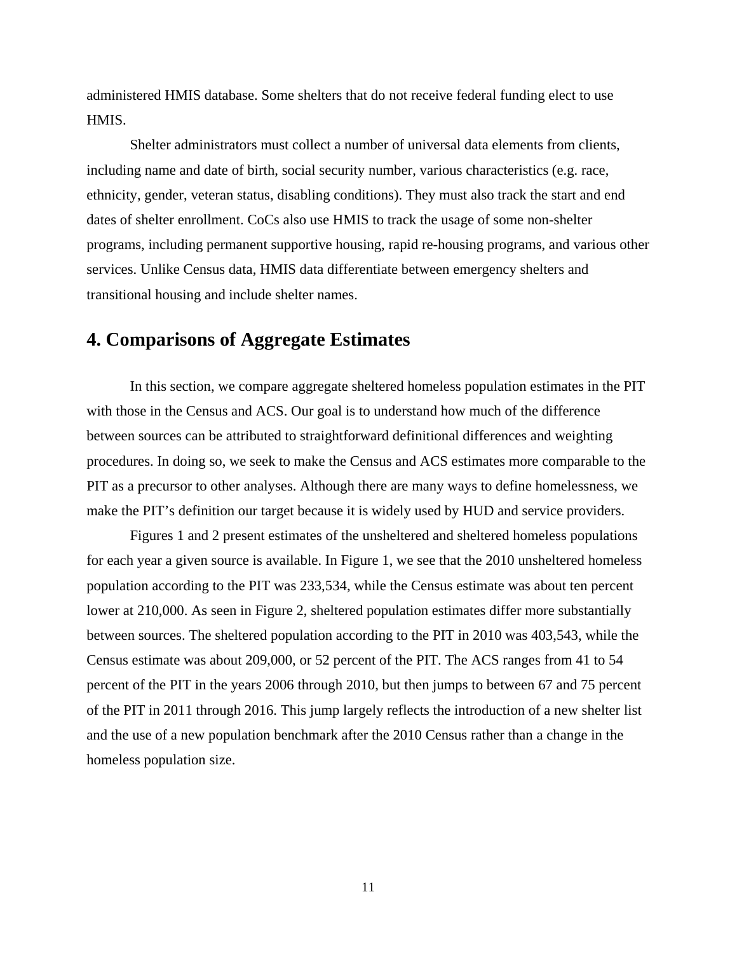administered HMIS database. Some shelters that do not receive federal funding elect to use HMIS.

Shelter administrators must collect a number of universal data elements from clients, including name and date of birth, social security number, various characteristics (e.g. race, ethnicity, gender, veteran status, disabling conditions). They must also track the start and end dates of shelter enrollment. CoCs also use HMIS to track the usage of some non-shelter programs, including permanent supportive housing, rapid re-housing programs, and various other services. Unlike Census data, HMIS data differentiate between emergency shelters and transitional housing and include shelter names.

## **4. Comparisons of Aggregate Estimates**

In this section, we compare aggregate sheltered homeless population estimates in the PIT with those in the Census and ACS. Our goal is to understand how much of the difference between sources can be attributed to straightforward definitional differences and weighting procedures. In doing so, we seek to make the Census and ACS estimates more comparable to the PIT as a precursor to other analyses. Although there are many ways to define homelessness, we make the PIT's definition our target because it is widely used by HUD and service providers.

Figures 1 and 2 present estimates of the unsheltered and sheltered homeless populations for each year a given source is available. In Figure 1, we see that the 2010 unsheltered homeless population according to the PIT was 233,534, while the Census estimate was about ten percent lower at 210,000. As seen in Figure 2, sheltered population estimates differ more substantially between sources. The sheltered population according to the PIT in 2010 was 403,543, while the Census estimate was about 209,000, or 52 percent of the PIT. The ACS ranges from 41 to 54 percent of the PIT in the years 2006 through 2010, but then jumps to between 67 and 75 percent of the PIT in 2011 through 2016. This jump largely reflects the introduction of a new shelter list and the use of a new population benchmark after the 2010 Census rather than a change in the homeless population size.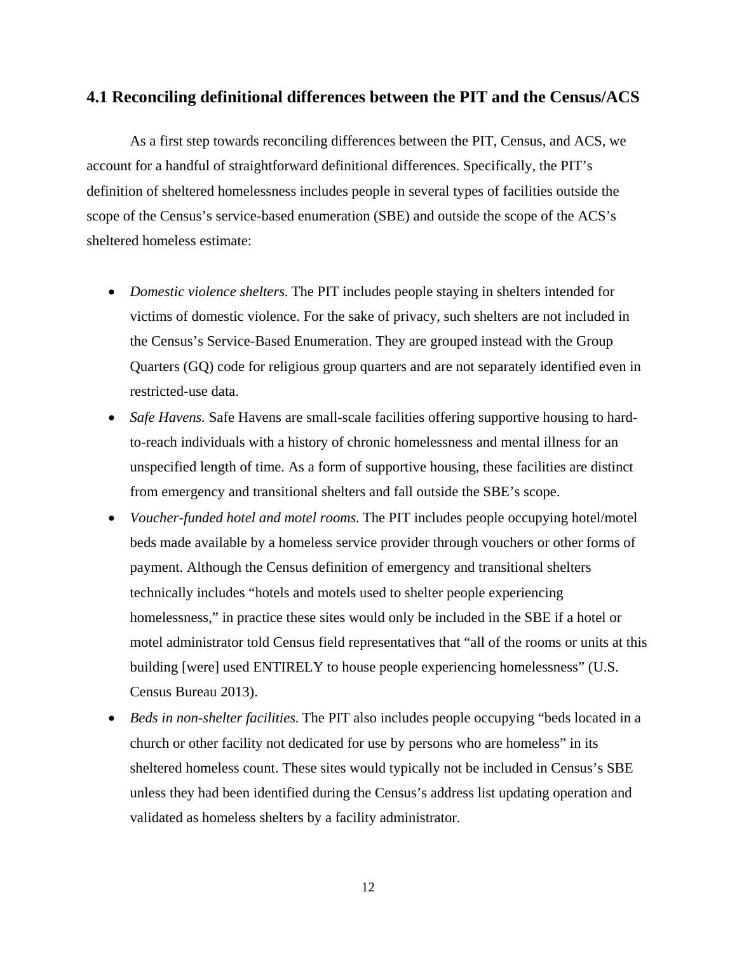## **4.1 Reconciling definitional differences between the PIT and the Census/ACS**

As a first step towards reconciling differences between the PIT, Census, and ACS, we account for a handful of straightforward definitional differences. Specifically, the PIT's definition of sheltered homelessness includes people in several types of facilities outside the scope of the Census's service-based enumeration (SBE) and outside the scope of the ACS's sheltered homeless estimate:

- *Domestic violence shelters.* The PIT includes people staying in shelters intended for victims of domestic violence. For the sake of privacy, such shelters are not included in the Census's Service-Based Enumeration. They are grouped instead with the Group Quarters (GQ) code for religious group quarters and are not separately identified even in restricted-use data.
- *Safe Havens.* Safe Havens are small-scale facilities offering supportive housing to hardto-reach individuals with a history of chronic homelessness and mental illness for an unspecified length of time. As a form of supportive housing, these facilities are distinct from emergency and transitional shelters and fall outside the SBE's scope.
- *Voucher-funded hotel and motel rooms.* The PIT includes people occupying hotel/motel beds made available by a homeless service provider through vouchers or other forms of payment. Although the Census definition of emergency and transitional shelters technically includes "hotels and motels used to shelter people experiencing homelessness," in practice these sites would only be included in the SBE if a hotel or motel administrator told Census field representatives that "all of the rooms or units at this building [were] used ENTIRELY to house people experiencing homelessness" (U.S. Census Bureau 2013).
- *Beds in non-shelter facilities*. The PIT also includes people occupying "beds located in a church or other facility not dedicated for use by persons who are homeless" in its sheltered homeless count. These sites would typically not be included in Census's SBE unless they had been identified during the Census's address list updating operation and validated as homeless shelters by a facility administrator.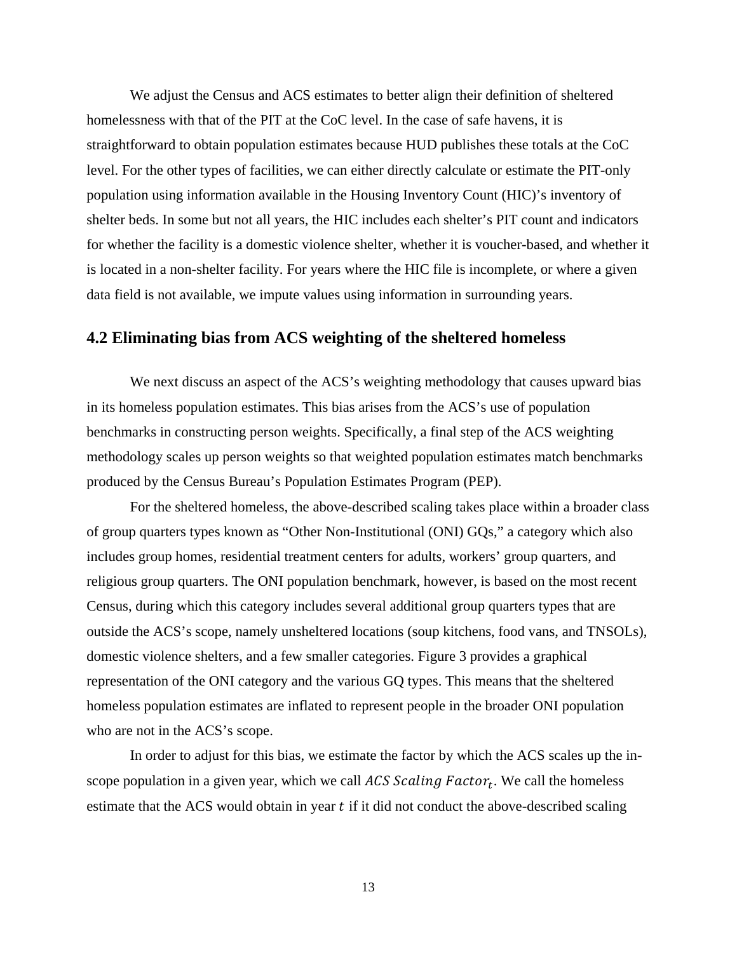We adjust the Census and ACS estimates to better align their definition of sheltered homelessness with that of the PIT at the CoC level. In the case of safe havens, it is straightforward to obtain population estimates because HUD publishes these totals at the CoC level. For the other types of facilities, we can either directly calculate or estimate the PIT-only population using information available in the Housing Inventory Count (HIC)'s inventory of shelter beds. In some but not all years, the HIC includes each shelter's PIT count and indicators for whether the facility is a domestic violence shelter, whether it is voucher-based, and whether it is located in a non-shelter facility. For years where the HIC file is incomplete, or where a given data field is not available, we impute values using information in surrounding years.

## **4.2 Eliminating bias from ACS weighting of the sheltered homeless**

We next discuss an aspect of the ACS's weighting methodology that causes upward bias in its homeless population estimates. This bias arises from the ACS's use of population benchmarks in constructing person weights. Specifically, a final step of the ACS weighting methodology scales up person weights so that weighted population estimates match benchmarks produced by the Census Bureau's Population Estimates Program (PEP).

For the sheltered homeless, the above-described scaling takes place within a broader class of group quarters types known as "Other Non-Institutional (ONI) GQs," a category which also includes group homes, residential treatment centers for adults, workers' group quarters, and religious group quarters. The ONI population benchmark, however, is based on the most recent Census, during which this category includes several additional group quarters types that are outside the ACS's scope, namely unsheltered locations (soup kitchens, food vans, and TNSOLs), domestic violence shelters, and a few smaller categories. Figure 3 provides a graphical representation of the ONI category and the various GQ types. This means that the sheltered homeless population estimates are inflated to represent people in the broader ONI population who are not in the ACS's scope.

In order to adjust for this bias, we estimate the factor by which the ACS scales up the inscope population in a given year, which we call  $ACS$  Scaling  $Factor_t$ . We call the homeless estimate that the ACS would obtain in year  $t$  if it did not conduct the above-described scaling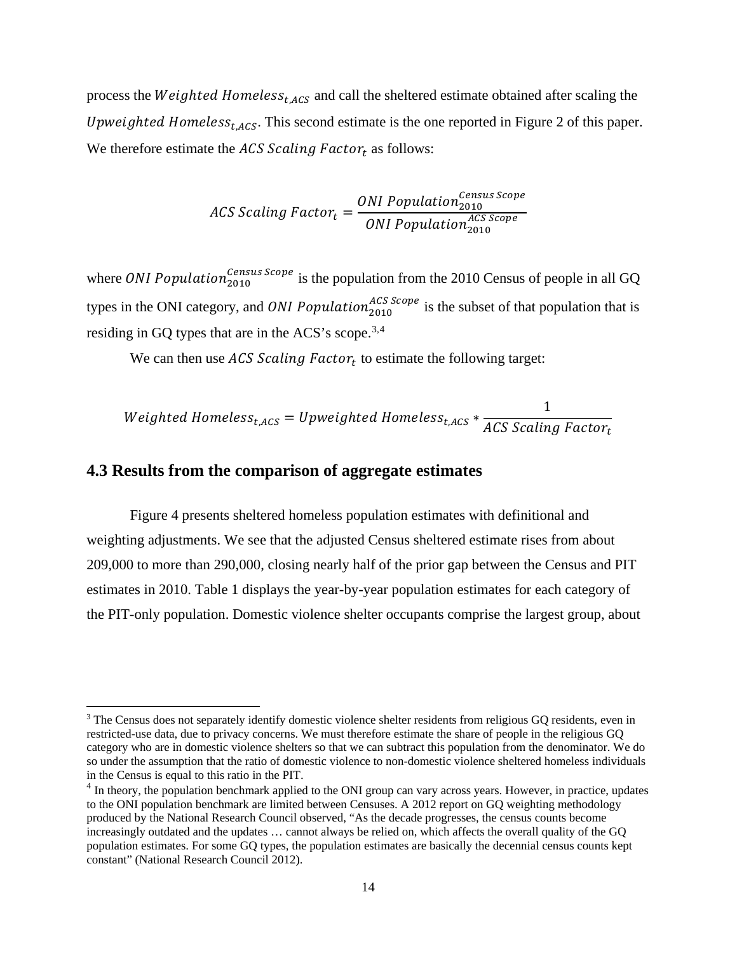process the Weighted Homeless<sub>t, ACS</sub> and call the sheltered estimate obtained after scaling the *Upweighted Homeless<sub>t.ACS</sub>*. This second estimate is the one reported in Figure 2 of this paper. We therefore estimate the  $ACS$   $Scaling$   $Factor_t$  as follows:

$$
ACS Scaling Factor_t = \frac{ONI Population^{Census\,Score}_{2010}}{ONI\,Population_{2010}^{ACS\,Score}}
$$

where *ONI* Population<sup>*Census Scope* is the population from the 2010 Census of people in all GQ</sup> types in the ONI category, and *ONI Population*<sup>ACS Scope</sup> is the subset of that population that is residing in GQ types that are in the ACS's scope.<sup>[3](#page-16-0),[4](#page-16-1)</sup>

We can then use  $ACS$  Scaling Factor<sub>t</sub> to estimate the following target:

$$
Weighted Homeless_{t,ACS} = Upweighted Homeless_{t,ACS} * \frac{1}{ACS Scaling Factor_t}
$$

## **4.3 Results from the comparison of aggregate estimates**

 $\overline{\phantom{a}}$ 

Figure 4 presents sheltered homeless population estimates with definitional and weighting adjustments. We see that the adjusted Census sheltered estimate rises from about 209,000 to more than 290,000, closing nearly half of the prior gap between the Census and PIT estimates in 2010. Table 1 displays the year-by-year population estimates for each category of the PIT-only population. Domestic violence shelter occupants comprise the largest group, about

<span id="page-16-0"></span><sup>&</sup>lt;sup>3</sup> The Census does not separately identify domestic violence shelter residents from religious GQ residents, even in restricted-use data, due to privacy concerns. We must therefore estimate the share of people in the religious GQ category who are in domestic violence shelters so that we can subtract this population from the denominator. We do so under the assumption that the ratio of domestic violence to non-domestic violence sheltered homeless individuals in the Census is equal to this ratio in the PIT.

<span id="page-16-1"></span><sup>&</sup>lt;sup>4</sup> In theory, the population benchmark applied to the ONI group can vary across years. However, in practice, updates to the ONI population benchmark are limited between Censuses. A 2012 report on GQ weighting methodology produced by the National Research Council observed, "As the decade progresses, the census counts become increasingly outdated and the updates … cannot always be relied on, which affects the overall quality of the GQ population estimates. For some GQ types, the population estimates are basically the decennial census counts kept constant" (National Research Council 2012).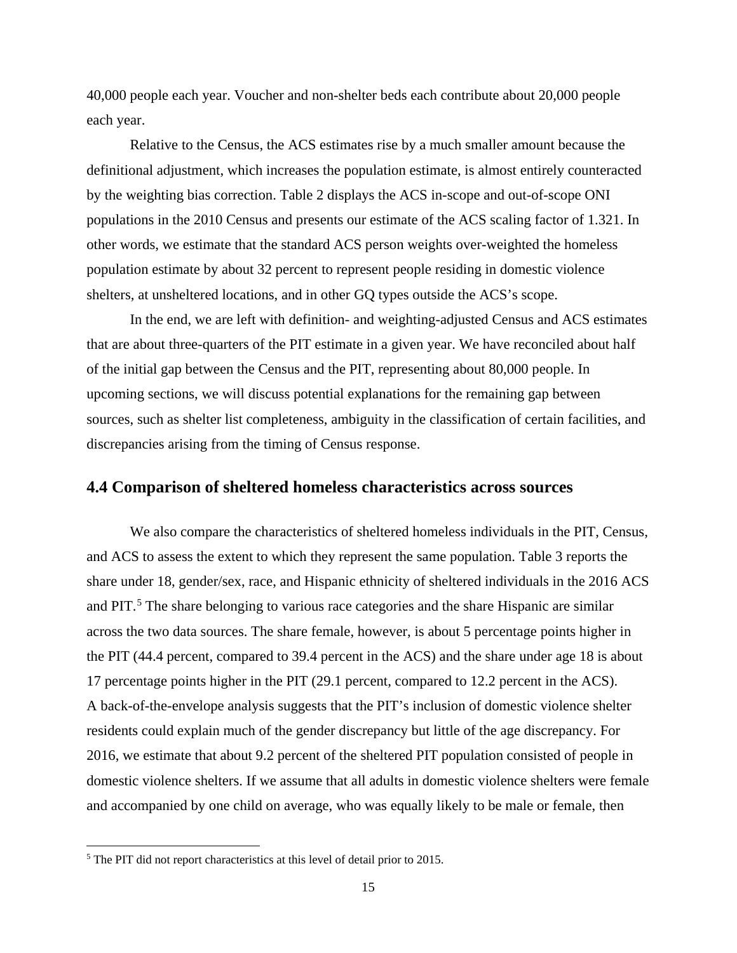40,000 people each year. Voucher and non-shelter beds each contribute about 20,000 people each year.

Relative to the Census, the ACS estimates rise by a much smaller amount because the definitional adjustment, which increases the population estimate, is almost entirely counteracted by the weighting bias correction. Table 2 displays the ACS in-scope and out-of-scope ONI populations in the 2010 Census and presents our estimate of the ACS scaling factor of 1.321. In other words, we estimate that the standard ACS person weights over-weighted the homeless population estimate by about 32 percent to represent people residing in domestic violence shelters, at unsheltered locations, and in other GQ types outside the ACS's scope.

In the end, we are left with definition- and weighting-adjusted Census and ACS estimates that are about three-quarters of the PIT estimate in a given year. We have reconciled about half of the initial gap between the Census and the PIT, representing about 80,000 people. In upcoming sections, we will discuss potential explanations for the remaining gap between sources, such as shelter list completeness, ambiguity in the classification of certain facilities, and discrepancies arising from the timing of Census response.

#### **4.4 Comparison of sheltered homeless characteristics across sources**

We also compare the characteristics of sheltered homeless individuals in the PIT, Census, and ACS to assess the extent to which they represent the same population. Table 3 reports the share under 18, gender/sex, race, and Hispanic ethnicity of sheltered individuals in the 2016 ACS and PIT.<sup>[5](#page-17-0)</sup> The share belonging to various race categories and the share Hispanic are similar across the two data sources. The share female, however, is about 5 percentage points higher in the PIT (44.4 percent, compared to 39.4 percent in the ACS) and the share under age 18 is about 17 percentage points higher in the PIT (29.1 percent, compared to 12.2 percent in the ACS). A back-of-the-envelope analysis suggests that the PIT's inclusion of domestic violence shelter residents could explain much of the gender discrepancy but little of the age discrepancy. For 2016, we estimate that about 9.2 percent of the sheltered PIT population consisted of people in domestic violence shelters. If we assume that all adults in domestic violence shelters were female and accompanied by one child on average, who was equally likely to be male or female, then

l

<span id="page-17-0"></span><sup>5</sup> The PIT did not report characteristics at this level of detail prior to 2015.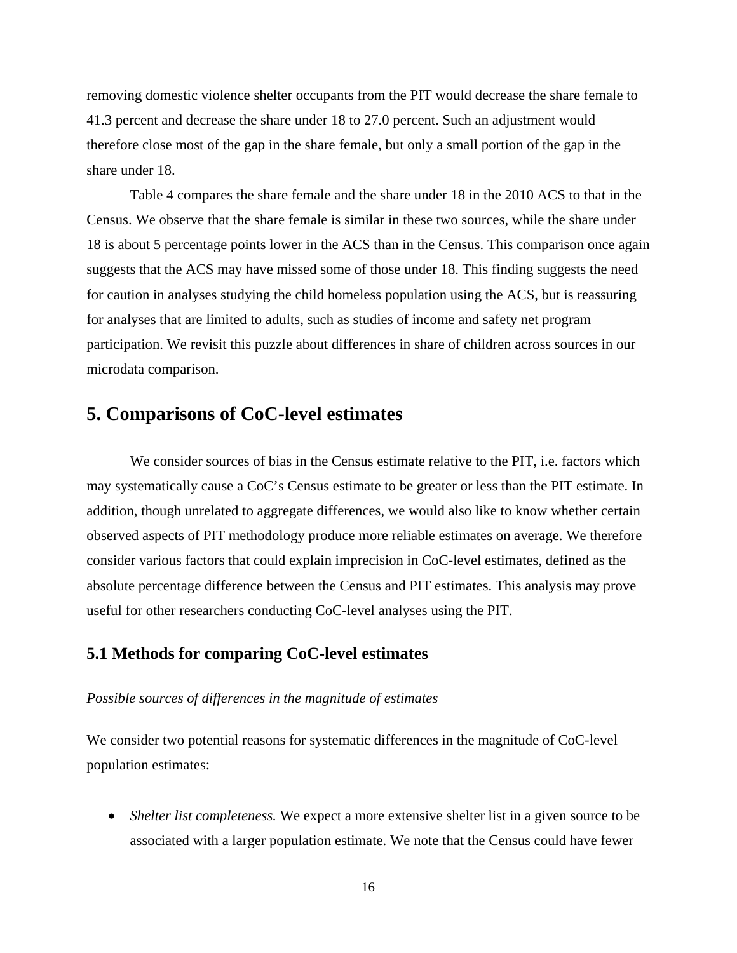removing domestic violence shelter occupants from the PIT would decrease the share female to 41.3 percent and decrease the share under 18 to 27.0 percent. Such an adjustment would therefore close most of the gap in the share female, but only a small portion of the gap in the share under 18.

Table 4 compares the share female and the share under 18 in the 2010 ACS to that in the Census. We observe that the share female is similar in these two sources, while the share under 18 is about 5 percentage points lower in the ACS than in the Census. This comparison once again suggests that the ACS may have missed some of those under 18. This finding suggests the need for caution in analyses studying the child homeless population using the ACS, but is reassuring for analyses that are limited to adults, such as studies of income and safety net program participation. We revisit this puzzle about differences in share of children across sources in our microdata comparison.

## **5. Comparisons of CoC-level estimates**

We consider sources of bias in the Census estimate relative to the PIT, i.e. factors which may systematically cause a CoC's Census estimate to be greater or less than the PIT estimate. In addition, though unrelated to aggregate differences, we would also like to know whether certain observed aspects of PIT methodology produce more reliable estimates on average. We therefore consider various factors that could explain imprecision in CoC-level estimates, defined as the absolute percentage difference between the Census and PIT estimates. This analysis may prove useful for other researchers conducting CoC-level analyses using the PIT.

## **5.1 Methods for comparing CoC-level estimates**

#### *Possible sources of differences in the magnitude of estimates*

We consider two potential reasons for systematic differences in the magnitude of CoC-level population estimates:

• *Shelter list completeness.* We expect a more extensive shelter list in a given source to be associated with a larger population estimate. We note that the Census could have fewer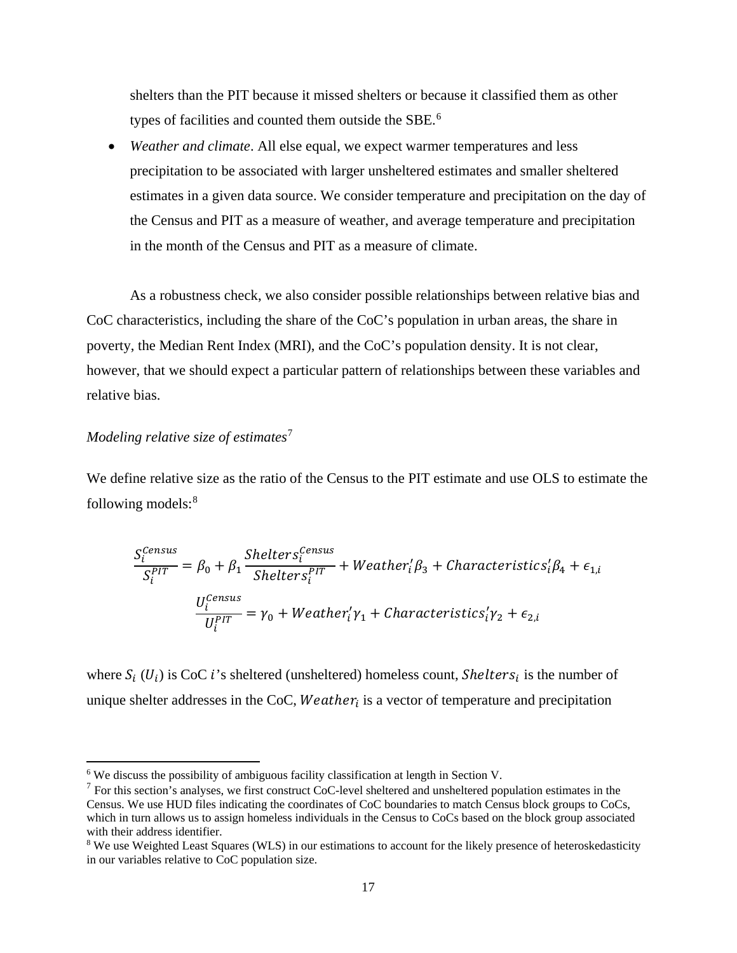shelters than the PIT because it missed shelters or because it classified them as other types of facilities and counted them outside the SBE.<sup>[6](#page-19-0)</sup>

• *Weather and climate*. All else equal, we expect warmer temperatures and less precipitation to be associated with larger unsheltered estimates and smaller sheltered estimates in a given data source. We consider temperature and precipitation on the day of the Census and PIT as a measure of weather, and average temperature and precipitation in the month of the Census and PIT as a measure of climate.

As a robustness check, we also consider possible relationships between relative bias and CoC characteristics, including the share of the CoC's population in urban areas, the share in poverty, the Median Rent Index (MRI), and the CoC's population density. It is not clear, however, that we should expect a particular pattern of relationships between these variables and relative bias.

#### *Modeling relative size of estimates*[7](#page-19-1)

l

We define relative size as the ratio of the Census to the PIT estimate and use OLS to estimate the following models:[8](#page-19-2)

$$
\frac{S_i^{Census}}{S_i^{PIT}} = \beta_0 + \beta_1 \frac{Shelters_i^{Census}}{Shelters_i^{PIT}} + Weather_i' \beta_3 + Characteristics_i' \beta_4 + \epsilon_{1,i}
$$

$$
\frac{U_i^{Census}}{U_i^{PIT}} = \gamma_0 + Weather_i' \gamma_1 + Characteristics_i' \gamma_2 + \epsilon_{2,i}
$$

where  $S_i$  ( $U_i$ ) is CoC i's sheltered (unsheltered) homeless count, *Shelters<sub>i</sub>* is the number of unique shelter addresses in the CoC, *Weather<sub>i</sub>* is a vector of temperature and precipitation

<span id="page-19-0"></span><sup>6</sup> We discuss the possibility of ambiguous facility classification at length in Section V.

<span id="page-19-1"></span> $<sup>7</sup>$  For this section's analyses, we first construct CoC-level sheltered and unsheltered population estimates in the</sup> Census. We use HUD files indicating the coordinates of CoC boundaries to match Census block groups to CoCs, which in turn allows us to assign homeless individuals in the Census to CoCs based on the block group associated with their address identifier.

<span id="page-19-2"></span><sup>&</sup>lt;sup>8</sup> We use Weighted Least Squares (WLS) in our estimations to account for the likely presence of heteroskedasticity in our variables relative to CoC population size.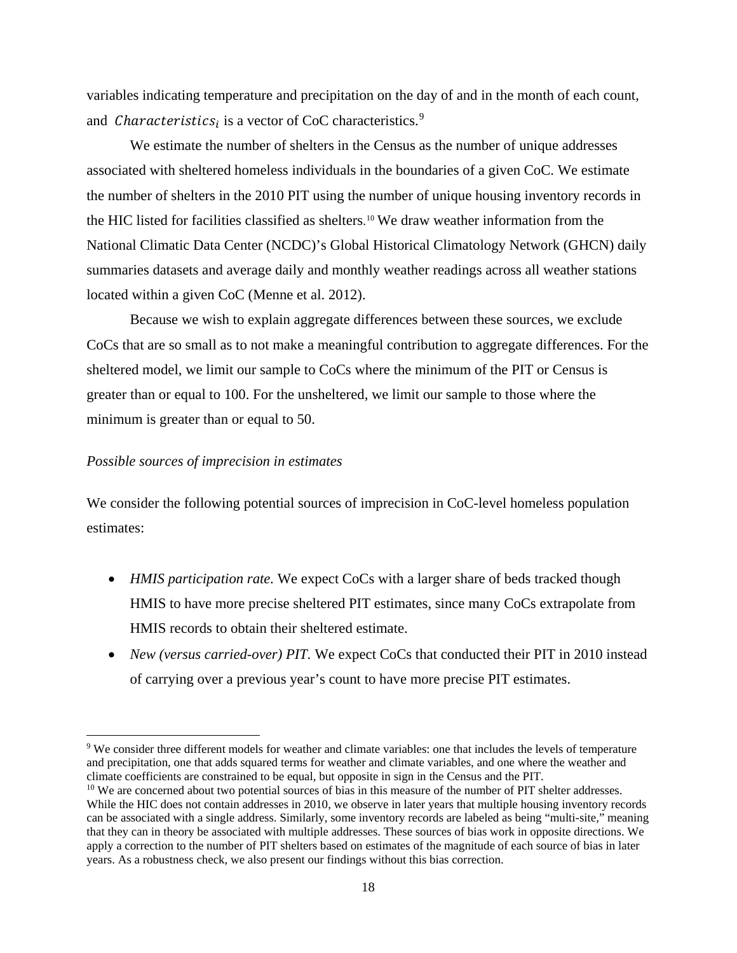variables indicating temperature and precipitation on the day of and in the month of each count, and *Characteristics*<sub>*i*</sub> is a vector of CoC characteristics.<sup>[9](#page-20-0)</sup>

We estimate the number of shelters in the Census as the number of unique addresses associated with sheltered homeless individuals in the boundaries of a given CoC. We estimate the number of shelters in the 2010 PIT using the number of unique housing inventory records in the HIC listed for facilities classified as shelters. [10](#page-20-1) We draw weather information from the National Climatic Data Center (NCDC)'s Global Historical Climatology Network (GHCN) daily summaries datasets and average daily and monthly weather readings across all weather stations located within a given CoC (Menne et al. 2012).

Because we wish to explain aggregate differences between these sources, we exclude CoCs that are so small as to not make a meaningful contribution to aggregate differences. For the sheltered model, we limit our sample to CoCs where the minimum of the PIT or Census is greater than or equal to 100. For the unsheltered, we limit our sample to those where the minimum is greater than or equal to 50.

#### *Possible sources of imprecision in estimates*

 $\overline{a}$ 

We consider the following potential sources of imprecision in CoC-level homeless population estimates:

- *HMIS participation rate.* We expect CoCs with a larger share of beds tracked though HMIS to have more precise sheltered PIT estimates, since many CoCs extrapolate from HMIS records to obtain their sheltered estimate.
- *New (versus carried-over) PIT.* We expect CoCs that conducted their PIT in 2010 instead of carrying over a previous year's count to have more precise PIT estimates.

<span id="page-20-0"></span><sup>9</sup> We consider three different models for weather and climate variables: one that includes the levels of temperature and precipitation, one that adds squared terms for weather and climate variables, and one where the weather and climate coefficients are constrained to be equal, but opposite in sign in the Census and the PIT.

<span id="page-20-1"></span><sup>&</sup>lt;sup>10</sup> We are concerned about two potential sources of bias in this measure of the number of PIT shelter addresses. While the HIC does not contain addresses in 2010, we observe in later years that multiple housing inventory records can be associated with a single address. Similarly, some inventory records are labeled as being "multi-site," meaning that they can in theory be associated with multiple addresses. These sources of bias work in opposite directions. We apply a correction to the number of PIT shelters based on estimates of the magnitude of each source of bias in later years. As a robustness check, we also present our findings without this bias correction.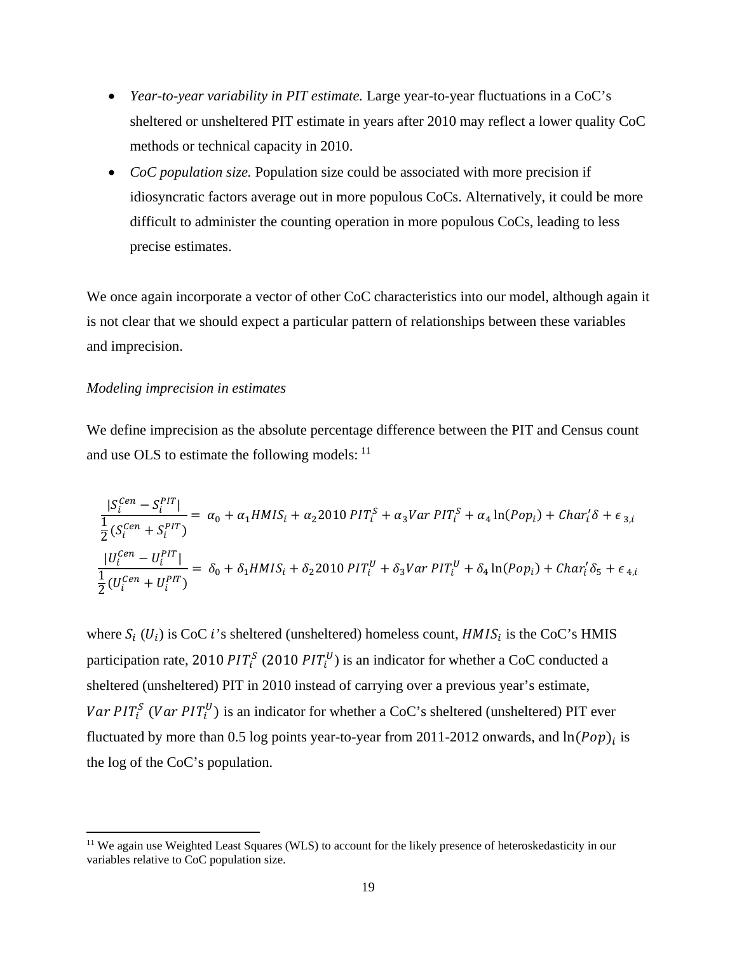- *Year-to-year variability in PIT estimate.* Large year-to-year fluctuations in a CoC's sheltered or unsheltered PIT estimate in years after 2010 may reflect a lower quality CoC methods or technical capacity in 2010.
- *CoC population size.* Population size could be associated with more precision if idiosyncratic factors average out in more populous CoCs. Alternatively, it could be more difficult to administer the counting operation in more populous CoCs, leading to less precise estimates.

We once again incorporate a vector of other CoC characteristics into our model, although again it is not clear that we should expect a particular pattern of relationships between these variables and imprecision.

#### *Modeling imprecision in estimates*

 $\overline{\phantom{a}}$ 

We define imprecision as the absolute percentage difference between the PIT and Census count and use OLS to estimate the following models: <sup>[11](#page-21-0)</sup>

$$
\frac{|S_i^{Cen} - S_i^{PIT}|}{\frac{1}{2}(S_i^{Cen} + S_i^{PIT})} = \alpha_0 + \alpha_1 H M I S_i + \alpha_2 2010 P I T_i^S + \alpha_3 Var P I T_i^S + \alpha_4 \ln(Pop_i) + Char_i' \delta + \epsilon_{3,i}
$$
  

$$
\frac{|U_i^{Cen} - U_i^{PIT}|}{\frac{1}{2}(U_i^{Cen} + U_i^{PIT})} = \delta_0 + \delta_1 H M I S_i + \delta_2 2010 P I T_i^U + \delta_3 Var P I T_i^U + \delta_4 \ln(Pop_i) + Char_i' \delta_5 + \epsilon_{4,i}
$$

where  $S_i$  ( $U_i$ ) is CoC i's sheltered (unsheltered) homeless count,  $H M I S_i$  is the CoC's HMIS participation rate, 2010  $PIT_i^S$  (2010  $PIT_i^U$ ) is an indicator for whether a CoC conducted a sheltered (unsheltered) PIT in 2010 instead of carrying over a previous year's estimate, *Var PIT*<sup>S</sup> (*Var PIT*<sup>U</sup>) is an indicator for whether a CoC's sheltered (unsheltered) PIT ever fluctuated by more than 0.5 log points year-to-year from 2011-2012 onwards, and  $\ln (Pop)_i$  is the log of the CoC's population.

<span id="page-21-0"></span><sup>&</sup>lt;sup>11</sup> We again use Weighted Least Squares (WLS) to account for the likely presence of heteroskedasticity in our variables relative to CoC population size.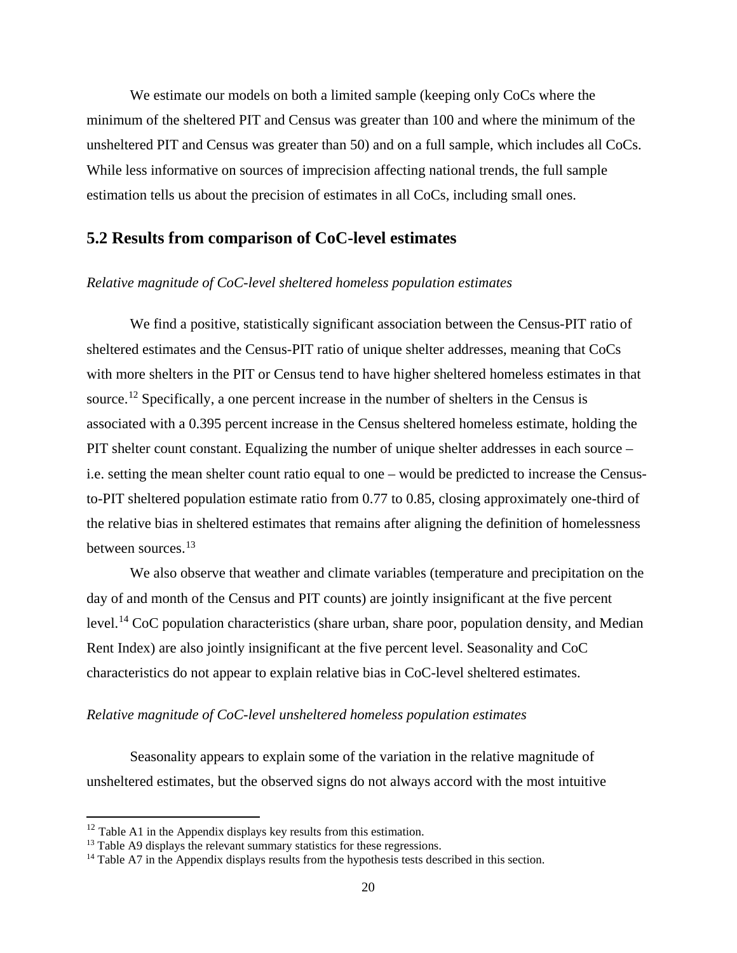We estimate our models on both a limited sample (keeping only CoCs where the minimum of the sheltered PIT and Census was greater than 100 and where the minimum of the unsheltered PIT and Census was greater than 50) and on a full sample, which includes all CoCs. While less informative on sources of imprecision affecting national trends, the full sample estimation tells us about the precision of estimates in all CoCs, including small ones.

## **5.2 Results from comparison of CoC-level estimates**

#### *Relative magnitude of CoC-level sheltered homeless population estimates*

We find a positive, statistically significant association between the Census-PIT ratio of sheltered estimates and the Census-PIT ratio of unique shelter addresses, meaning that CoCs with more shelters in the PIT or Census tend to have higher sheltered homeless estimates in that source.<sup>[12](#page-22-0)</sup> Specifically, a one percent increase in the number of shelters in the Census is associated with a 0.395 percent increase in the Census sheltered homeless estimate, holding the PIT shelter count constant. Equalizing the number of unique shelter addresses in each source – i.e. setting the mean shelter count ratio equal to one – would be predicted to increase the Censusto-PIT sheltered population estimate ratio from 0.77 to 0.85, closing approximately one-third of the relative bias in sheltered estimates that remains after aligning the definition of homelessness between sources.<sup>[13](#page-22-1)</sup>

We also observe that weather and climate variables (temperature and precipitation on the day of and month of the Census and PIT counts) are jointly insignificant at the five percent level.[14](#page-22-2) CoC population characteristics (share urban, share poor, population density, and Median Rent Index) are also jointly insignificant at the five percent level. Seasonality and CoC characteristics do not appear to explain relative bias in CoC-level sheltered estimates.

#### *Relative magnitude of CoC-level unsheltered homeless population estimates*

Seasonality appears to explain some of the variation in the relative magnitude of unsheltered estimates, but the observed signs do not always accord with the most intuitive

 $\overline{a}$ 

<span id="page-22-0"></span> $12$  Table A1 in the Appendix displays key results from this estimation.

<span id="page-22-1"></span><sup>&</sup>lt;sup>13</sup> Table A9 displays the relevant summary statistics for these regressions.

<span id="page-22-2"></span><sup>&</sup>lt;sup>14</sup> Table A7 in the Appendix displays results from the hypothesis tests described in this section.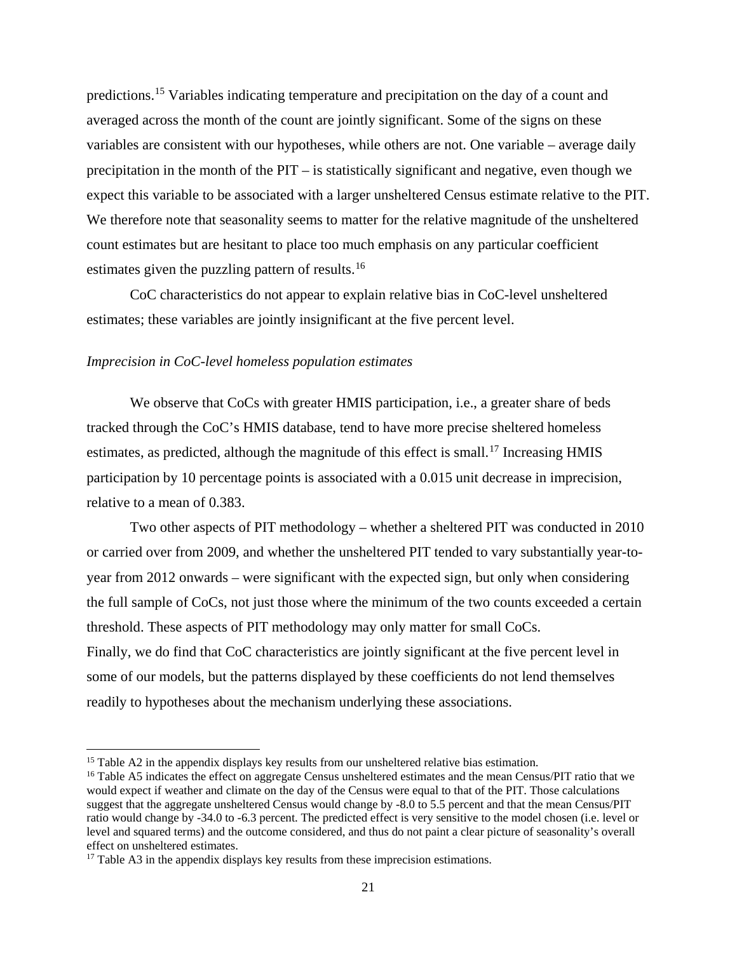predictions.[15](#page-23-0) Variables indicating temperature and precipitation on the day of a count and averaged across the month of the count are jointly significant. Some of the signs on these variables are consistent with our hypotheses, while others are not. One variable – average daily precipitation in the month of the PIT – is statistically significant and negative, even though we expect this variable to be associated with a larger unsheltered Census estimate relative to the PIT. We therefore note that seasonality seems to matter for the relative magnitude of the unsheltered count estimates but are hesitant to place too much emphasis on any particular coefficient estimates given the puzzling pattern of results.<sup>[16](#page-23-1)</sup>

CoC characteristics do not appear to explain relative bias in CoC-level unsheltered estimates; these variables are jointly insignificant at the five percent level.

#### *Imprecision in CoC-level homeless population estimates*

We observe that CoCs with greater HMIS participation, i.e., a greater share of beds tracked through the CoC's HMIS database, tend to have more precise sheltered homeless estimates, as predicted, although the magnitude of this effect is small.<sup>[17](#page-23-2)</sup> Increasing HMIS participation by 10 percentage points is associated with a 0.015 unit decrease in imprecision, relative to a mean of 0.383.

Two other aspects of PIT methodology – whether a sheltered PIT was conducted in 2010 or carried over from 2009, and whether the unsheltered PIT tended to vary substantially year-toyear from 2012 onwards – were significant with the expected sign, but only when considering the full sample of CoCs, not just those where the minimum of the two counts exceeded a certain threshold. These aspects of PIT methodology may only matter for small CoCs. Finally, we do find that CoC characteristics are jointly significant at the five percent level in some of our models, but the patterns displayed by these coefficients do not lend themselves readily to hypotheses about the mechanism underlying these associations.

 $\overline{\phantom{a}}$ 

<span id="page-23-0"></span><sup>&</sup>lt;sup>15</sup> Table A2 in the appendix displays key results from our unsheltered relative bias estimation.

<span id="page-23-1"></span><sup>&</sup>lt;sup>16</sup> Table A5 indicates the effect on aggregate Census unsheltered estimates and the mean Census/PIT ratio that we would expect if weather and climate on the day of the Census were equal to that of the PIT. Those calculations suggest that the aggregate unsheltered Census would change by -8.0 to 5.5 percent and that the mean Census/PIT ratio would change by -34.0 to -6.3 percent. The predicted effect is very sensitive to the model chosen (i.e. level or level and squared terms) and the outcome considered, and thus do not paint a clear picture of seasonality's overall effect on unsheltered estimates.

<span id="page-23-2"></span><sup>&</sup>lt;sup>17</sup> Table A3 in the appendix displays key results from these imprecision estimations.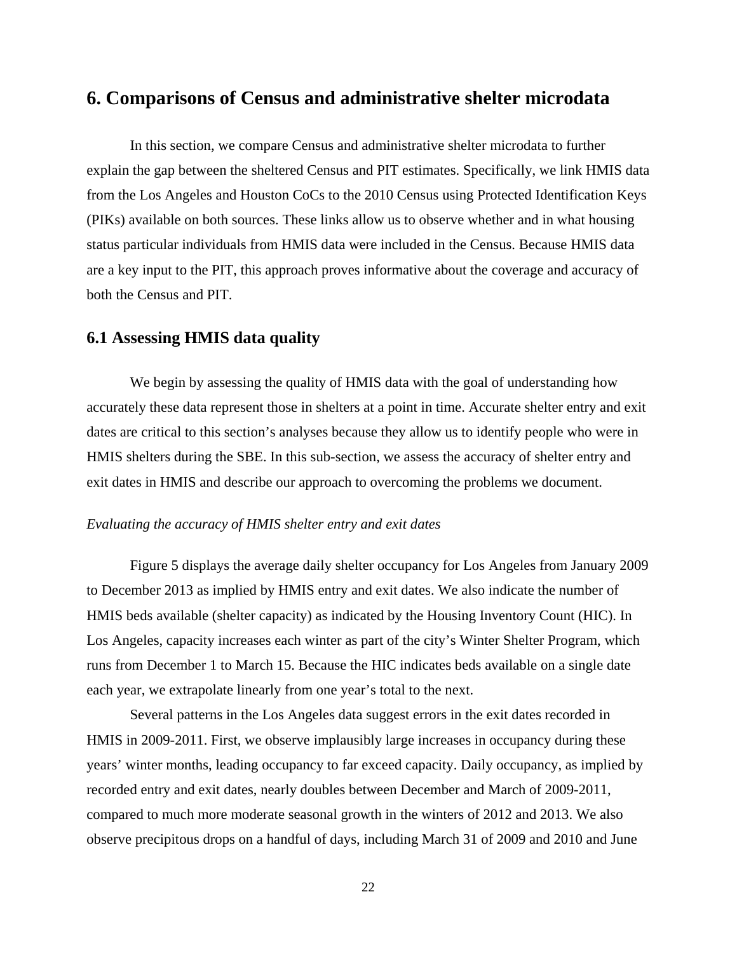## **6. Comparisons of Census and administrative shelter microdata**

In this section, we compare Census and administrative shelter microdata to further explain the gap between the sheltered Census and PIT estimates. Specifically, we link HMIS data from the Los Angeles and Houston CoCs to the 2010 Census using Protected Identification Keys (PIKs) available on both sources. These links allow us to observe whether and in what housing status particular individuals from HMIS data were included in the Census. Because HMIS data are a key input to the PIT, this approach proves informative about the coverage and accuracy of both the Census and PIT.

## **6.1 Assessing HMIS data quality**

We begin by assessing the quality of HMIS data with the goal of understanding how accurately these data represent those in shelters at a point in time. Accurate shelter entry and exit dates are critical to this section's analyses because they allow us to identify people who were in HMIS shelters during the SBE. In this sub-section, we assess the accuracy of shelter entry and exit dates in HMIS and describe our approach to overcoming the problems we document.

#### *Evaluating the accuracy of HMIS shelter entry and exit dates*

Figure 5 displays the average daily shelter occupancy for Los Angeles from January 2009 to December 2013 as implied by HMIS entry and exit dates. We also indicate the number of HMIS beds available (shelter capacity) as indicated by the Housing Inventory Count (HIC). In Los Angeles, capacity increases each winter as part of the city's Winter Shelter Program, which runs from December 1 to March 15. Because the HIC indicates beds available on a single date each year, we extrapolate linearly from one year's total to the next.

Several patterns in the Los Angeles data suggest errors in the exit dates recorded in HMIS in 2009-2011. First, we observe implausibly large increases in occupancy during these years' winter months, leading occupancy to far exceed capacity. Daily occupancy, as implied by recorded entry and exit dates, nearly doubles between December and March of 2009-2011, compared to much more moderate seasonal growth in the winters of 2012 and 2013. We also observe precipitous drops on a handful of days, including March 31 of 2009 and 2010 and June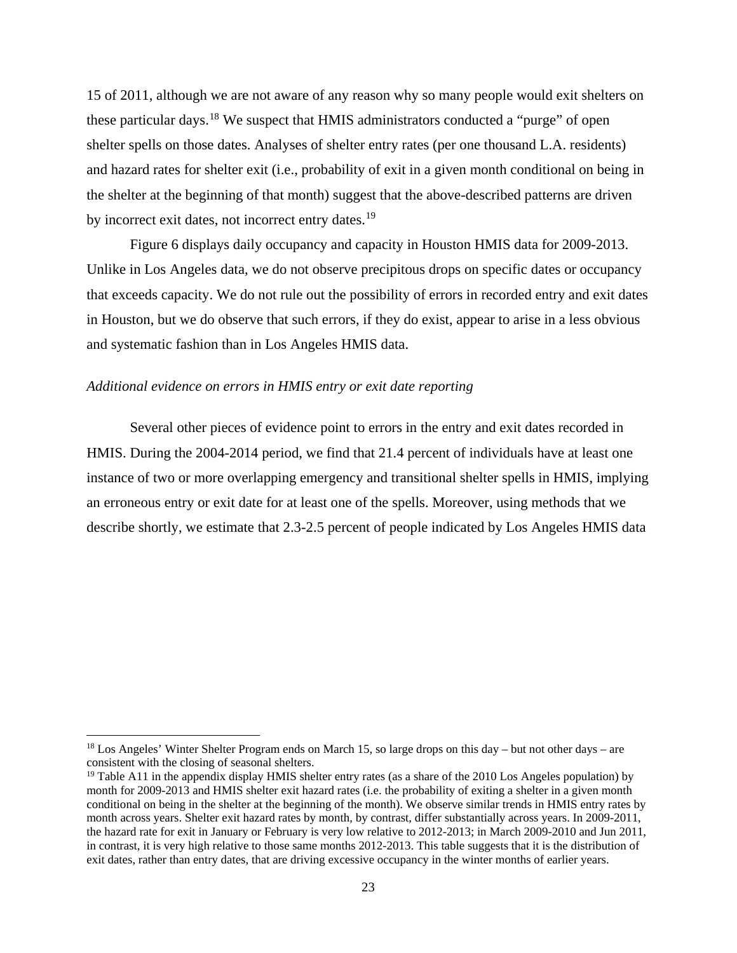15 of 2011, although we are not aware of any reason why so many people would exit shelters on these particular days.[18](#page-25-0) We suspect that HMIS administrators conducted a "purge" of open shelter spells on those dates. Analyses of shelter entry rates (per one thousand L.A. residents) and hazard rates for shelter exit (i.e., probability of exit in a given month conditional on being in the shelter at the beginning of that month) suggest that the above-described patterns are driven by incorrect exit dates, not incorrect entry dates.<sup>[19](#page-25-1)</sup>

Figure 6 displays daily occupancy and capacity in Houston HMIS data for 2009-2013. Unlike in Los Angeles data, we do not observe precipitous drops on specific dates or occupancy that exceeds capacity. We do not rule out the possibility of errors in recorded entry and exit dates in Houston, but we do observe that such errors, if they do exist, appear to arise in a less obvious and systematic fashion than in Los Angeles HMIS data.

#### *Additional evidence on errors in HMIS entry or exit date reporting*

 $\overline{a}$ 

Several other pieces of evidence point to errors in the entry and exit dates recorded in HMIS. During the 2004-2014 period, we find that 21.4 percent of individuals have at least one instance of two or more overlapping emergency and transitional shelter spells in HMIS, implying an erroneous entry or exit date for at least one of the spells. Moreover, using methods that we describe shortly, we estimate that 2.3-2.5 percent of people indicated by Los Angeles HMIS data

<span id="page-25-0"></span><sup>&</sup>lt;sup>18</sup> Los Angeles' Winter Shelter Program ends on March 15, so large drops on this day – but not other days – are consistent with the closing of seasonal shelters.

<span id="page-25-1"></span><sup>&</sup>lt;sup>19</sup> Table A11 in the appendix display HMIS shelter entry rates (as a share of the 2010 Los Angeles population) by month for 2009-2013 and HMIS shelter exit hazard rates (i.e. the probability of exiting a shelter in a given month conditional on being in the shelter at the beginning of the month). We observe similar trends in HMIS entry rates by month across years. Shelter exit hazard rates by month, by contrast, differ substantially across years. In 2009-2011, the hazard rate for exit in January or February is very low relative to 2012-2013; in March 2009-2010 and Jun 2011, in contrast, it is very high relative to those same months 2012-2013. This table suggests that it is the distribution of exit dates, rather than entry dates, that are driving excessive occupancy in the winter months of earlier years.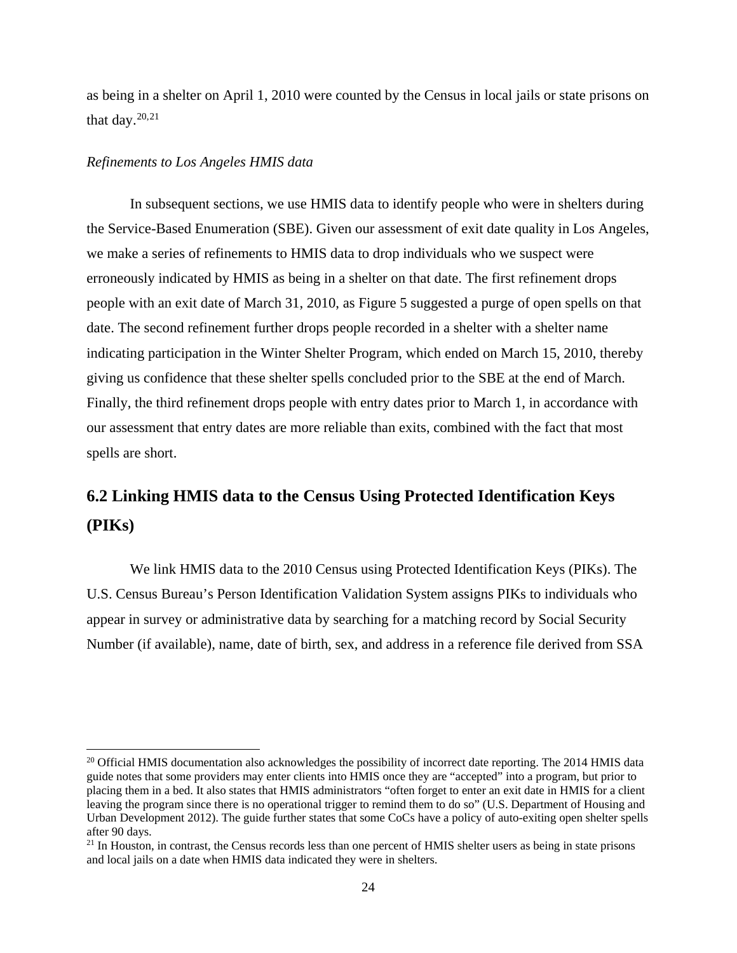as being in a shelter on April 1, 2010 were counted by the Census in local jails or state prisons on that day. $20,21$  $20,21$ 

#### *Refinements to Los Angeles HMIS data*

 $\overline{\phantom{a}}$ 

In subsequent sections, we use HMIS data to identify people who were in shelters during the Service-Based Enumeration (SBE). Given our assessment of exit date quality in Los Angeles, we make a series of refinements to HMIS data to drop individuals who we suspect were erroneously indicated by HMIS as being in a shelter on that date. The first refinement drops people with an exit date of March 31, 2010, as Figure 5 suggested a purge of open spells on that date. The second refinement further drops people recorded in a shelter with a shelter name indicating participation in the Winter Shelter Program, which ended on March 15, 2010, thereby giving us confidence that these shelter spells concluded prior to the SBE at the end of March. Finally, the third refinement drops people with entry dates prior to March 1, in accordance with our assessment that entry dates are more reliable than exits, combined with the fact that most spells are short.

## **6.2 Linking HMIS data to the Census Using Protected Identification Keys (PIKs)**

We link HMIS data to the 2010 Census using Protected Identification Keys (PIKs). The U.S. Census Bureau's Person Identification Validation System assigns PIKs to individuals who appear in survey or administrative data by searching for a matching record by Social Security Number (if available), name, date of birth, sex, and address in a reference file derived from SSA

<span id="page-26-0"></span><sup>&</sup>lt;sup>20</sup> Official HMIS documentation also acknowledges the possibility of incorrect date reporting. The 2014 HMIS data guide notes that some providers may enter clients into HMIS once they are "accepted" into a program, but prior to placing them in a bed. It also states that HMIS administrators "often forget to enter an exit date in HMIS for a client leaving the program since there is no operational trigger to remind them to do so" (U.S. Department of Housing and Urban Development 2012). The guide further states that some CoCs have a policy of auto-exiting open shelter spells after 90 days.

<span id="page-26-1"></span><sup>&</sup>lt;sup>21</sup> In Houston, in contrast, the Census records less than one percent of HMIS shelter users as being in state prisons and local jails on a date when HMIS data indicated they were in shelters.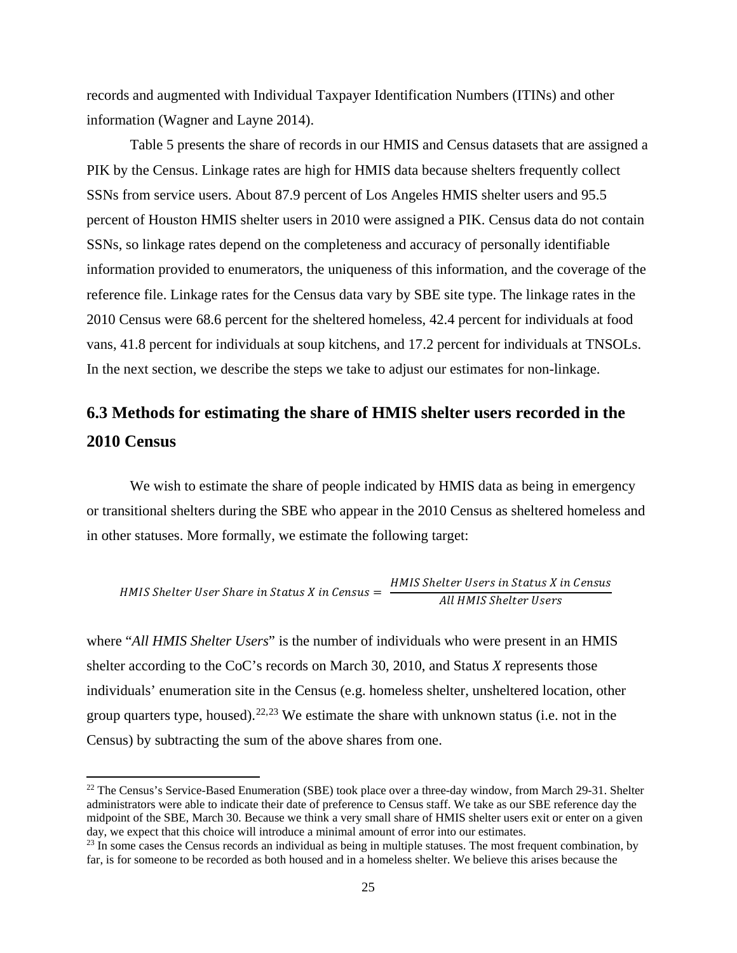records and augmented with Individual Taxpayer Identification Numbers (ITINs) and other information (Wagner and Layne 2014).

Table 5 presents the share of records in our HMIS and Census datasets that are assigned a PIK by the Census. Linkage rates are high for HMIS data because shelters frequently collect SSNs from service users. About 87.9 percent of Los Angeles HMIS shelter users and 95.5 percent of Houston HMIS shelter users in 2010 were assigned a PIK. Census data do not contain SSNs, so linkage rates depend on the completeness and accuracy of personally identifiable information provided to enumerators, the uniqueness of this information, and the coverage of the reference file. Linkage rates for the Census data vary by SBE site type. The linkage rates in the 2010 Census were 68.6 percent for the sheltered homeless, 42.4 percent for individuals at food vans, 41.8 percent for individuals at soup kitchens, and 17.2 percent for individuals at TNSOLs. In the next section, we describe the steps we take to adjust our estimates for non-linkage.

# **6.3 Methods for estimating the share of HMIS shelter users recorded in the 2010 Census**

We wish to estimate the share of people indicated by HMIS data as being in emergency or transitional shelters during the SBE who appear in the 2010 Census as sheltered homeless and in other statuses. More formally, we estimate the following target:

HMIS Shelter User Share in Status X in Census = 
$$
\frac{HMIS Shelter Users in Status X in Census}{All HMIS Shelter Users}
$$

where "*All HMIS Shelter Users*" is the number of individuals who were present in an HMIS shelter according to the CoC's records on March 30, 2010, and Status *X* represents those individuals' enumeration site in the Census (e.g. homeless shelter, unsheltered location, other group quarters type, housed).<sup>[22,](#page-27-0)[23](#page-27-1)</sup> We estimate the share with unknown status (i.e. not in the Census) by subtracting the sum of the above shares from one.

 $\overline{a}$ 

<span id="page-27-0"></span><sup>&</sup>lt;sup>22</sup> The Census's Service-Based Enumeration (SBE) took place over a three-day window, from March 29-31. Shelter administrators were able to indicate their date of preference to Census staff. We take as our SBE reference day the midpoint of the SBE, March 30. Because we think a very small share of HMIS shelter users exit or enter on a given day, we expect that this choice will introduce a minimal amount of error into our estimates.

<span id="page-27-1"></span> $23$  In some cases the Census records an individual as being in multiple statuses. The most frequent combination, by far, is for someone to be recorded as both housed and in a homeless shelter. We believe this arises because the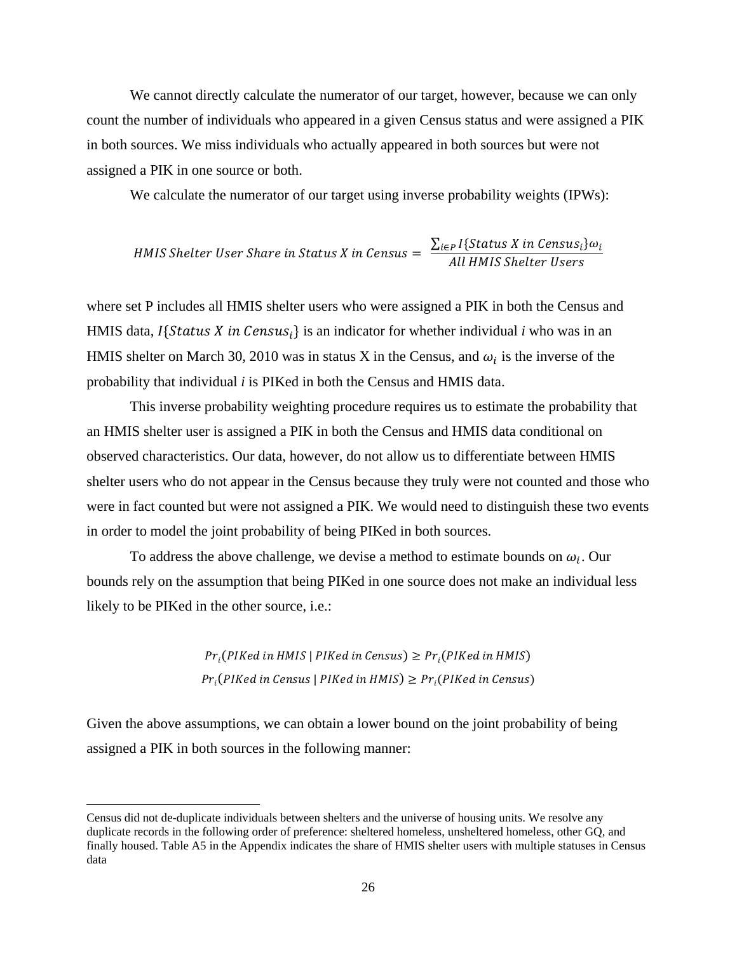We cannot directly calculate the numerator of our target, however, because we can only count the number of individuals who appeared in a given Census status and were assigned a PIK in both sources. We miss individuals who actually appeared in both sources but were not assigned a PIK in one source or both.

We calculate the numerator of our target using inverse probability weights (IPWs):

HMIS Shelter User Share in Status X in Census  $=\frac{\sum_{i\in P}I\{Status\ X\ in\ Census_i\}\omega_i}{All\ HMIS\ Shother\ Users}$ All HMIS Shelter U

where set P includes all HMIS shelter users who were assigned a PIK in both the Census and HMIS data,  $I\{Status X in Census_i\}$  is an indicator for whether individual *i* who was in an HMIS shelter on March 30, 2010 was in status X in the Census, and  $\omega_i$  is the inverse of the probability that individual *i* is PIKed in both the Census and HMIS data.

This inverse probability weighting procedure requires us to estimate the probability that an HMIS shelter user is assigned a PIK in both the Census and HMIS data conditional on observed characteristics. Our data, however, do not allow us to differentiate between HMIS shelter users who do not appear in the Census because they truly were not counted and those who were in fact counted but were not assigned a PIK. We would need to distinguish these two events in order to model the joint probability of being PIKed in both sources.

To address the above challenge, we devise a method to estimate bounds on  $\omega_i$ . Our bounds rely on the assumption that being PIKed in one source does not make an individual less likely to be PIKed in the other source, i.e.:

> $Pr_i(PIKed$  in HMIS | PIKed in Census)  $\geq Pr_i(PIKed$  in HMIS)  $Pr_i(PIKed$  in Census | PIKed in HMIS)  $\geq Pr_i(PIKed$  in Census)

Given the above assumptions, we can obtain a lower bound on the joint probability of being assigned a PIK in both sources in the following manner:

l

Census did not de-duplicate individuals between shelters and the universe of housing units. We resolve any duplicate records in the following order of preference: sheltered homeless, unsheltered homeless, other GQ, and finally housed. Table A5 in the Appendix indicates the share of HMIS shelter users with multiple statuses in Census data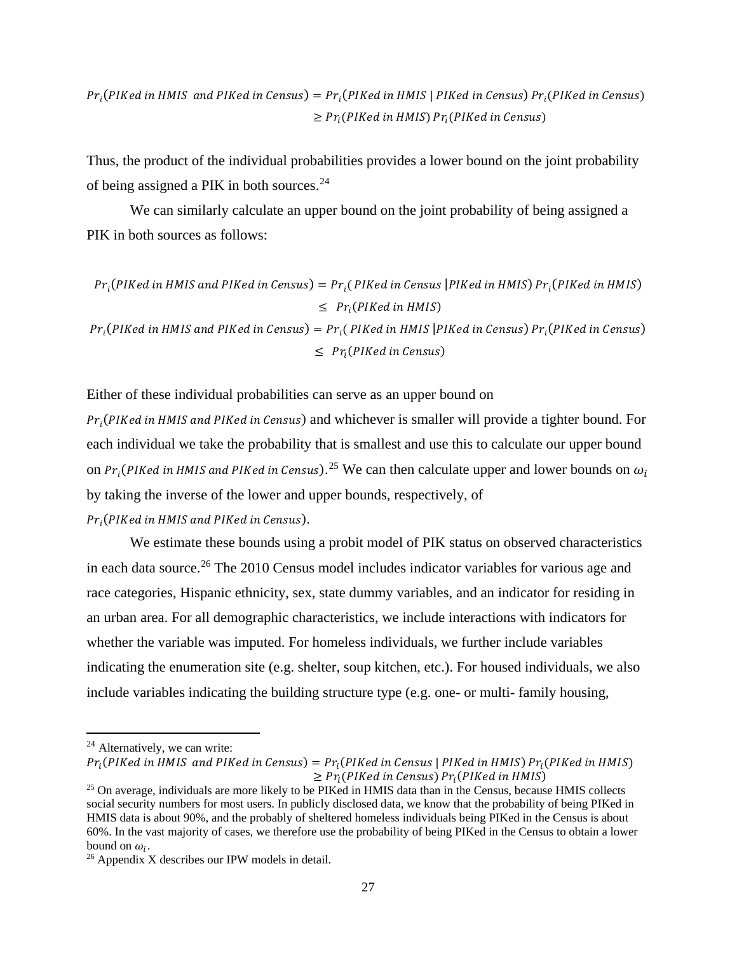$Pr_i(PIKed \text{ in H MIS and } PIKed \text{ in } Census) = Pr_i(PIKed \text{ in } HMIS \text{ } | \text{ } PIKed \text{ in } Census) \text{ } Pr_i(PIKed \text{ in } Census)$  $\geq Pr_i(PIKed$  in HMIS)  $Pr_i(PIKed$  in Census)

Thus, the product of the individual probabilities provides a lower bound on the joint probability of being assigned a PIK in both sources.[24](#page-29-0) 

We can similarly calculate an upper bound on the joint probability of being assigned a PIK in both sources as follows:

$$
Pr_i(PIKed in H MIS and PIKed in Census) = Pr_i(PIKed in Census |PIKed in H MIS) Pr_i(PIKed in H MIS)
$$
  
\n
$$
\leq Pr_i(PIKed in H MIS)
$$
  
\n
$$
Pr_i(PIKed in H MIS and PIKed in Census) = Pr_i(PIKed in H MIS |PIKed in Census) Pr_i(PIKed in Census)
$$
  
\n
$$
\leq Pr_i(PIKed in Census)
$$

Either of these individual probabilities can serve as an upper bound on

 $Pr_i(PIKed in H MIS and PIKed in Census)$  and whichever is smaller will provide a tighter bound. For each individual we take the probability that is smallest and use this to calculate our upper bound on P $r_i$ (PIKed in HMIS and PIKed in Census). $^{25}$  $^{25}$  $^{25}$  We can then calculate upper and lower bounds on  $\omega_i$ by taking the inverse of the lower and upper bounds, respectively, of

 $Pr_i$ (PIKed in HMIS and PIKed in Census).

We estimate these bounds using a probit model of PIK status on observed characteristics in each data source.<sup>[26](#page-29-2)</sup> The 2010 Census model includes indicator variables for various age and race categories, Hispanic ethnicity, sex, state dummy variables, and an indicator for residing in an urban area. For all demographic characteristics, we include interactions with indicators for whether the variable was imputed. For homeless individuals, we further include variables indicating the enumeration site (e.g. shelter, soup kitchen, etc.). For housed individuals, we also include variables indicating the building structure type (e.g. one- or multi- family housing,

l

<span id="page-29-0"></span> $24$  Alternatively, we can write:

 $Pr_i(PIKed \text{ in H MIS and PIKed in Census}) = Pr_i(PIKed \text{ in Census} \mid PIKed \text{ in H MIS}) Pr_i(PIKed \text{ in H MIS})$ <br> $\geq Pr_i(PIKed \text{ in Census}) Pr_i(PIKed \text{ in H MIS})$ 

<span id="page-29-1"></span><sup>&</sup>lt;sup>25</sup> On average, individuals are more likely to be PIKed in HMIS data than in the Census, because HMIS collects social security numbers for most users. In publicly disclosed data, we know that the probability of being PIKed in HMIS data is about 90%, and the probably of sheltered homeless individuals being PIKed in the Census is about 60%. In the vast majority of cases, we therefore use the probability of being PIKed in the Census to obtain a lower bound on  $\omega_i$ .<br><sup>26</sup> Appendix X describes our IPW models in detail.

<span id="page-29-2"></span>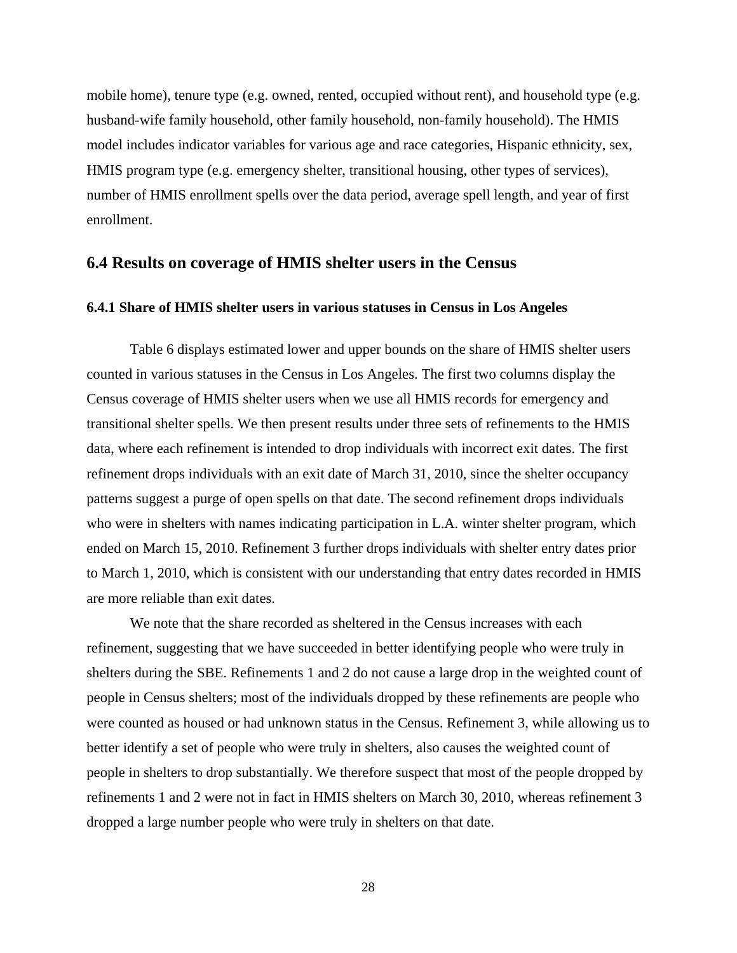mobile home), tenure type (e.g. owned, rented, occupied without rent), and household type (e.g. husband-wife family household, other family household, non-family household). The HMIS model includes indicator variables for various age and race categories, Hispanic ethnicity, sex, HMIS program type (e.g. emergency shelter, transitional housing, other types of services), number of HMIS enrollment spells over the data period, average spell length, and year of first enrollment.

#### **6.4 Results on coverage of HMIS shelter users in the Census**

#### **6.4.1 Share of HMIS shelter users in various statuses in Census in Los Angeles**

Table 6 displays estimated lower and upper bounds on the share of HMIS shelter users counted in various statuses in the Census in Los Angeles. The first two columns display the Census coverage of HMIS shelter users when we use all HMIS records for emergency and transitional shelter spells. We then present results under three sets of refinements to the HMIS data, where each refinement is intended to drop individuals with incorrect exit dates. The first refinement drops individuals with an exit date of March 31, 2010, since the shelter occupancy patterns suggest a purge of open spells on that date. The second refinement drops individuals who were in shelters with names indicating participation in L.A. winter shelter program, which ended on March 15, 2010. Refinement 3 further drops individuals with shelter entry dates prior to March 1, 2010, which is consistent with our understanding that entry dates recorded in HMIS are more reliable than exit dates.

We note that the share recorded as sheltered in the Census increases with each refinement, suggesting that we have succeeded in better identifying people who were truly in shelters during the SBE. Refinements 1 and 2 do not cause a large drop in the weighted count of people in Census shelters; most of the individuals dropped by these refinements are people who were counted as housed or had unknown status in the Census. Refinement 3, while allowing us to better identify a set of people who were truly in shelters, also causes the weighted count of people in shelters to drop substantially. We therefore suspect that most of the people dropped by refinements 1 and 2 were not in fact in HMIS shelters on March 30, 2010, whereas refinement 3 dropped a large number people who were truly in shelters on that date.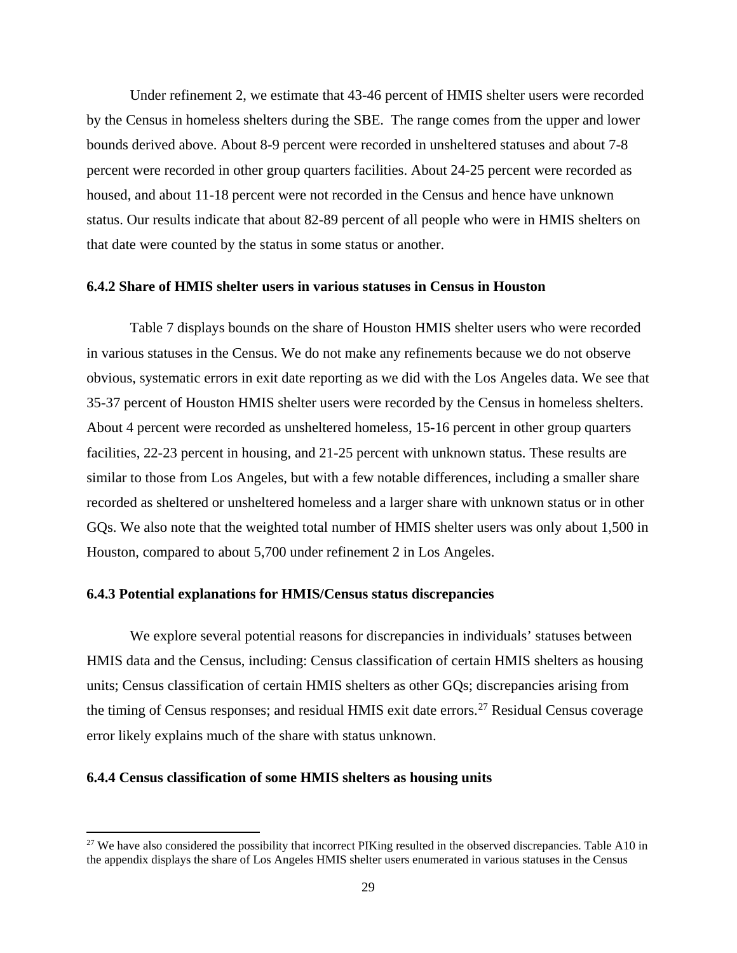Under refinement 2, we estimate that 43-46 percent of HMIS shelter users were recorded by the Census in homeless shelters during the SBE. The range comes from the upper and lower bounds derived above. About 8-9 percent were recorded in unsheltered statuses and about 7-8 percent were recorded in other group quarters facilities. About 24-25 percent were recorded as housed, and about 11-18 percent were not recorded in the Census and hence have unknown status. Our results indicate that about 82-89 percent of all people who were in HMIS shelters on that date were counted by the status in some status or another.

#### **6.4.2 Share of HMIS shelter users in various statuses in Census in Houston**

Table 7 displays bounds on the share of Houston HMIS shelter users who were recorded in various statuses in the Census. We do not make any refinements because we do not observe obvious, systematic errors in exit date reporting as we did with the Los Angeles data. We see that 35-37 percent of Houston HMIS shelter users were recorded by the Census in homeless shelters. About 4 percent were recorded as unsheltered homeless, 15-16 percent in other group quarters facilities, 22-23 percent in housing, and 21-25 percent with unknown status. These results are similar to those from Los Angeles, but with a few notable differences, including a smaller share recorded as sheltered or unsheltered homeless and a larger share with unknown status or in other GQs. We also note that the weighted total number of HMIS shelter users was only about 1,500 in Houston, compared to about 5,700 under refinement 2 in Los Angeles.

#### **6.4.3 Potential explanations for HMIS/Census status discrepancies**

We explore several potential reasons for discrepancies in individuals' statuses between HMIS data and the Census, including: Census classification of certain HMIS shelters as housing units; Census classification of certain HMIS shelters as other GQs; discrepancies arising from the timing of Census responses; and residual HMIS exit date errors.<sup>[27](#page-31-0)</sup> Residual Census coverage error likely explains much of the share with status unknown.

#### **6.4.4 Census classification of some HMIS shelters as housing units**

 $\overline{\phantom{a}}$ 

<span id="page-31-0"></span><sup>&</sup>lt;sup>27</sup> We have also considered the possibility that incorrect PIKing resulted in the observed discrepancies. Table A10 in the appendix displays the share of Los Angeles HMIS shelter users enumerated in various statuses in the Census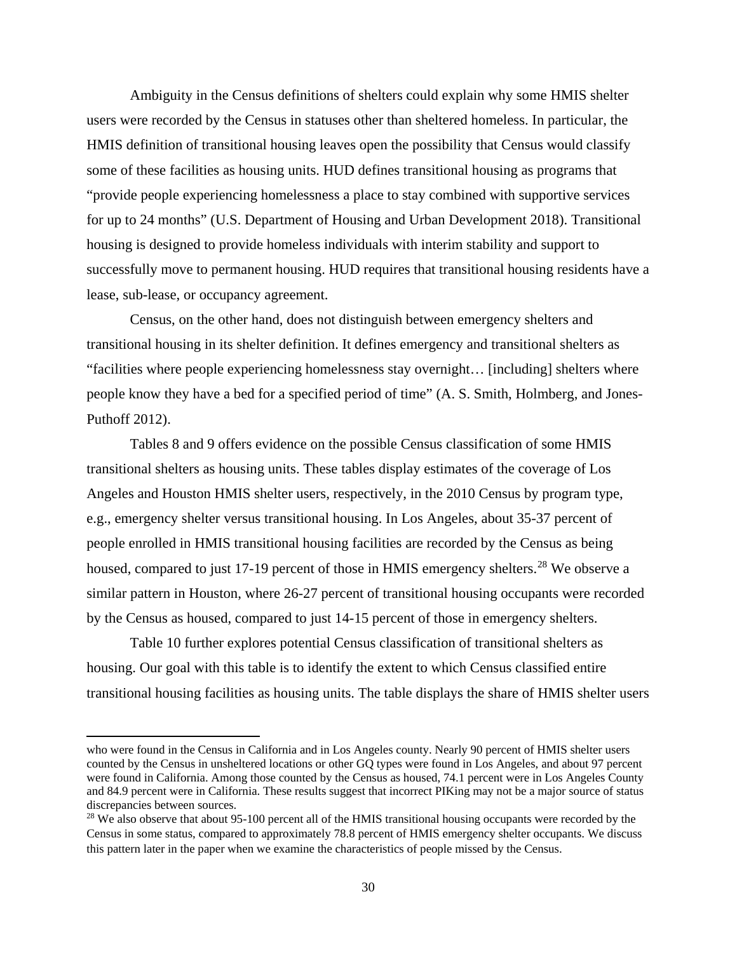Ambiguity in the Census definitions of shelters could explain why some HMIS shelter users were recorded by the Census in statuses other than sheltered homeless. In particular, the HMIS definition of transitional housing leaves open the possibility that Census would classify some of these facilities as housing units. HUD defines transitional housing as programs that "provide people experiencing homelessness a place to stay combined with supportive services for up to 24 months" (U.S. Department of Housing and Urban Development 2018). Transitional housing is designed to provide homeless individuals with interim stability and support to successfully move to permanent housing. HUD requires that transitional housing residents have a lease, sub-lease, or occupancy agreement.

Census, on the other hand, does not distinguish between emergency shelters and transitional housing in its shelter definition. It defines emergency and transitional shelters as "facilities where people experiencing homelessness stay overnight… [including] shelters where people know they have a bed for a specified period of time" (A. S. Smith, Holmberg, and Jones-Puthoff 2012).

Tables 8 and 9 offers evidence on the possible Census classification of some HMIS transitional shelters as housing units. These tables display estimates of the coverage of Los Angeles and Houston HMIS shelter users, respectively, in the 2010 Census by program type, e.g., emergency shelter versus transitional housing. In Los Angeles, about 35-37 percent of people enrolled in HMIS transitional housing facilities are recorded by the Census as being housed, compared to just 17-19 percent of those in HMIS emergency shelters.<sup>[28](#page-32-0)</sup> We observe a similar pattern in Houston, where 26-27 percent of transitional housing occupants were recorded by the Census as housed, compared to just 14-15 percent of those in emergency shelters.

Table 10 further explores potential Census classification of transitional shelters as housing. Our goal with this table is to identify the extent to which Census classified entire transitional housing facilities as housing units. The table displays the share of HMIS shelter users

l

who were found in the Census in California and in Los Angeles county. Nearly 90 percent of HMIS shelter users counted by the Census in unsheltered locations or other GQ types were found in Los Angeles, and about 97 percent were found in California. Among those counted by the Census as housed, 74.1 percent were in Los Angeles County and 84.9 percent were in California. These results suggest that incorrect PIKing may not be a major source of status discrepancies between sources.

<span id="page-32-0"></span><sup>&</sup>lt;sup>28</sup> We also observe that about 95-100 percent all of the HMIS transitional housing occupants were recorded by the Census in some status, compared to approximately 78.8 percent of HMIS emergency shelter occupants. We discuss this pattern later in the paper when we examine the characteristics of people missed by the Census.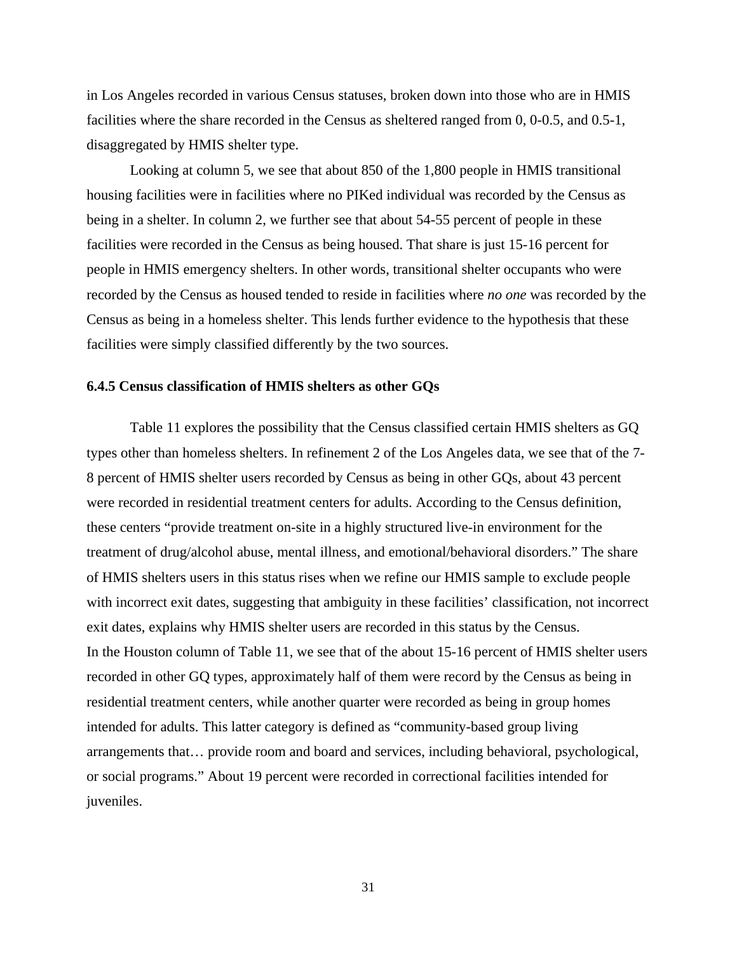in Los Angeles recorded in various Census statuses, broken down into those who are in HMIS facilities where the share recorded in the Census as sheltered ranged from 0, 0-0.5, and 0.5-1, disaggregated by HMIS shelter type.

Looking at column 5, we see that about 850 of the 1,800 people in HMIS transitional housing facilities were in facilities where no PIKed individual was recorded by the Census as being in a shelter. In column 2, we further see that about 54-55 percent of people in these facilities were recorded in the Census as being housed. That share is just 15-16 percent for people in HMIS emergency shelters. In other words, transitional shelter occupants who were recorded by the Census as housed tended to reside in facilities where *no one* was recorded by the Census as being in a homeless shelter. This lends further evidence to the hypothesis that these facilities were simply classified differently by the two sources.

#### **6.4.5 Census classification of HMIS shelters as other GQs**

Table 11 explores the possibility that the Census classified certain HMIS shelters as GQ types other than homeless shelters. In refinement 2 of the Los Angeles data, we see that of the 7- 8 percent of HMIS shelter users recorded by Census as being in other GQs, about 43 percent were recorded in residential treatment centers for adults. According to the Census definition, these centers "provide treatment on-site in a highly structured live-in environment for the treatment of drug/alcohol abuse, mental illness, and emotional/behavioral disorders." The share of HMIS shelters users in this status rises when we refine our HMIS sample to exclude people with incorrect exit dates, suggesting that ambiguity in these facilities' classification, not incorrect exit dates, explains why HMIS shelter users are recorded in this status by the Census. In the Houston column of Table 11, we see that of the about 15-16 percent of HMIS shelter users recorded in other GQ types, approximately half of them were record by the Census as being in residential treatment centers, while another quarter were recorded as being in group homes intended for adults. This latter category is defined as "community-based group living arrangements that… provide room and board and services, including behavioral, psychological, or social programs." About 19 percent were recorded in correctional facilities intended for juveniles.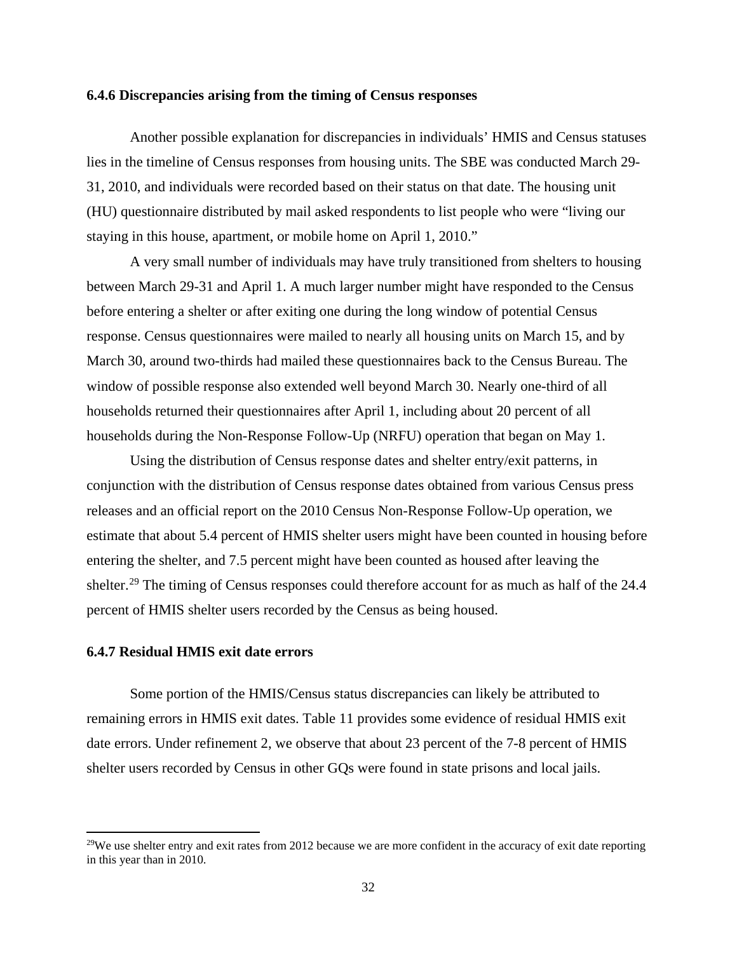#### **6.4.6 Discrepancies arising from the timing of Census responses**

Another possible explanation for discrepancies in individuals' HMIS and Census statuses lies in the timeline of Census responses from housing units. The SBE was conducted March 29- 31, 2010, and individuals were recorded based on their status on that date. The housing unit (HU) questionnaire distributed by mail asked respondents to list people who were "living our staying in this house, apartment, or mobile home on April 1, 2010."

A very small number of individuals may have truly transitioned from shelters to housing between March 29-31 and April 1. A much larger number might have responded to the Census before entering a shelter or after exiting one during the long window of potential Census response. Census questionnaires were mailed to nearly all housing units on March 15, and by March 30, around two-thirds had mailed these questionnaires back to the Census Bureau. The window of possible response also extended well beyond March 30. Nearly one-third of all households returned their questionnaires after April 1, including about 20 percent of all households during the Non-Response Follow-Up (NRFU) operation that began on May 1.

Using the distribution of Census response dates and shelter entry/exit patterns, in conjunction with the distribution of Census response dates obtained from various Census press releases and an official report on the 2010 Census Non-Response Follow-Up operation, we estimate that about 5.4 percent of HMIS shelter users might have been counted in housing before entering the shelter, and 7.5 percent might have been counted as housed after leaving the shelter.<sup>29</sup> The timing of Census responses could therefore account for as much as half of the 24.4 percent of HMIS shelter users recorded by the Census as being housed.

#### **6.4.7 Residual HMIS exit date errors**

 $\overline{\phantom{a}}$ 

Some portion of the HMIS/Census status discrepancies can likely be attributed to remaining errors in HMIS exit dates. Table 11 provides some evidence of residual HMIS exit date errors. Under refinement 2, we observe that about 23 percent of the 7-8 percent of HMIS shelter users recorded by Census in other GQs were found in state prisons and local jails.

<span id="page-34-0"></span> $29$ We use shelter entry and exit rates from 2012 because we are more confident in the accuracy of exit date reporting in this year than in 2010.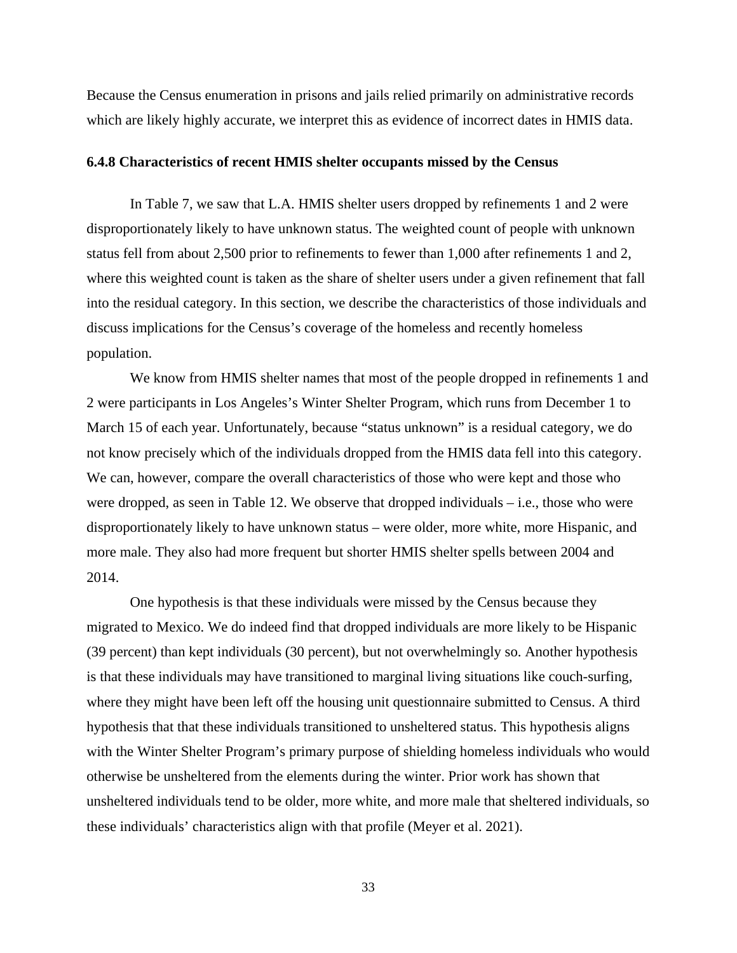Because the Census enumeration in prisons and jails relied primarily on administrative records which are likely highly accurate, we interpret this as evidence of incorrect dates in HMIS data.

#### **6.4.8 Characteristics of recent HMIS shelter occupants missed by the Census**

In Table 7, we saw that L.A. HMIS shelter users dropped by refinements 1 and 2 were disproportionately likely to have unknown status. The weighted count of people with unknown status fell from about 2,500 prior to refinements to fewer than 1,000 after refinements 1 and 2, where this weighted count is taken as the share of shelter users under a given refinement that fall into the residual category. In this section, we describe the characteristics of those individuals and discuss implications for the Census's coverage of the homeless and recently homeless population.

We know from HMIS shelter names that most of the people dropped in refinements 1 and 2 were participants in Los Angeles's Winter Shelter Program, which runs from December 1 to March 15 of each year. Unfortunately, because "status unknown" is a residual category, we do not know precisely which of the individuals dropped from the HMIS data fell into this category. We can, however, compare the overall characteristics of those who were kept and those who were dropped, as seen in Table 12. We observe that dropped individuals – i.e., those who were disproportionately likely to have unknown status – were older, more white, more Hispanic, and more male. They also had more frequent but shorter HMIS shelter spells between 2004 and 2014.

One hypothesis is that these individuals were missed by the Census because they migrated to Mexico. We do indeed find that dropped individuals are more likely to be Hispanic (39 percent) than kept individuals (30 percent), but not overwhelmingly so. Another hypothesis is that these individuals may have transitioned to marginal living situations like couch-surfing, where they might have been left off the housing unit questionnaire submitted to Census. A third hypothesis that that these individuals transitioned to unsheltered status. This hypothesis aligns with the Winter Shelter Program's primary purpose of shielding homeless individuals who would otherwise be unsheltered from the elements during the winter. Prior work has shown that unsheltered individuals tend to be older, more white, and more male that sheltered individuals, so these individuals' characteristics align with that profile (Meyer et al. 2021).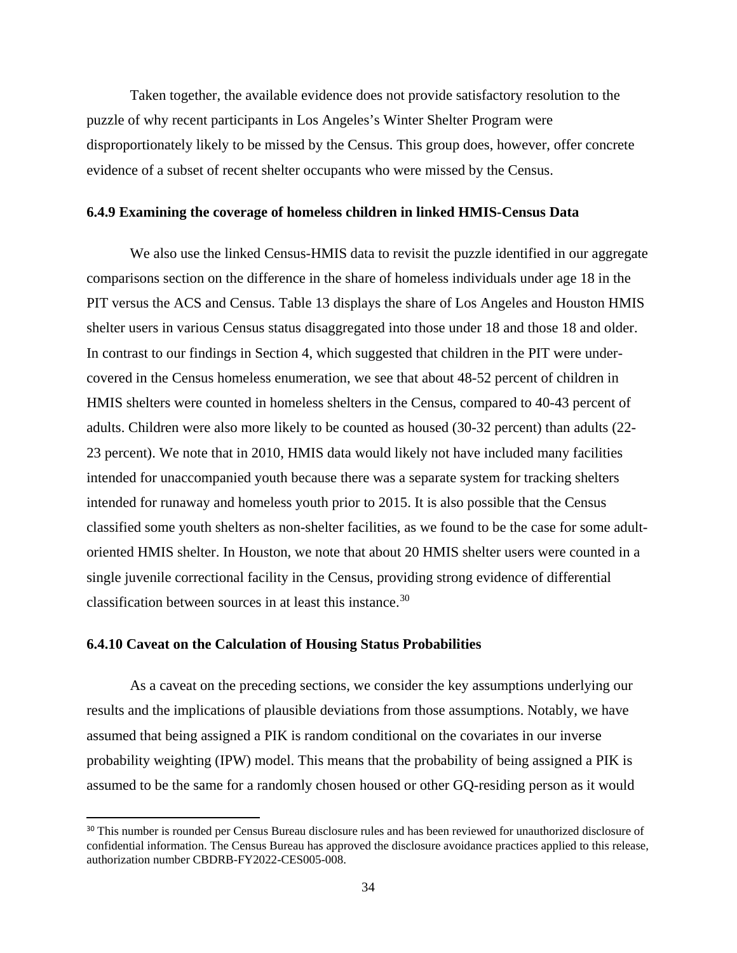Taken together, the available evidence does not provide satisfactory resolution to the puzzle of why recent participants in Los Angeles's Winter Shelter Program were disproportionately likely to be missed by the Census. This group does, however, offer concrete evidence of a subset of recent shelter occupants who were missed by the Census.

## **6.4.9 Examining the coverage of homeless children in linked HMIS-Census Data**

We also use the linked Census-HMIS data to revisit the puzzle identified in our aggregate comparisons section on the difference in the share of homeless individuals under age 18 in the PIT versus the ACS and Census. Table 13 displays the share of Los Angeles and Houston HMIS shelter users in various Census status disaggregated into those under 18 and those 18 and older. In contrast to our findings in Section 4, which suggested that children in the PIT were undercovered in the Census homeless enumeration, we see that about 48-52 percent of children in HMIS shelters were counted in homeless shelters in the Census, compared to 40-43 percent of adults. Children were also more likely to be counted as housed (30-32 percent) than adults (22- 23 percent). We note that in 2010, HMIS data would likely not have included many facilities intended for unaccompanied youth because there was a separate system for tracking shelters intended for runaway and homeless youth prior to 2015. It is also possible that the Census classified some youth shelters as non-shelter facilities, as we found to be the case for some adultoriented HMIS shelter. In Houston, we note that about 20 HMIS shelter users were counted in a single juvenile correctional facility in the Census, providing strong evidence of differential classification between sources in at least this instance.[30](#page-36-0)

## **6.4.10 Caveat on the Calculation of Housing Status Probabilities**

l

As a caveat on the preceding sections, we consider the key assumptions underlying our results and the implications of plausible deviations from those assumptions. Notably, we have assumed that being assigned a PIK is random conditional on the covariates in our inverse probability weighting (IPW) model. This means that the probability of being assigned a PIK is assumed to be the same for a randomly chosen housed or other GQ-residing person as it would

<span id="page-36-0"></span><sup>&</sup>lt;sup>30</sup> This number is rounded per Census Bureau disclosure rules and has been reviewed for unauthorized disclosure of confidential information. The Census Bureau has approved the disclosure avoidance practices applied to this release, authorization number CBDRB-FY2022-CES005-008.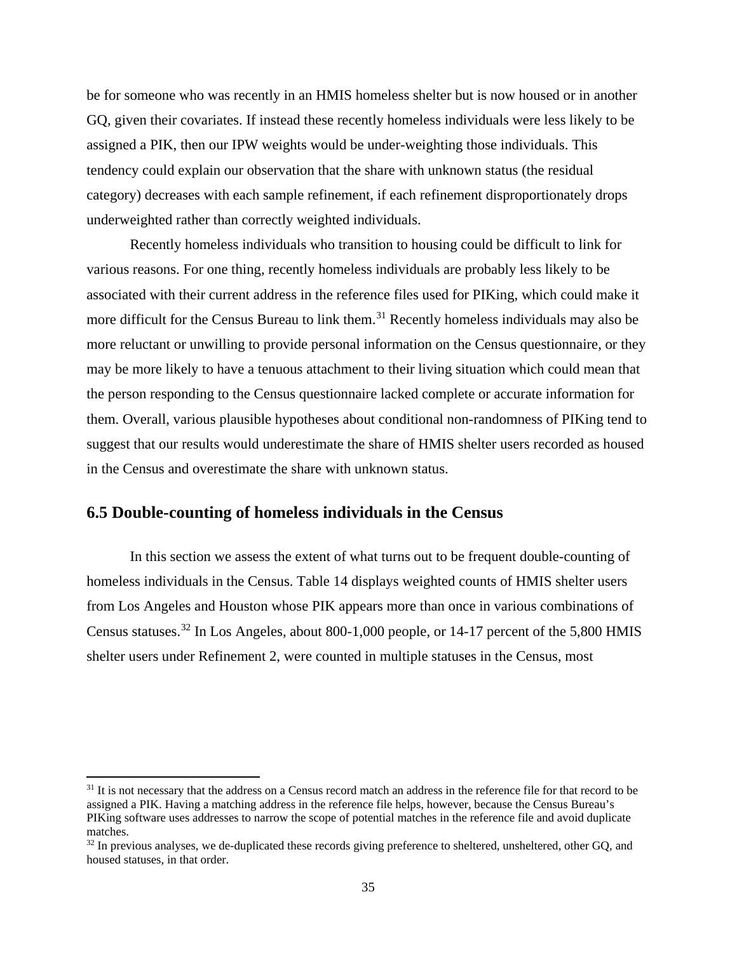be for someone who was recently in an HMIS homeless shelter but is now housed or in another GQ, given their covariates. If instead these recently homeless individuals were less likely to be assigned a PIK, then our IPW weights would be under-weighting those individuals. This tendency could explain our observation that the share with unknown status (the residual category) decreases with each sample refinement, if each refinement disproportionately drops underweighted rather than correctly weighted individuals.

Recently homeless individuals who transition to housing could be difficult to link for various reasons. For one thing, recently homeless individuals are probably less likely to be associated with their current address in the reference files used for PIKing, which could make it more difficult for the Census Bureau to link them.<sup>[31](#page-37-0)</sup> Recently homeless individuals may also be more reluctant or unwilling to provide personal information on the Census questionnaire, or they may be more likely to have a tenuous attachment to their living situation which could mean that the person responding to the Census questionnaire lacked complete or accurate information for them. Overall, various plausible hypotheses about conditional non-randomness of PIKing tend to suggest that our results would underestimate the share of HMIS shelter users recorded as housed in the Census and overestimate the share with unknown status.

# **6.5 Double-counting of homeless individuals in the Census**

 $\overline{a}$ 

In this section we assess the extent of what turns out to be frequent double-counting of homeless individuals in the Census. Table 14 displays weighted counts of HMIS shelter users from Los Angeles and Houston whose PIK appears more than once in various combinations of Census statuses.[32](#page-37-1) In Los Angeles, about 800-1,000 people, or 14-17 percent of the 5,800 HMIS shelter users under Refinement 2, were counted in multiple statuses in the Census, most

<span id="page-37-0"></span><sup>&</sup>lt;sup>31</sup> It is not necessary that the address on a Census record match an address in the reference file for that record to be assigned a PIK. Having a matching address in the reference file helps, however, because the Census Bureau's PIKing software uses addresses to narrow the scope of potential matches in the reference file and avoid duplicate matches.

<span id="page-37-1"></span><sup>&</sup>lt;sup>32</sup> In previous analyses, we de-duplicated these records giving preference to sheltered, unsheltered, other GQ, and housed statuses, in that order.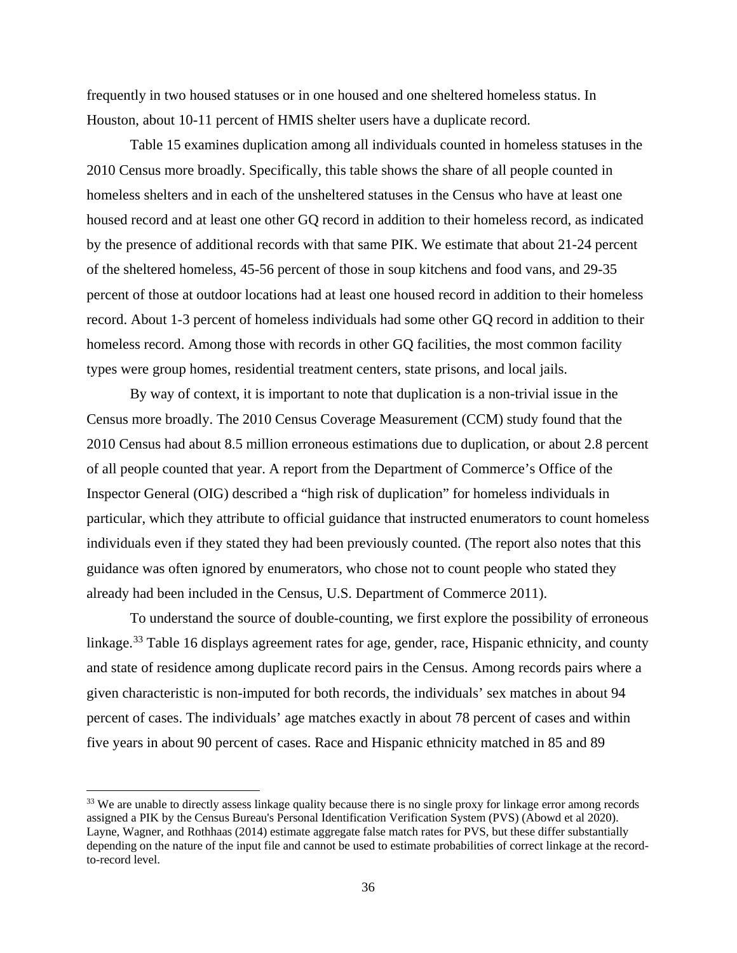frequently in two housed statuses or in one housed and one sheltered homeless status. In Houston, about 10-11 percent of HMIS shelter users have a duplicate record.

Table 15 examines duplication among all individuals counted in homeless statuses in the 2010 Census more broadly. Specifically, this table shows the share of all people counted in homeless shelters and in each of the unsheltered statuses in the Census who have at least one housed record and at least one other GQ record in addition to their homeless record, as indicated by the presence of additional records with that same PIK. We estimate that about 21-24 percent of the sheltered homeless, 45-56 percent of those in soup kitchens and food vans, and 29-35 percent of those at outdoor locations had at least one housed record in addition to their homeless record. About 1-3 percent of homeless individuals had some other GQ record in addition to their homeless record. Among those with records in other GQ facilities, the most common facility types were group homes, residential treatment centers, state prisons, and local jails.

By way of context, it is important to note that duplication is a non-trivial issue in the Census more broadly. The 2010 Census Coverage Measurement (CCM) study found that the 2010 Census had about 8.5 million erroneous estimations due to duplication, or about 2.8 percent of all people counted that year. A report from the Department of Commerce's Office of the Inspector General (OIG) described a "high risk of duplication" for homeless individuals in particular, which they attribute to official guidance that instructed enumerators to count homeless individuals even if they stated they had been previously counted. (The report also notes that this guidance was often ignored by enumerators, who chose not to count people who stated they already had been included in the Census, U.S. Department of Commerce 2011).

To understand the source of double-counting, we first explore the possibility of erroneous linkage.<sup>33</sup> Table 16 displays agreement rates for age, gender, race, Hispanic ethnicity, and county and state of residence among duplicate record pairs in the Census. Among records pairs where a given characteristic is non-imputed for both records, the individuals' sex matches in about 94 percent of cases. The individuals' age matches exactly in about 78 percent of cases and within five years in about 90 percent of cases. Race and Hispanic ethnicity matched in 85 and 89

 $\overline{\phantom{a}}$ 

<span id="page-38-0"></span><sup>&</sup>lt;sup>33</sup> We are unable to directly assess linkage quality because there is no single proxy for linkage error among records assigned a PIK by the Census Bureau's Personal Identification Verification System (PVS) (Abowd et al 2020). Layne, Wagner, and Rothhaas (2014) estimate aggregate false match rates for PVS, but these differ substantially depending on the nature of the input file and cannot be used to estimate probabilities of correct linkage at the recordto-record level.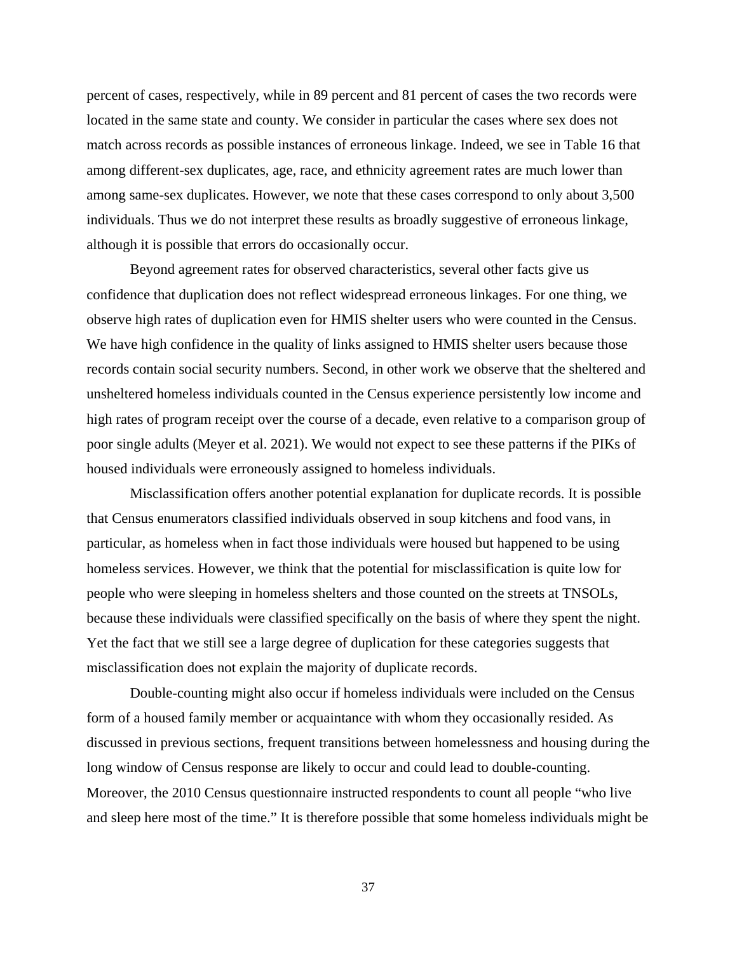percent of cases, respectively, while in 89 percent and 81 percent of cases the two records were located in the same state and county. We consider in particular the cases where sex does not match across records as possible instances of erroneous linkage. Indeed, we see in Table 16 that among different-sex duplicates, age, race, and ethnicity agreement rates are much lower than among same-sex duplicates. However, we note that these cases correspond to only about 3,500 individuals. Thus we do not interpret these results as broadly suggestive of erroneous linkage, although it is possible that errors do occasionally occur.

Beyond agreement rates for observed characteristics, several other facts give us confidence that duplication does not reflect widespread erroneous linkages. For one thing, we observe high rates of duplication even for HMIS shelter users who were counted in the Census. We have high confidence in the quality of links assigned to HMIS shelter users because those records contain social security numbers. Second, in other work we observe that the sheltered and unsheltered homeless individuals counted in the Census experience persistently low income and high rates of program receipt over the course of a decade, even relative to a comparison group of poor single adults (Meyer et al. 2021). We would not expect to see these patterns if the PIKs of housed individuals were erroneously assigned to homeless individuals.

Misclassification offers another potential explanation for duplicate records. It is possible that Census enumerators classified individuals observed in soup kitchens and food vans, in particular, as homeless when in fact those individuals were housed but happened to be using homeless services. However, we think that the potential for misclassification is quite low for people who were sleeping in homeless shelters and those counted on the streets at TNSOLs, because these individuals were classified specifically on the basis of where they spent the night. Yet the fact that we still see a large degree of duplication for these categories suggests that misclassification does not explain the majority of duplicate records.

Double-counting might also occur if homeless individuals were included on the Census form of a housed family member or acquaintance with whom they occasionally resided. As discussed in previous sections, frequent transitions between homelessness and housing during the long window of Census response are likely to occur and could lead to double-counting. Moreover, the 2010 Census questionnaire instructed respondents to count all people "who live and sleep here most of the time." It is therefore possible that some homeless individuals might be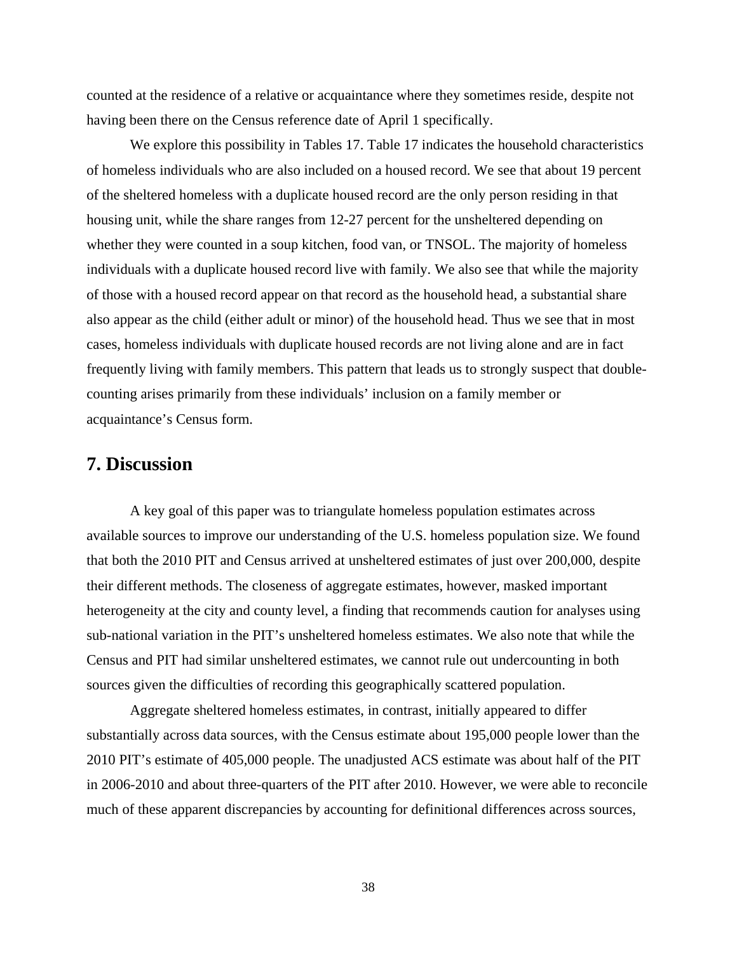counted at the residence of a relative or acquaintance where they sometimes reside, despite not having been there on the Census reference date of April 1 specifically.

We explore this possibility in Tables 17. Table 17 indicates the household characteristics of homeless individuals who are also included on a housed record. We see that about 19 percent of the sheltered homeless with a duplicate housed record are the only person residing in that housing unit, while the share ranges from 12-27 percent for the unsheltered depending on whether they were counted in a soup kitchen, food van, or TNSOL. The majority of homeless individuals with a duplicate housed record live with family. We also see that while the majority of those with a housed record appear on that record as the household head, a substantial share also appear as the child (either adult or minor) of the household head. Thus we see that in most cases, homeless individuals with duplicate housed records are not living alone and are in fact frequently living with family members. This pattern that leads us to strongly suspect that doublecounting arises primarily from these individuals' inclusion on a family member or acquaintance's Census form.

# **7. Discussion**

A key goal of this paper was to triangulate homeless population estimates across available sources to improve our understanding of the U.S. homeless population size. We found that both the 2010 PIT and Census arrived at unsheltered estimates of just over 200,000, despite their different methods. The closeness of aggregate estimates, however, masked important heterogeneity at the city and county level, a finding that recommends caution for analyses using sub-national variation in the PIT's unsheltered homeless estimates. We also note that while the Census and PIT had similar unsheltered estimates, we cannot rule out undercounting in both sources given the difficulties of recording this geographically scattered population.

Aggregate sheltered homeless estimates, in contrast, initially appeared to differ substantially across data sources, with the Census estimate about 195,000 people lower than the 2010 PIT's estimate of 405,000 people. The unadjusted ACS estimate was about half of the PIT in 2006-2010 and about three-quarters of the PIT after 2010. However, we were able to reconcile much of these apparent discrepancies by accounting for definitional differences across sources,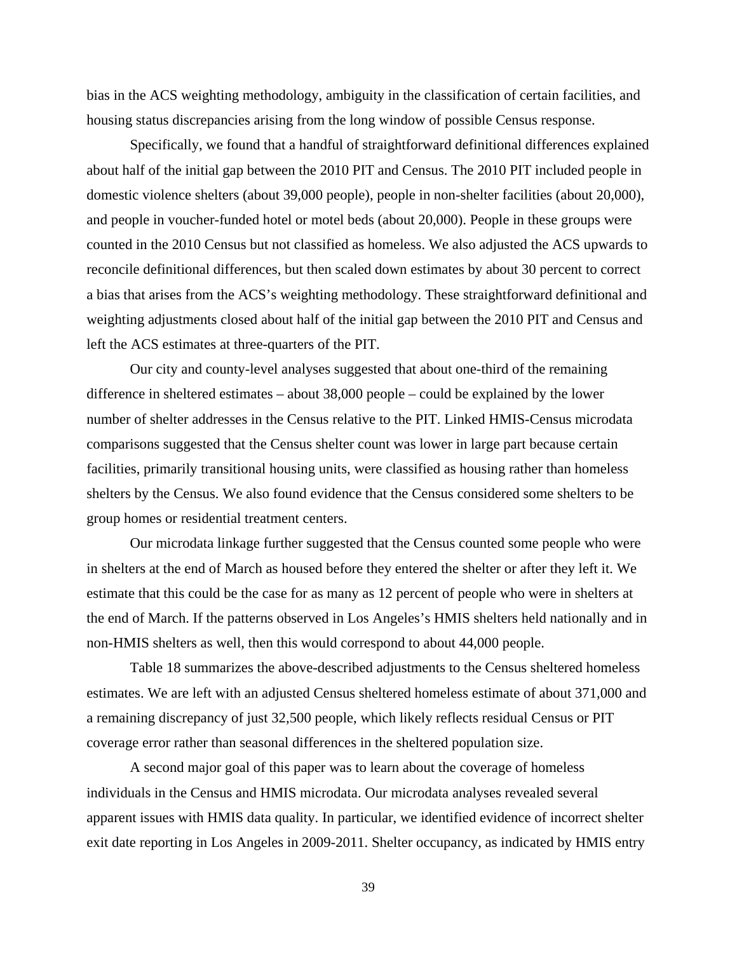bias in the ACS weighting methodology, ambiguity in the classification of certain facilities, and housing status discrepancies arising from the long window of possible Census response.

Specifically, we found that a handful of straightforward definitional differences explained about half of the initial gap between the 2010 PIT and Census. The 2010 PIT included people in domestic violence shelters (about 39,000 people), people in non-shelter facilities (about 20,000), and people in voucher-funded hotel or motel beds (about 20,000). People in these groups were counted in the 2010 Census but not classified as homeless. We also adjusted the ACS upwards to reconcile definitional differences, but then scaled down estimates by about 30 percent to correct a bias that arises from the ACS's weighting methodology. These straightforward definitional and weighting adjustments closed about half of the initial gap between the 2010 PIT and Census and left the ACS estimates at three-quarters of the PIT.

Our city and county-level analyses suggested that about one-third of the remaining difference in sheltered estimates – about 38,000 people – could be explained by the lower number of shelter addresses in the Census relative to the PIT. Linked HMIS-Census microdata comparisons suggested that the Census shelter count was lower in large part because certain facilities, primarily transitional housing units, were classified as housing rather than homeless shelters by the Census. We also found evidence that the Census considered some shelters to be group homes or residential treatment centers.

Our microdata linkage further suggested that the Census counted some people who were in shelters at the end of March as housed before they entered the shelter or after they left it. We estimate that this could be the case for as many as 12 percent of people who were in shelters at the end of March. If the patterns observed in Los Angeles's HMIS shelters held nationally and in non-HMIS shelters as well, then this would correspond to about 44,000 people.

Table 18 summarizes the above-described adjustments to the Census sheltered homeless estimates. We are left with an adjusted Census sheltered homeless estimate of about 371,000 and a remaining discrepancy of just 32,500 people, which likely reflects residual Census or PIT coverage error rather than seasonal differences in the sheltered population size.

A second major goal of this paper was to learn about the coverage of homeless individuals in the Census and HMIS microdata. Our microdata analyses revealed several apparent issues with HMIS data quality. In particular, we identified evidence of incorrect shelter exit date reporting in Los Angeles in 2009-2011. Shelter occupancy, as indicated by HMIS entry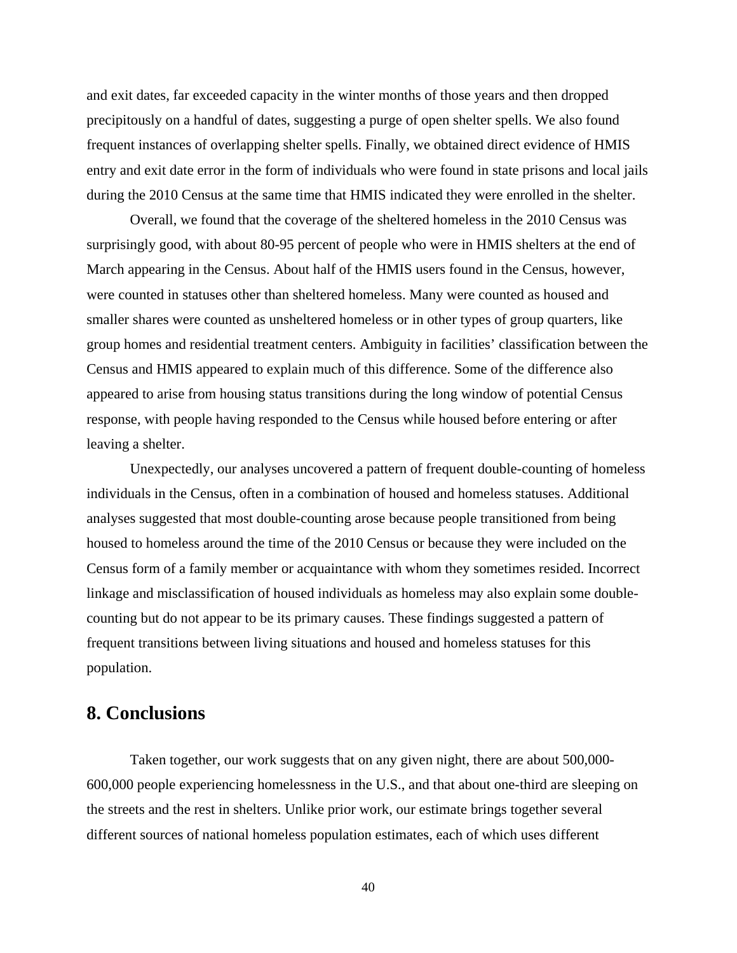and exit dates, far exceeded capacity in the winter months of those years and then dropped precipitously on a handful of dates, suggesting a purge of open shelter spells. We also found frequent instances of overlapping shelter spells. Finally, we obtained direct evidence of HMIS entry and exit date error in the form of individuals who were found in state prisons and local jails during the 2010 Census at the same time that HMIS indicated they were enrolled in the shelter.

Overall, we found that the coverage of the sheltered homeless in the 2010 Census was surprisingly good, with about 80-95 percent of people who were in HMIS shelters at the end of March appearing in the Census. About half of the HMIS users found in the Census, however, were counted in statuses other than sheltered homeless. Many were counted as housed and smaller shares were counted as unsheltered homeless or in other types of group quarters, like group homes and residential treatment centers. Ambiguity in facilities' classification between the Census and HMIS appeared to explain much of this difference. Some of the difference also appeared to arise from housing status transitions during the long window of potential Census response, with people having responded to the Census while housed before entering or after leaving a shelter.

Unexpectedly, our analyses uncovered a pattern of frequent double-counting of homeless individuals in the Census, often in a combination of housed and homeless statuses. Additional analyses suggested that most double-counting arose because people transitioned from being housed to homeless around the time of the 2010 Census or because they were included on the Census form of a family member or acquaintance with whom they sometimes resided. Incorrect linkage and misclassification of housed individuals as homeless may also explain some doublecounting but do not appear to be its primary causes. These findings suggested a pattern of frequent transitions between living situations and housed and homeless statuses for this population.

# **8. Conclusions**

Taken together, our work suggests that on any given night, there are about 500,000-600,000 people experiencing homelessness in the U.S., and that about one-third are sleeping on the streets and the rest in shelters. Unlike prior work, our estimate brings together several different sources of national homeless population estimates, each of which uses different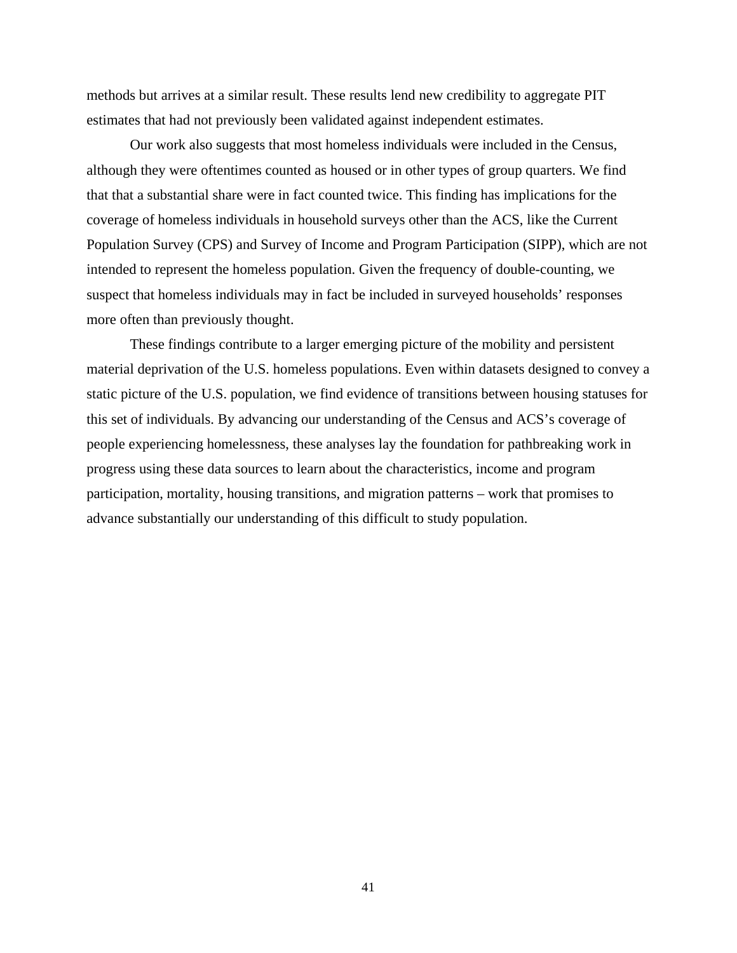methods but arrives at a similar result. These results lend new credibility to aggregate PIT estimates that had not previously been validated against independent estimates.

Our work also suggests that most homeless individuals were included in the Census, although they were oftentimes counted as housed or in other types of group quarters. We find that that a substantial share were in fact counted twice. This finding has implications for the coverage of homeless individuals in household surveys other than the ACS, like the Current Population Survey (CPS) and Survey of Income and Program Participation (SIPP), which are not intended to represent the homeless population. Given the frequency of double-counting, we suspect that homeless individuals may in fact be included in surveyed households' responses more often than previously thought.

These findings contribute to a larger emerging picture of the mobility and persistent material deprivation of the U.S. homeless populations. Even within datasets designed to convey a static picture of the U.S. population, we find evidence of transitions between housing statuses for this set of individuals. By advancing our understanding of the Census and ACS's coverage of people experiencing homelessness, these analyses lay the foundation for pathbreaking work in progress using these data sources to learn about the characteristics, income and program participation, mortality, housing transitions, and migration patterns – work that promises to advance substantially our understanding of this difficult to study population.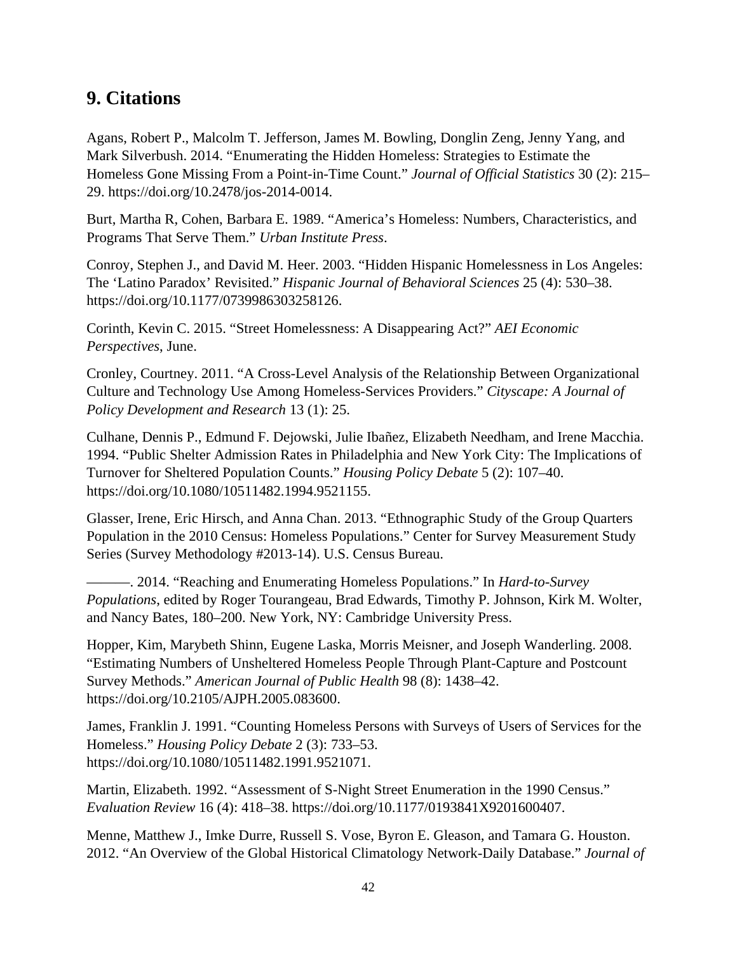# **9. Citations**

Agans, Robert P., Malcolm T. Jefferson, James M. Bowling, Donglin Zeng, Jenny Yang, and Mark Silverbush. 2014. "Enumerating the Hidden Homeless: Strategies to Estimate the Homeless Gone Missing From a Point-in-Time Count." *Journal of Official Statistics* 30 (2): 215– 29. https://doi.org/10.2478/jos-2014-0014.

Burt, Martha R, Cohen, Barbara E. 1989. "America's Homeless: Numbers, Characteristics, and Programs That Serve Them." *Urban Institute Press*.

Conroy, Stephen J., and David M. Heer. 2003. "Hidden Hispanic Homelessness in Los Angeles: The 'Latino Paradox' Revisited." *Hispanic Journal of Behavioral Sciences* 25 (4): 530–38. https://doi.org/10.1177/0739986303258126.

Corinth, Kevin C. 2015. "Street Homelessness: A Disappearing Act?" *AEI Economic Perspectives*, June.

Cronley, Courtney. 2011. "A Cross-Level Analysis of the Relationship Between Organizational Culture and Technology Use Among Homeless-Services Providers." *Cityscape: A Journal of Policy Development and Research* 13 (1): 25.

Culhane, Dennis P., Edmund F. Dejowski, Julie Ibañez, Elizabeth Needham, and Irene Macchia. 1994. "Public Shelter Admission Rates in Philadelphia and New York City: The Implications of Turnover for Sheltered Population Counts." *Housing Policy Debate* 5 (2): 107–40. https://doi.org/10.1080/10511482.1994.9521155.

Glasser, Irene, Eric Hirsch, and Anna Chan. 2013. "Ethnographic Study of the Group Quarters Population in the 2010 Census: Homeless Populations." Center for Survey Measurement Study Series (Survey Methodology #2013-14). U.S. Census Bureau.

———. 2014. "Reaching and Enumerating Homeless Populations." In *Hard-to-Survey Populations*, edited by Roger Tourangeau, Brad Edwards, Timothy P. Johnson, Kirk M. Wolter, and Nancy Bates, 180–200. New York, NY: Cambridge University Press.

Hopper, Kim, Marybeth Shinn, Eugene Laska, Morris Meisner, and Joseph Wanderling. 2008. "Estimating Numbers of Unsheltered Homeless People Through Plant-Capture and Postcount Survey Methods." *American Journal of Public Health* 98 (8): 1438–42. https://doi.org/10.2105/AJPH.2005.083600.

James, Franklin J. 1991. "Counting Homeless Persons with Surveys of Users of Services for the Homeless." *Housing Policy Debate* 2 (3): 733–53. https://doi.org/10.1080/10511482.1991.9521071.

Martin, Elizabeth. 1992. "Assessment of S-Night Street Enumeration in the 1990 Census." *Evaluation Review* 16 (4): 418–38. https://doi.org/10.1177/0193841X9201600407.

Menne, Matthew J., Imke Durre, Russell S. Vose, Byron E. Gleason, and Tamara G. Houston. 2012. "An Overview of the Global Historical Climatology Network-Daily Database." *Journal of*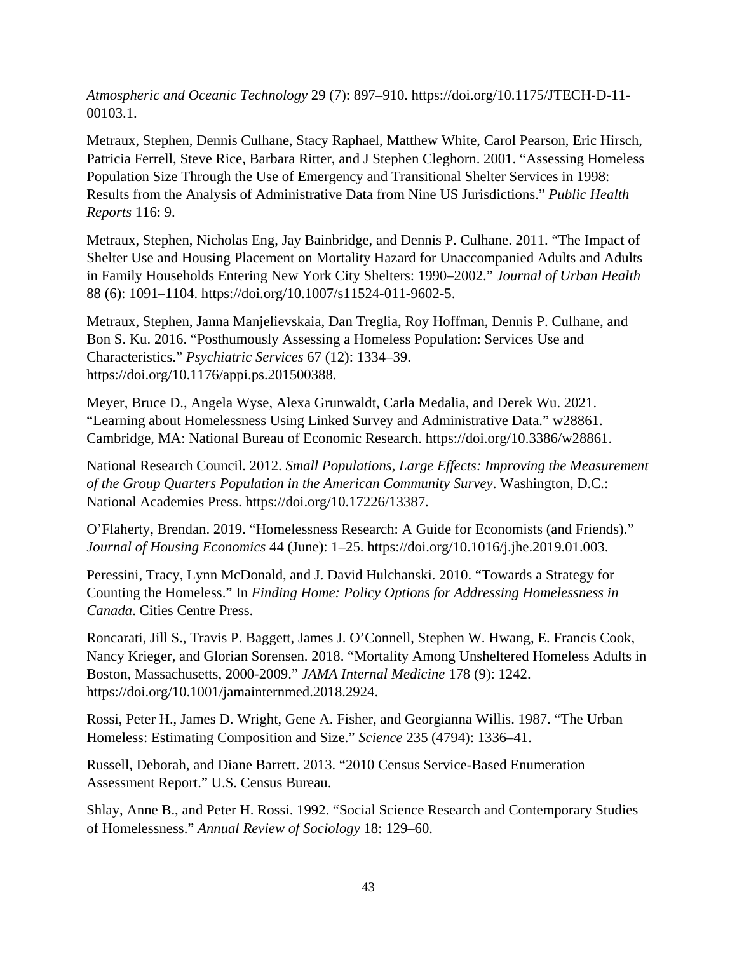*Atmospheric and Oceanic Technology* 29 (7): 897–910. https://doi.org/10.1175/JTECH-D-11- 00103.1.

Metraux, Stephen, Dennis Culhane, Stacy Raphael, Matthew White, Carol Pearson, Eric Hirsch, Patricia Ferrell, Steve Rice, Barbara Ritter, and J Stephen Cleghorn. 2001. "Assessing Homeless Population Size Through the Use of Emergency and Transitional Shelter Services in 1998: Results from the Analysis of Administrative Data from Nine US Jurisdictions." *Public Health Reports* 116: 9.

Metraux, Stephen, Nicholas Eng, Jay Bainbridge, and Dennis P. Culhane. 2011. "The Impact of Shelter Use and Housing Placement on Mortality Hazard for Unaccompanied Adults and Adults in Family Households Entering New York City Shelters: 1990–2002." *Journal of Urban Health* 88 (6): 1091–1104. https://doi.org/10.1007/s11524-011-9602-5.

Metraux, Stephen, Janna Manjelievskaia, Dan Treglia, Roy Hoffman, Dennis P. Culhane, and Bon S. Ku. 2016. "Posthumously Assessing a Homeless Population: Services Use and Characteristics." *Psychiatric Services* 67 (12): 1334–39. https://doi.org/10.1176/appi.ps.201500388.

Meyer, Bruce D., Angela Wyse, Alexa Grunwaldt, Carla Medalia, and Derek Wu. 2021. "Learning about Homelessness Using Linked Survey and Administrative Data." w28861. Cambridge, MA: National Bureau of Economic Research. https://doi.org/10.3386/w28861.

National Research Council. 2012. *Small Populations, Large Effects: Improving the Measurement of the Group Quarters Population in the American Community Survey*. Washington, D.C.: National Academies Press. https://doi.org/10.17226/13387.

O'Flaherty, Brendan. 2019. "Homelessness Research: A Guide for Economists (and Friends)." *Journal of Housing Economics* 44 (June): 1–25. https://doi.org/10.1016/j.jhe.2019.01.003.

Peressini, Tracy, Lynn McDonald, and J. David Hulchanski. 2010. "Towards a Strategy for Counting the Homeless." In *Finding Home: Policy Options for Addressing Homelessness in Canada*. Cities Centre Press.

Roncarati, Jill S., Travis P. Baggett, James J. O'Connell, Stephen W. Hwang, E. Francis Cook, Nancy Krieger, and Glorian Sorensen. 2018. "Mortality Among Unsheltered Homeless Adults in Boston, Massachusetts, 2000-2009." *JAMA Internal Medicine* 178 (9): 1242. https://doi.org/10.1001/jamainternmed.2018.2924.

Rossi, Peter H., James D. Wright, Gene A. Fisher, and Georgianna Willis. 1987. "The Urban Homeless: Estimating Composition and Size." *Science* 235 (4794): 1336–41.

Russell, Deborah, and Diane Barrett. 2013. "2010 Census Service-Based Enumeration Assessment Report." U.S. Census Bureau.

Shlay, Anne B., and Peter H. Rossi. 1992. "Social Science Research and Contemporary Studies of Homelessness." *Annual Review of Sociology* 18: 129–60.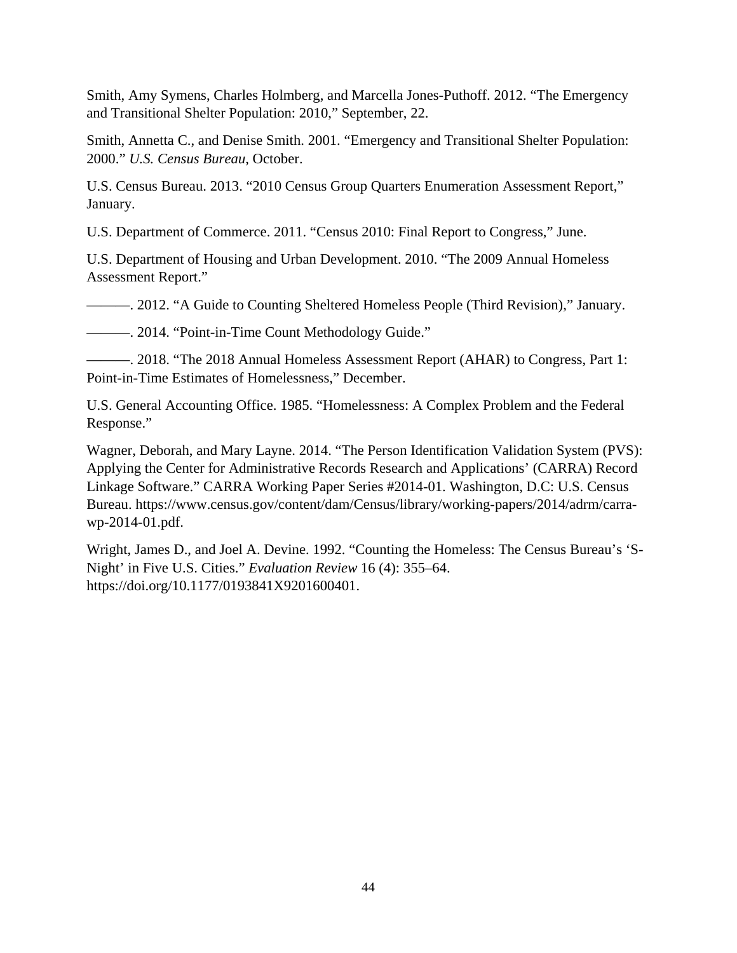Smith, Amy Symens, Charles Holmberg, and Marcella Jones-Puthoff. 2012. "The Emergency and Transitional Shelter Population: 2010," September, 22.

Smith, Annetta C., and Denise Smith. 2001. "Emergency and Transitional Shelter Population: 2000." *U.S. Census Bureau*, October.

U.S. Census Bureau. 2013. "2010 Census Group Quarters Enumeration Assessment Report," January.

U.S. Department of Commerce. 2011. "Census 2010: Final Report to Congress," June.

U.S. Department of Housing and Urban Development. 2010. "The 2009 Annual Homeless Assessment Report."

———. 2012. "A Guide to Counting Sheltered Homeless People (Third Revision)," January.

———. 2014. "Point-in-Time Count Methodology Guide."

———. 2018. "The 2018 Annual Homeless Assessment Report (AHAR) to Congress, Part 1: Point-in-Time Estimates of Homelessness," December.

U.S. General Accounting Office. 1985. "Homelessness: A Complex Problem and the Federal Response."

Wagner, Deborah, and Mary Layne. 2014. "The Person Identification Validation System (PVS): Applying the Center for Administrative Records Research and Applications' (CARRA) Record Linkage Software." CARRA Working Paper Series #2014-01. Washington, D.C: U.S. Census Bureau. https://www.census.gov/content/dam/Census/library/working-papers/2014/adrm/carrawp-2014-01.pdf.

Wright, James D., and Joel A. Devine. 1992. "Counting the Homeless: The Census Bureau's 'S-Night' in Five U.S. Cities." *Evaluation Review* 16 (4): 355–64. https://doi.org/10.1177/0193841X9201600401.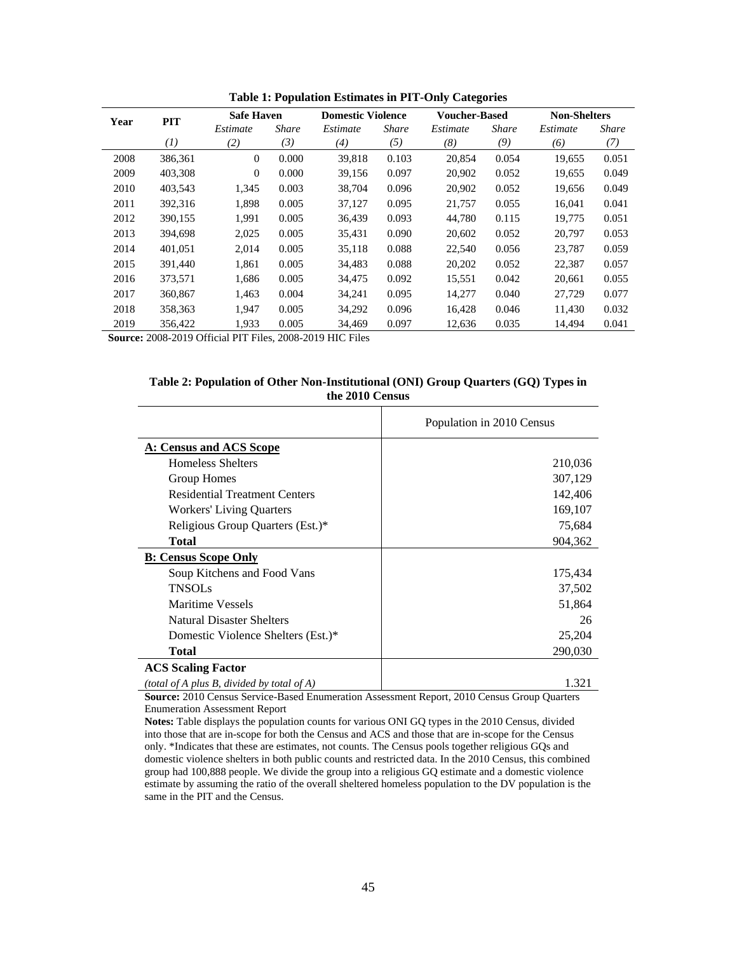| Year | <b>PIT</b> | <b>Safe Haven</b> |              | <b>Domestic Violence</b> |              | <b>Voucher-Based</b> |              |          | <b>Non-Shelters</b> |  |
|------|------------|-------------------|--------------|--------------------------|--------------|----------------------|--------------|----------|---------------------|--|
|      |            | Estimate          | <b>Share</b> | Estimate                 | <b>Share</b> | Estimate             | <b>Share</b> | Estimate | Share               |  |
|      | (I)        | (2)               | (3)          | (4)                      | (5)          | (8)                  | (9)          | (6)      | (7)                 |  |
| 2008 | 386,361    | $\theta$          | 0.000        | 39,818                   | 0.103        | 20,854               | 0.054        | 19,655   | 0.051               |  |
| 2009 | 403,308    | $\Omega$          | 0.000        | 39.156                   | 0.097        | 20,902               | 0.052        | 19.655   | 0.049               |  |
| 2010 | 403,543    | 1,345             | 0.003        | 38.704                   | 0.096        | 20,902               | 0.052        | 19.656   | 0.049               |  |
| 2011 | 392.316    | 1.898             | 0.005        | 37.127                   | 0.095        | 21,757               | 0.055        | 16.041   | 0.041               |  |
| 2012 | 390,155    | 1,991             | 0.005        | 36,439                   | 0.093        | 44,780               | 0.115        | 19,775   | 0.051               |  |
| 2013 | 394.698    | 2,025             | 0.005        | 35.431                   | 0.090        | 20,602               | 0.052        | 20,797   | 0.053               |  |
| 2014 | 401.051    | 2.014             | 0.005        | 35.118                   | 0.088        | 22,540               | 0.056        | 23,787   | 0.059               |  |
| 2015 | 391.440    | 1.861             | 0.005        | 34.483                   | 0.088        | 20,202               | 0.052        | 22,387   | 0.057               |  |
| 2016 | 373,571    | 1,686             | 0.005        | 34.475                   | 0.092        | 15,551               | 0.042        | 20.661   | 0.055               |  |
| 2017 | 360,867    | 1,463             | 0.004        | 34,241                   | 0.095        | 14,277               | 0.040        | 27.729   | 0.077               |  |
| 2018 | 358,363    | 1.947             | 0.005        | 34.292                   | 0.096        | 16,428               | 0.046        | 11.430   | 0.032               |  |
| 2019 | 356,422    | 1,933             | 0.005        | 34,469                   | 0.097        | 12,636               | 0.035        | 14.494   | 0.041               |  |

**Table 1: Population Estimates in PIT-Only Categories**

**Source:** 2008-2019 Official PIT Files, 2008-2019 HIC Files

| Table 2: Population of Other Non-Institutional (ONI) Group Quarters (GQ) Types in |
|-----------------------------------------------------------------------------------|
| the 2010 Census                                                                   |

|                                            | Population in 2010 Census |
|--------------------------------------------|---------------------------|
| <b>A: Census and ACS Scope</b>             |                           |
| Homeless Shelters                          | 210,036                   |
| Group Homes                                | 307,129                   |
| <b>Residential Treatment Centers</b>       | 142,406                   |
| Workers' Living Quarters                   | 169,107                   |
| Religious Group Quarters (Est.)*           | 75,684                    |
| Total                                      | 904,362                   |
| <b>B: Census Scope Only</b>                |                           |
| Soup Kitchens and Food Vans                | 175,434                   |
| <b>TNSOLs</b>                              | 37,502                    |
| Maritime Vessels                           | 51,864                    |
| <b>Natural Disaster Shelters</b>           | 26                        |
| Domestic Violence Shelters (Est.)*         | 25,204                    |
| Total                                      | 290,030                   |
| <b>ACS Scaling Factor</b>                  |                           |
| (total of A plus B, divided by total of A) | 1.321                     |

**Source:** 2010 Census Service-Based Enumeration Assessment Report, 2010 Census Group Quarters Enumeration Assessment Report

**Notes:** Table displays the population counts for various ONI GQ types in the 2010 Census, divided into those that are in-scope for both the Census and ACS and those that are in-scope for the Census only. \*Indicates that these are estimates, not counts. The Census pools together religious GQs and domestic violence shelters in both public counts and restricted data. In the 2010 Census, this combined group had 100,888 people. We divide the group into a religious GQ estimate and a domestic violence estimate by assuming the ratio of the overall sheltered homeless population to the DV population is the same in the PIT and the Census.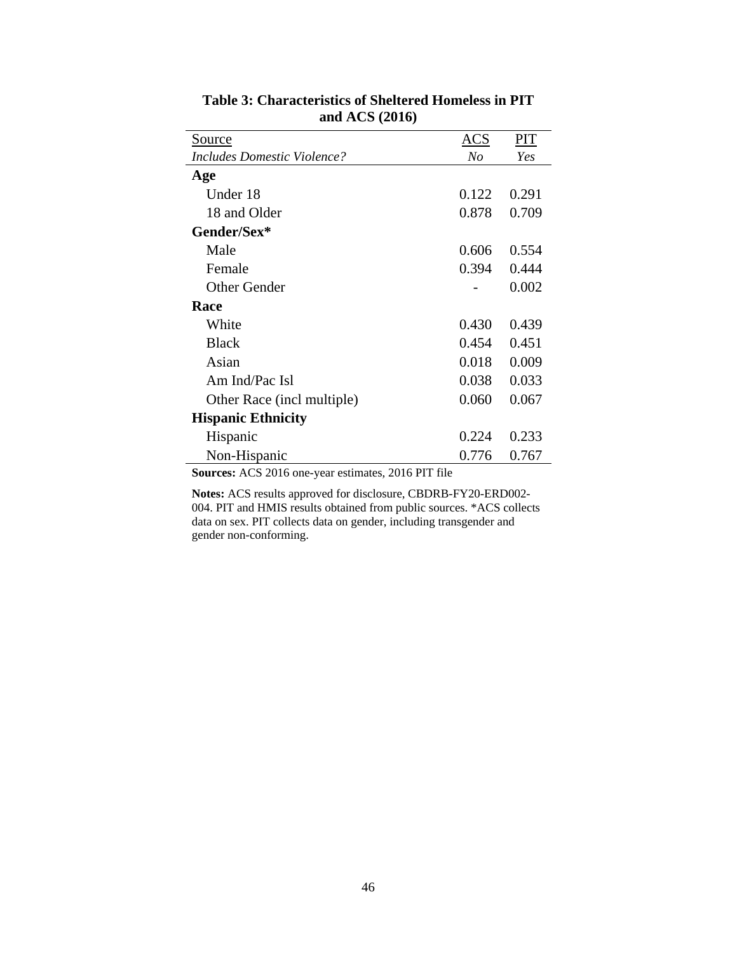| <u>Source</u>                                                                | ACS            | PIT   |
|------------------------------------------------------------------------------|----------------|-------|
| <i>Includes Domestic Violence?</i>                                           | N <sub>O</sub> | Yes   |
| Age                                                                          |                |       |
| Under 18                                                                     | 0.122          | 0.291 |
| 18 and Older                                                                 | 0.878          | 0.709 |
| Gender/Sex*                                                                  |                |       |
| Male                                                                         | 0.606          | 0.554 |
| Female                                                                       | 0.394          | 0.444 |
| <b>Other Gender</b>                                                          |                | 0.002 |
| Race                                                                         |                |       |
| White                                                                        | 0.430          | 0.439 |
| <b>Black</b>                                                                 | 0.454          | 0.451 |
| Asian                                                                        | 0.018          | 0.009 |
| Am Ind/Pac Isl                                                               | 0.038          | 0.033 |
| Other Race (incl multiple)                                                   | 0.060          | 0.067 |
| <b>Hispanic Ethnicity</b>                                                    |                |       |
| Hispanic                                                                     | 0.224          | 0.233 |
| Non-Hispanic                                                                 | 0.776          | 0.767 |
| $\mathbf{S_{\OmegaUrgest, \LambdaCS, 2016 and year estimates, 2016 DIT file$ |                |       |

**Table 3: Characteristics of Sheltered Homeless in PIT and ACS (2016)** 

**Sources:** ACS 2016 one-year estimates, 2016 PIT file

**Notes:** ACS results approved for disclosure, CBDRB-FY20-ERD002- 004. PIT and HMIS results obtained from public sources. \*ACS collects data on sex. PIT collects data on gender, including transgender and gender non-conforming.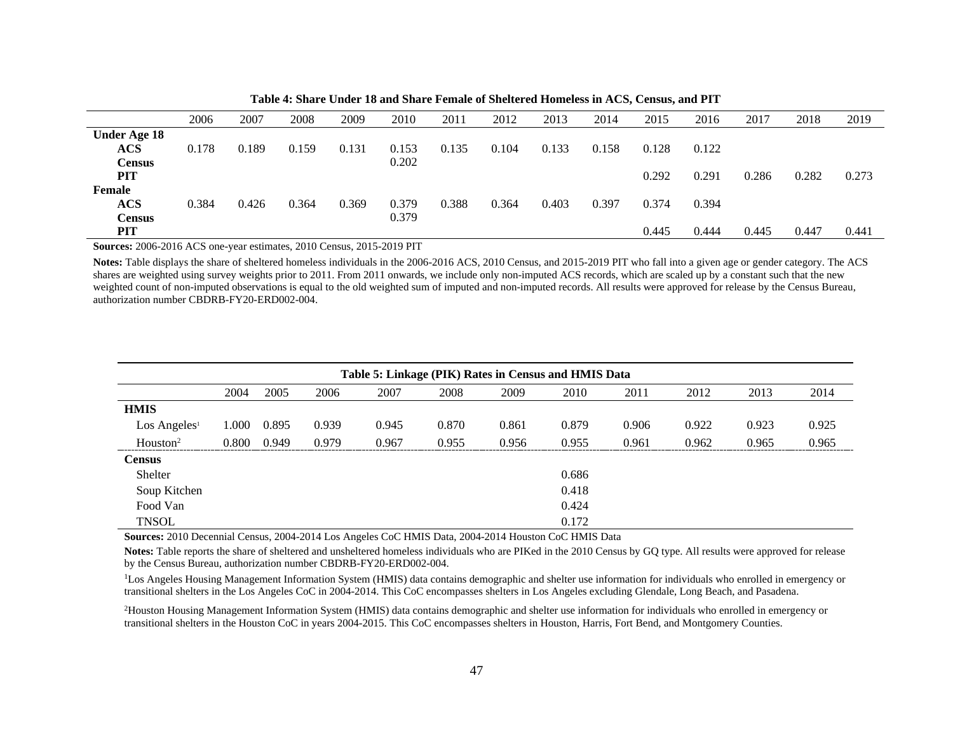|                     | 2006  | 2007  | 2008  | 2009  | 2010  | 2011  | 2012  | 2013  | 2014  | 2015  | 2016  | 2017  | 2018  | 2019  |
|---------------------|-------|-------|-------|-------|-------|-------|-------|-------|-------|-------|-------|-------|-------|-------|
| <b>Under Age 18</b> |       |       |       |       |       |       |       |       |       |       |       |       |       |       |
| $\mathbf{ACS}$      | 0.178 | 0.189 | 0.159 | 0.131 | 0.153 | 0.135 | 0.104 | 0.133 | 0.158 | 0.128 | 0.122 |       |       |       |
| <b>Census</b>       |       |       |       |       | 0.202 |       |       |       |       |       |       |       |       |       |
| PIT                 |       |       |       |       |       |       |       |       |       | 0.292 | 0.291 | 0.286 | 0.282 | 0.273 |
| Female              |       |       |       |       |       |       |       |       |       |       |       |       |       |       |
| $\mathbf{ACS}$      | 0.384 | 0.426 | 0.364 | 0.369 | 0.379 | 0.388 | 0.364 | 0.403 | 0.397 | 0.374 | 0.394 |       |       |       |
| <b>Census</b>       |       |       |       |       | 0.379 |       |       |       |       |       |       |       |       |       |
| <b>PIT</b>          |       |       |       |       |       |       |       |       |       | 0.445 | 0.444 | 0.445 | 0.447 | 0.441 |
|                     |       |       |       |       |       |       |       |       |       |       |       |       |       |       |

**Table 4: Share Under 18 and Share Female of Sheltered Homeless in ACS, Census, and PIT**

**Sources:** 2006-2016 ACS one-year estimates, 2010 Census, 2015-2019 PIT

**Notes:** Table displays the share of sheltered homeless individuals in the 2006-2016 ACS, 2010 Census, and 2015-2019 PIT who fall into a given age or gender category. The ACS shares are weighted using survey weights prior to 2011. From 2011 onwards, we include only non-imputed ACS records, which are scaled up by a constant such that the new weighted count of non-imputed observations is equal to the old weighted sum of imputed and non-imputed records. All results were approved for release by the Census Bureau, authorization number CBDRB-FY20-ERD002-004.

| Table 5: Linkage (PIK) Rates in Census and HMIS Data |       |       |       |       |       |       |       |       |       |       |       |
|------------------------------------------------------|-------|-------|-------|-------|-------|-------|-------|-------|-------|-------|-------|
|                                                      | 2004  | 2005  | 2006  | 2007  | 2008  | 2009  | 2010  | 2011  | 2012  | 2013  | 2014  |
| <b>HMIS</b>                                          |       |       |       |       |       |       |       |       |       |       |       |
| $\text{Los Angeles}^1$                               | 1.000 | 0.895 | 0.939 | 0.945 | 0.870 | 0.861 | 0.879 | 0.906 | 0.922 | 0.923 | 0.925 |
| $H$ ouston <sup>2</sup>                              | 0.800 | 0.949 | 0.979 | 0.967 | 0.955 | 0.956 | 0.955 | 0.961 | 0.962 | 0.965 | 0.965 |
| <b>Census</b>                                        |       |       |       |       |       |       |       |       |       |       |       |
| Shelter                                              |       |       |       |       |       |       | 0.686 |       |       |       |       |
| Soup Kitchen                                         |       |       |       |       |       |       | 0.418 |       |       |       |       |
| Food Van                                             |       |       |       |       |       |       | 0.424 |       |       |       |       |
| <b>TNSOL</b>                                         |       |       |       |       |       |       | 0.172 |       |       |       |       |

**Sources:** 2010 Decennial Census, 2004-2014 Los Angeles CoC HMIS Data, 2004-2014 Houston CoC HMIS Data

Notes: Table reports the share of sheltered and unsheltered homeless individuals who are PIKed in the 2010 Census by GQ type. All results were approved for release by the Census Bureau, authorization number CBDRB-FY20-ERD002-004.

<sup>1</sup>Los Angeles Housing Management Information System (HMIS) data contains demographic and shelter use information for individuals who enrolled in emergency or transitional shelters in the Los Angeles CoC in 2004-2014. This CoC encompasses shelters in Los Angeles excluding Glendale, Long Beach, and Pasadena.

2Houston Housing Management Information System (HMIS) data contains demographic and shelter use information for individuals who enrolled in emergency or transitional shelters in the Houston CoC in years 2004-2015. This CoC encompasses shelters in Houston, Harris, Fort Bend, and Montgomery Counties.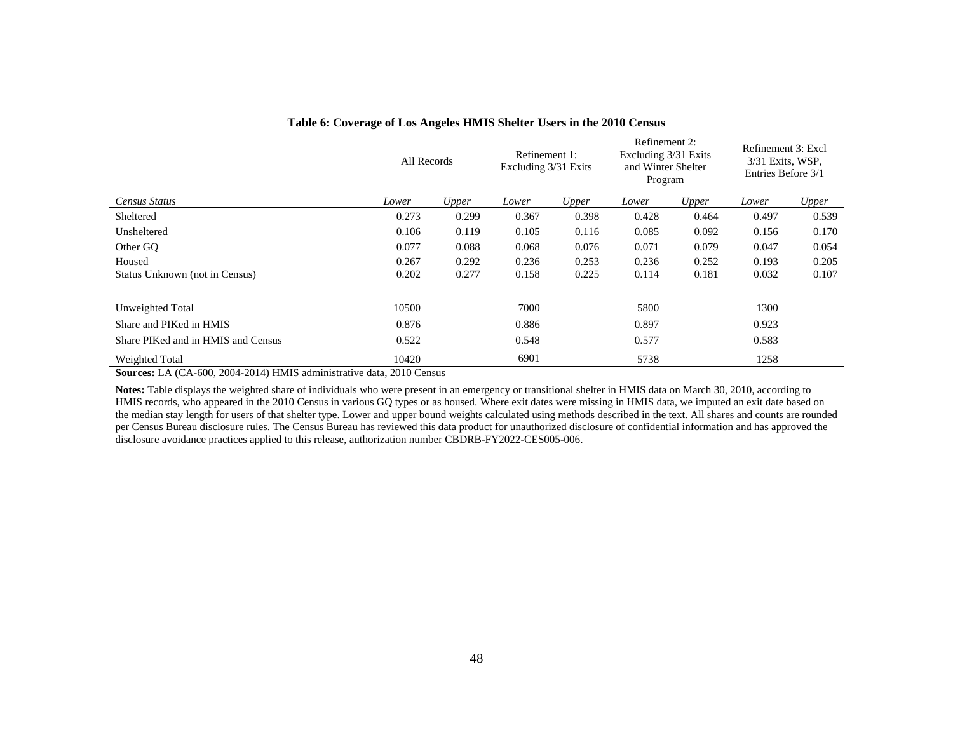|                                    | All Records |       | Refinement 1:<br>Excluding 3/31 Exits |       | Refinement 2:<br>Excluding 3/31 Exits<br>and Winter Shelter<br>Program |       | Refinement 3: Excl<br>3/31 Exits, WSP,<br>Entries Before 3/1 |       |
|------------------------------------|-------------|-------|---------------------------------------|-------|------------------------------------------------------------------------|-------|--------------------------------------------------------------|-------|
| Census Status                      | Lower       | Upper | Lower                                 | Upper | Lower                                                                  | Upper | Lower                                                        | Upper |
| Sheltered                          | 0.273       | 0.299 | 0.367                                 | 0.398 | 0.428                                                                  | 0.464 | 0.497                                                        | 0.539 |
| Unsheltered                        | 0.106       | 0.119 | 0.105                                 | 0.116 | 0.085                                                                  | 0.092 | 0.156                                                        | 0.170 |
| Other GO                           | 0.077       | 0.088 | 0.068                                 | 0.076 | 0.071                                                                  | 0.079 | 0.047                                                        | 0.054 |
| Housed                             | 0.267       | 0.292 | 0.236                                 | 0.253 | 0.236                                                                  | 0.252 | 0.193                                                        | 0.205 |
| Status Unknown (not in Census)     | 0.202       | 0.277 | 0.158                                 | 0.225 | 0.114                                                                  | 0.181 | 0.032                                                        | 0.107 |
|                                    |             |       |                                       |       |                                                                        |       |                                                              |       |
| Unweighted Total                   | 10500       |       | 7000                                  |       | 5800                                                                   |       | 1300                                                         |       |
| Share and PIKed in HMIS            | 0.876       |       | 0.886                                 |       | 0.897                                                                  |       | 0.923                                                        |       |
| Share PIKed and in HMIS and Census | 0.522       |       | 0.548                                 |       | 0.577                                                                  |       | 0.583                                                        |       |
| Weighted Total                     | 10420       |       | 6901                                  |       | 5738                                                                   |       | 1258                                                         |       |

#### **Table 6: Coverage of Los Angeles HMIS Shelter Users in the 2010 Census**

**Sources:** LA (CA-600, 2004-2014) HMIS administrative data, 2010 Census

**Notes:** Table displays the weighted share of individuals who were present in an emergency or transitional shelter in HMIS data on March 30, 2010, according to HMIS records, who appeared in the 2010 Census in various GQ types or as housed. Where exit dates were missing in HMIS data, we imputed an exit date based on the median stay length for users of that shelter type. Lower and upper bound weights calculated using methods described in the text. All shares and counts are rounded per Census Bureau disclosure rules. The Census Bureau has reviewed this data product for unauthorized disclosure of confidential information and has approved the disclosure avoidance practices applied to this release, authorization number CBDRB-FY2022-CES005-006.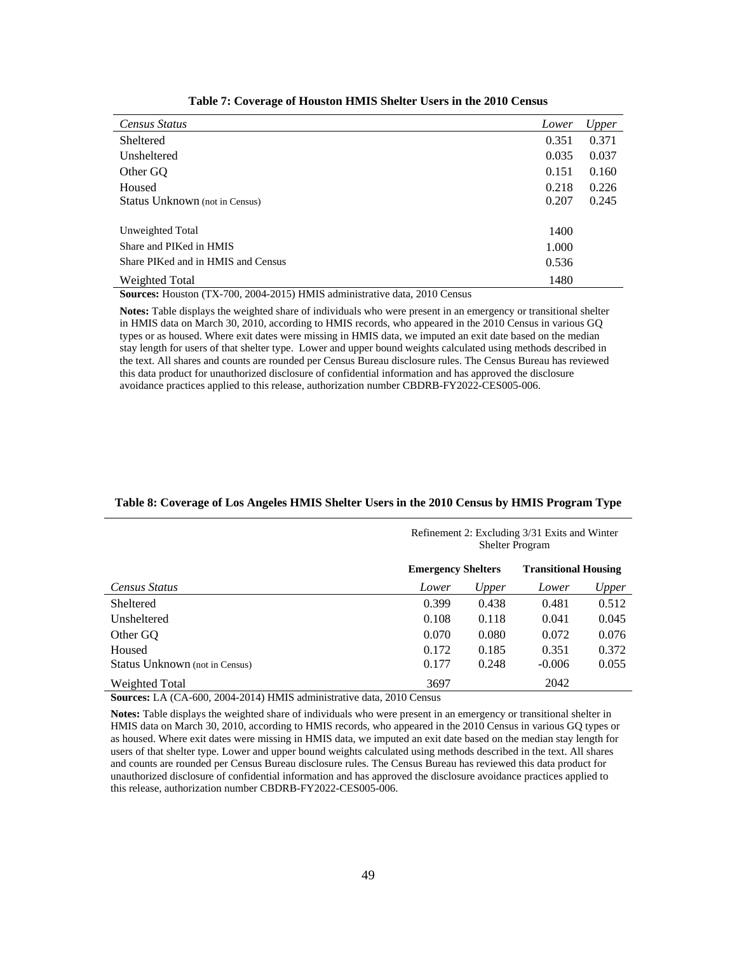| Census Status                                                                            | Lower | Upper |
|------------------------------------------------------------------------------------------|-------|-------|
| Sheltered                                                                                | 0.351 | 0.371 |
| Unsheltered                                                                              | 0.035 | 0.037 |
| Other GQ                                                                                 | 0.151 | 0.160 |
| Housed                                                                                   | 0.218 | 0.226 |
| Status Unknown (not in Census)                                                           | 0.207 | 0.245 |
|                                                                                          |       |       |
| Unweighted Total                                                                         | 1400  |       |
| Share and PIKed in HMIS                                                                  | 1.000 |       |
| Share PIKed and in HMIS and Census                                                       | 0.536 |       |
| Weighted Total<br>$\alpha$ II $\alpha$ (FIX 700.0001.0015) IB (IQ 1 $\beta$ ) $\beta$ 1. | 1480  |       |

**Table 7: Coverage of Houston HMIS Shelter Users in the 2010 Census**

**Sources:** Houston (TX-700, 2004-2015) HMIS administrative data, 2010 Census

**Notes:** Table displays the weighted share of individuals who were present in an emergency or transitional shelter in HMIS data on March 30, 2010, according to HMIS records, who appeared in the 2010 Census in various GQ types or as housed. Where exit dates were missing in HMIS data, we imputed an exit date based on the median stay length for users of that shelter type. Lower and upper bound weights calculated using methods described in the text. All shares and counts are rounded per Census Bureau disclosure rules. The Census Bureau has reviewed this data product for unauthorized disclosure of confidential information and has approved the disclosure avoidance practices applied to this release, authorization number CBDRB-FY2022-CES005-006.

|                                |                           | Refinement 2: Excluding 3/31 Exits and Winter<br><b>Shelter Program</b> |                             |       |  |  |  |  |
|--------------------------------|---------------------------|-------------------------------------------------------------------------|-----------------------------|-------|--|--|--|--|
|                                | <b>Emergency Shelters</b> |                                                                         | <b>Transitional Housing</b> |       |  |  |  |  |
| Census Status                  | Lower                     | Upper                                                                   | Lower                       | Upper |  |  |  |  |
| Sheltered                      | 0.399                     | 0.438                                                                   | 0.481                       | 0.512 |  |  |  |  |
| Unsheltered                    | 0.108                     | 0.118                                                                   | 0.041                       | 0.045 |  |  |  |  |
| Other GO                       | 0.070                     | 0.080                                                                   | 0.072                       | 0.076 |  |  |  |  |
| Housed                         | 0.172                     | 0.185                                                                   | 0.351                       | 0.372 |  |  |  |  |
| Status Unknown (not in Census) | 0.177                     | 0.248                                                                   | $-0.006$                    | 0.055 |  |  |  |  |
| Weighted Total                 | 3697                      |                                                                         | 2042                        |       |  |  |  |  |

#### **Table 8: Coverage of Los Angeles HMIS Shelter Users in the 2010 Census by HMIS Program Type**

**Sources:** LA (CA-600, 2004-2014) HMIS administrative data, 2010 Census

**Notes:** Table displays the weighted share of individuals who were present in an emergency or transitional shelter in HMIS data on March 30, 2010, according to HMIS records, who appeared in the 2010 Census in various GQ types or as housed. Where exit dates were missing in HMIS data, we imputed an exit date based on the median stay length for users of that shelter type. Lower and upper bound weights calculated using methods described in the text. All shares and counts are rounded per Census Bureau disclosure rules. The Census Bureau has reviewed this data product for unauthorized disclosure of confidential information and has approved the disclosure avoidance practices applied to this release, authorization number CBDRB-FY2022-CES005-006.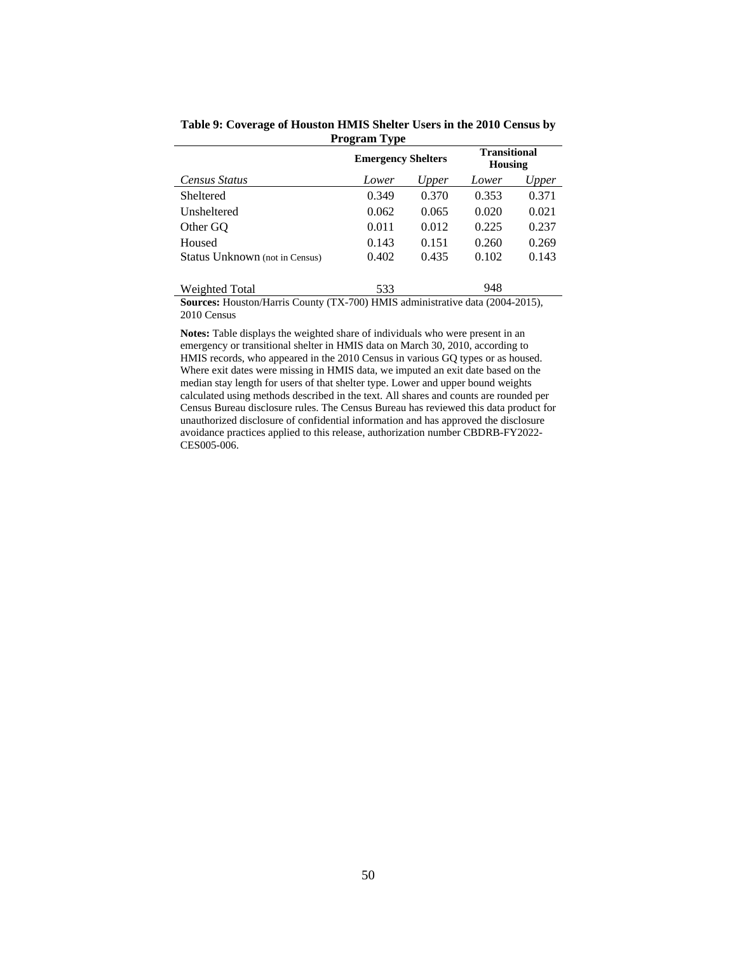|                                | <b>Emergency Shelters</b> |       | <b>Transitional</b><br><b>Housing</b> |       |  |
|--------------------------------|---------------------------|-------|---------------------------------------|-------|--|
| Census Status                  | Lower                     | Upper | Lower                                 | Upper |  |
| Sheltered                      | 0.349                     | 0.370 | 0.353                                 | 0.371 |  |
| Unsheltered                    | 0.062                     | 0.065 | 0.020                                 | 0.021 |  |
| Other GO                       | 0.011                     | 0.012 | 0.225                                 | 0.237 |  |
| Housed                         | 0.143                     | 0.151 | 0.260                                 | 0.269 |  |
| Status Unknown (not in Census) | 0.402                     | 0.435 | 0.102                                 | 0.143 |  |
| Weighted Total                 | 533                       |       | 148                                   |       |  |

**Table 9: Coverage of Houston HMIS Shelter Users in the 2010 Census by Program Type**

**Sources:** Houston/Harris County (TX-700) HMIS administrative data (2004-2015), 2010 Census

**Notes:** Table displays the weighted share of individuals who were present in an emergency or transitional shelter in HMIS data on March 30, 2010, according to HMIS records, who appeared in the 2010 Census in various GQ types or as housed. Where exit dates were missing in HMIS data, we imputed an exit date based on the median stay length for users of that shelter type. Lower and upper bound weights calculated using methods described in the text. All shares and counts are rounded per Census Bureau disclosure rules. The Census Bureau has reviewed this data product for unauthorized disclosure of confidential information and has approved the disclosure avoidance practices applied to this release, authorization number CBDRB-FY2022- CES005-006.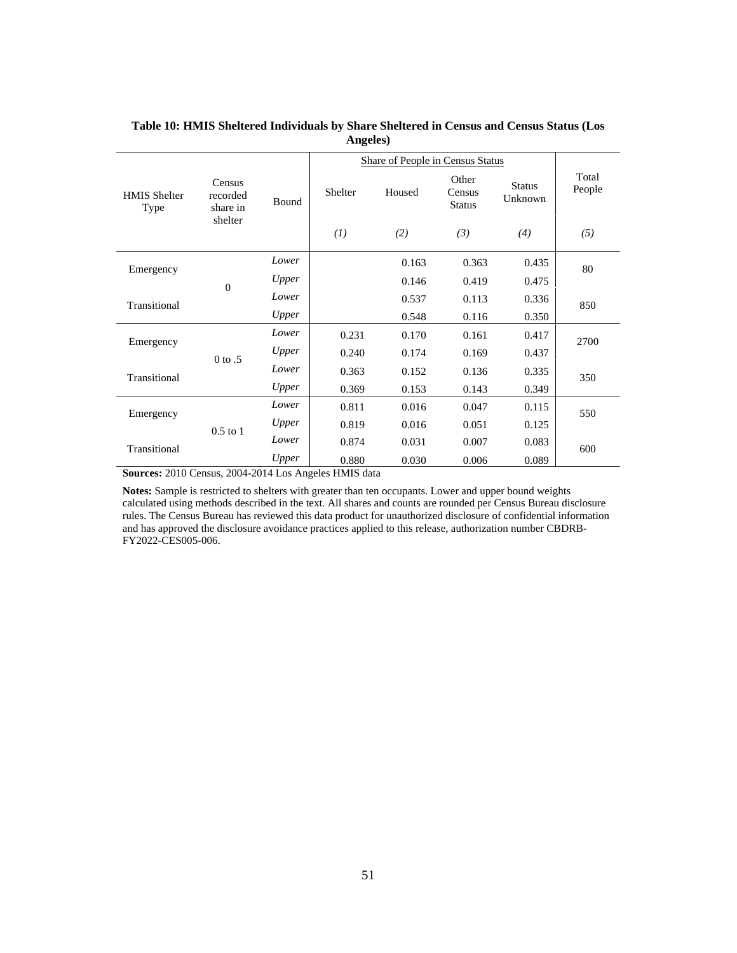|                             |                                |                     | <b>Share of People in Census Status</b> |        |                                  |                          |                 |  |
|-----------------------------|--------------------------------|---------------------|-----------------------------------------|--------|----------------------------------|--------------------------|-----------------|--|
| <b>HMIS Shelter</b><br>Type | Census<br>recorded<br>share in | <b>Bound</b>        | Shelter                                 | Housed | Other<br>Census<br><b>Status</b> | <b>Status</b><br>Unknown | Total<br>People |  |
|                             | shelter                        |                     | (I)                                     | (2)    | (3)                              | (4)                      | (5)             |  |
| Emergency                   |                                | Lower               |                                         | 0.163  | 0.363                            | 0.435                    | 80              |  |
|                             | $\overline{0}$                 | Upper               |                                         | 0.146  | 0.419                            | 0.475                    |                 |  |
| Transitional                |                                | Lower               |                                         | 0.537  | 0.113                            | 0.336                    | 850             |  |
|                             |                                | Upper               |                                         | 0.548  | 0.116                            | 0.350                    |                 |  |
| Emergency                   |                                | Lower               | 0.231                                   | 0.170  | 0.161                            | 0.417                    | 2700            |  |
|                             | $0$ to $.5$                    | Upper               | 0.240                                   | 0.174  | 0.169                            | 0.437                    |                 |  |
| Transitional                |                                | Lower               | 0.363                                   | 0.152  | 0.136                            | 0.335                    | 350             |  |
|                             |                                | Upper               | 0.369                                   | 0.153  | 0.143                            | 0.349                    |                 |  |
| Emergency                   |                                | Lower               | 0.811                                   | 0.016  | 0.047                            | 0.115                    | 550             |  |
|                             | $0.5$ to $1$                   | Upper               | 0.819                                   | 0.016  | 0.051                            | 0.125                    |                 |  |
| Transitional                |                                | Lower               | 0.874                                   | 0.031  | 0.007                            | 0.083                    | 600             |  |
| 2010A<br>$\sim$             |                                | Upper<br>0.00100117 | 0.880                                   | 0.030  | 0.006                            | 0.089                    |                 |  |

## **Table 10: HMIS Sheltered Individuals by Share Sheltered in Census and Census Status (Los Angeles)**

**Sources:** 2010 Census, 2004-2014 Los Angeles HMIS data

**Notes:** Sample is restricted to shelters with greater than ten occupants. Lower and upper bound weights calculated using methods described in the text. All shares and counts are rounded per Census Bureau disclosure rules. The Census Bureau has reviewed this data product for unauthorized disclosure of confidential information and has approved the disclosure avoidance practices applied to this release, authorization number CBDRB-FY2022-CES005-006.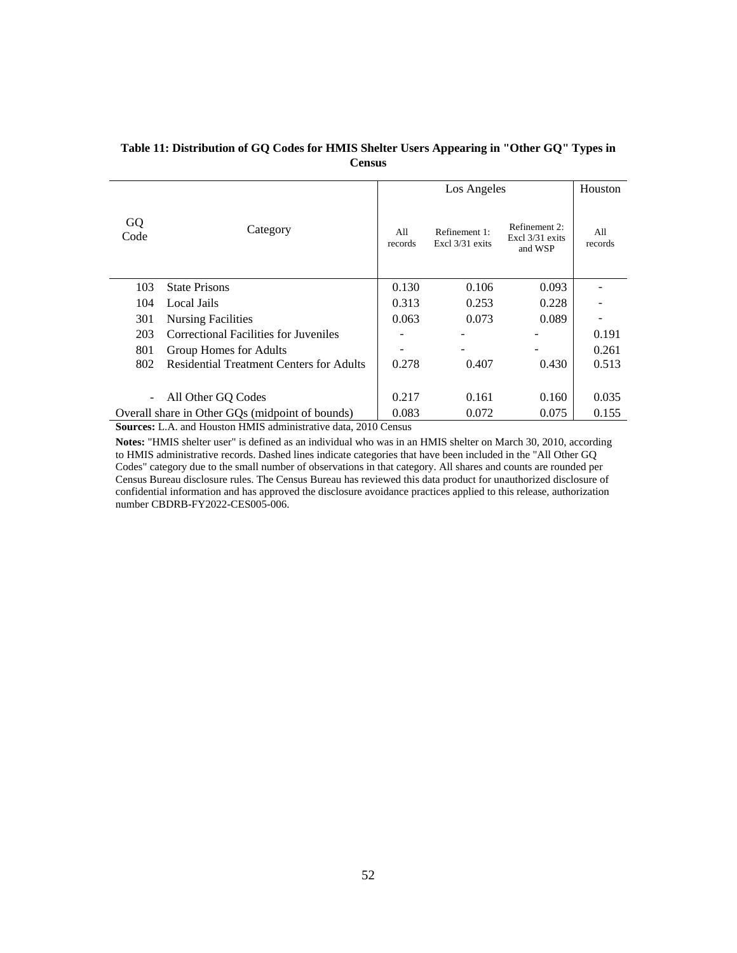|            |                                                 |                | Los Angeles                      | Houston                                     |                |
|------------|-------------------------------------------------|----------------|----------------------------------|---------------------------------------------|----------------|
| GQ<br>Code | Category                                        | A11<br>records | Refinement 1:<br>Excl 3/31 exits | Refinement 2:<br>Excl 3/31 exits<br>and WSP | A11<br>records |
| 103        | <b>State Prisons</b>                            | 0.130          | 0.106                            | 0.093                                       |                |
| 104        | Local Jails                                     | 0.313          | 0.253                            | 0.228                                       |                |
| 301        | <b>Nursing Facilities</b>                       | 0.063          | 0.073                            | 0.089                                       |                |
| 203        | Correctional Facilities for Juveniles           |                |                                  |                                             | 0.191          |
| 801        | Group Homes for Adults                          |                |                                  |                                             | 0.261          |
| 802        | <b>Residential Treatment Centers for Adults</b> | 0.278          | 0.407                            | 0.430                                       | 0.513          |
|            |                                                 |                |                                  |                                             |                |
|            | All Other GQ Codes                              | 0.217          | 0.161                            | 0.160                                       | 0.035          |
|            | Overall share in Other GQs (midpoint of bounds) | 0.083          | 0.072                            | 0.075                                       | 0.155          |

# **Table 11: Distribution of GQ Codes for HMIS Shelter Users Appearing in "Other GQ" Types in Census**

**Sources:** L.A. and Houston HMIS administrative data, 2010 Census

**Notes:** "HMIS shelter user" is defined as an individual who was in an HMIS shelter on March 30, 2010, according to HMIS administrative records. Dashed lines indicate categories that have been included in the "All Other GQ Codes" category due to the small number of observations in that category. All shares and counts are rounded per Census Bureau disclosure rules. The Census Bureau has reviewed this data product for unauthorized disclosure of confidential information and has approved the disclosure avoidance practices applied to this release, authorization number CBDRB-FY2022-CES005-006.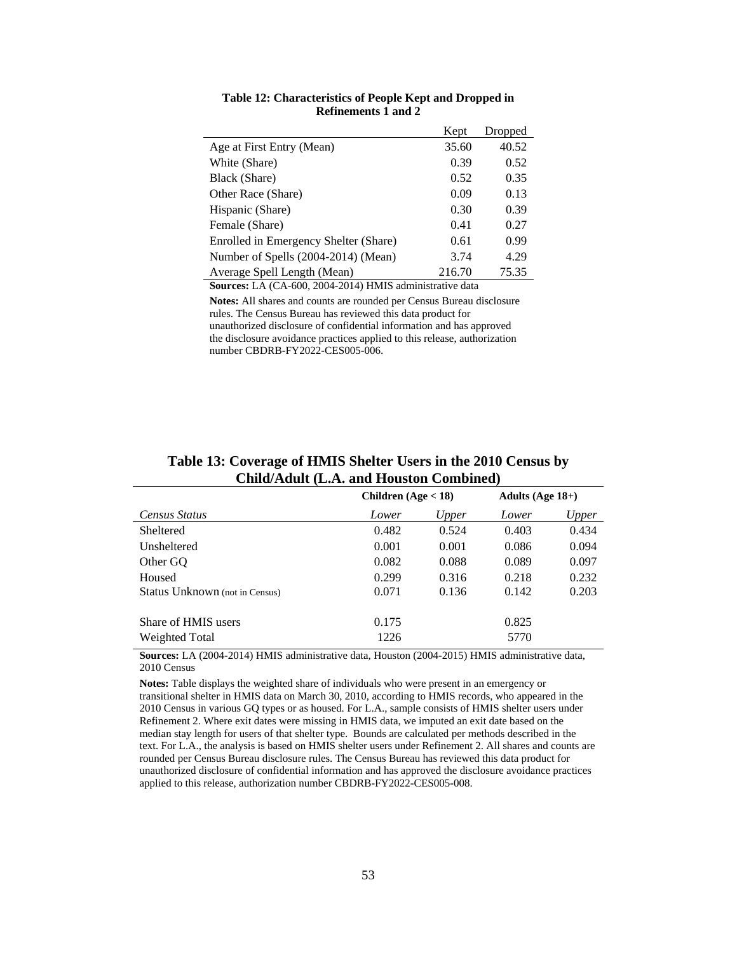|                                       | Kept   | Dropped |
|---------------------------------------|--------|---------|
| Age at First Entry (Mean)             | 35.60  | 40.52   |
| White (Share)                         | 0.39   | 0.52    |
| Black (Share)                         | 0.52   | 0.35    |
| Other Race (Share)                    | 0.09   | 0.13    |
| Hispanic (Share)                      | 0.30   | 0.39    |
| Female (Share)                        | 0.41   | 0.27    |
| Enrolled in Emergency Shelter (Share) | 0.61   | 0.99    |
| Number of Spells (2004-2014) (Mean)   | 3.74   | 4.29    |
| Average Spell Length (Mean)           | 216.70 | 75.35   |

**Table 12: Characteristics of People Kept and Dropped in Refinements 1 and 2**

**Sources:** LA (CA-600, 2004-2014) HMIS administrative data

**Notes:** All shares and counts are rounded per Census Bureau disclosure rules. The Census Bureau has reviewed this data product for unauthorized disclosure of confidential information and has approved the disclosure avoidance practices applied to this release, authorization number CBDRB-FY2022-CES005-006.

|                                |       | Children $(Age < 18)$ |       | Adults (Age $18+$ ) |
|--------------------------------|-------|-----------------------|-------|---------------------|
| Census Status                  | Lower | Upper                 | Lower | Upper               |
| Sheltered                      | 0.482 | 0.524                 | 0.403 | 0.434               |
| Unsheltered                    | 0.001 | 0.001                 | 0.086 | 0.094               |
| Other GO                       | 0.082 | 0.088                 | 0.089 | 0.097               |
| Housed                         | 0.299 | 0.316                 | 0.218 | 0.232               |
| Status Unknown (not in Census) | 0.071 | 0.136                 | 0.142 | 0.203               |
|                                |       |                       |       |                     |
| Share of HMIS users            | 0.175 |                       | 0.825 |                     |
| Weighted Total                 | 1226  |                       | 5770  |                     |

**Table 13: Coverage of HMIS Shelter Users in the 2010 Census by Child/Adult (L.A. and Houston Combined)**

**Sources:** LA (2004-2014) HMIS administrative data, Houston (2004-2015) HMIS administrative data, 2010 Census

**Notes:** Table displays the weighted share of individuals who were present in an emergency or transitional shelter in HMIS data on March 30, 2010, according to HMIS records, who appeared in the 2010 Census in various GQ types or as housed. For L.A., sample consists of HMIS shelter users under Refinement 2. Where exit dates were missing in HMIS data, we imputed an exit date based on the median stay length for users of that shelter type. Bounds are calculated per methods described in the text. For L.A., the analysis is based on HMIS shelter users under Refinement 2. All shares and counts are rounded per Census Bureau disclosure rules. The Census Bureau has reviewed this data product for unauthorized disclosure of confidential information and has approved the disclosure avoidance practices applied to this release, authorization number CBDRB-FY2022-CES005-008.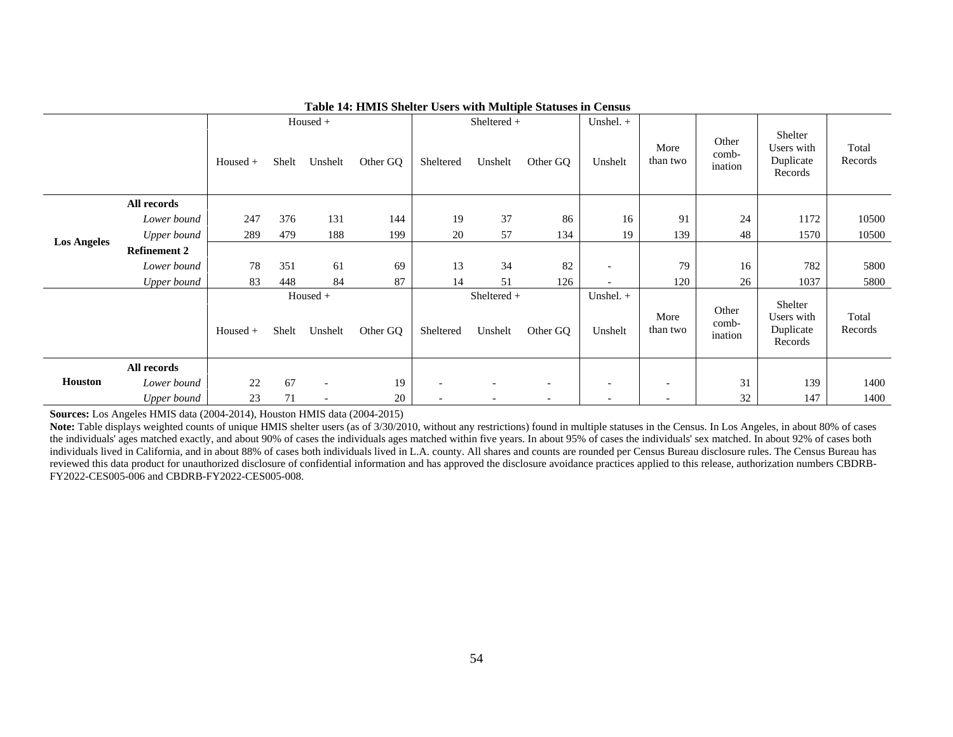|                    |                     |            |       | Housed +                 |          | Sheltered + |                        | Unshel. $+$              |                          |                  |                           |                                               |                  |
|--------------------|---------------------|------------|-------|--------------------------|----------|-------------|------------------------|--------------------------|--------------------------|------------------|---------------------------|-----------------------------------------------|------------------|
|                    |                     | Housed +   | Shelt | Unshelt                  | Other GQ | Sheltered   | Unshelt                | Other GQ                 | Unshelt                  | More<br>than two | Other<br>comb-<br>ination | Shelter<br>Users with<br>Duplicate<br>Records | Total<br>Records |
|                    | All records         |            |       |                          |          |             |                        |                          |                          |                  |                           |                                               |                  |
|                    | Lower bound         | 247        | 376   | 131                      | 144      | 19          | 37                     | 86                       | 16                       | 91               | 24                        | 1172                                          | 10500            |
| <b>Los Angeles</b> | Upper bound         | 289        | 479   | 188                      | 199      | 20          | 57                     | 134                      | 19                       | 139              | 48                        | 1570                                          | 10500            |
|                    | <b>Refinement 2</b> |            |       |                          |          |             |                        |                          |                          |                  |                           |                                               |                  |
|                    | Lower bound         | 78         | 351   | 61                       | 69       | 13          | 34                     | 82                       | $\overline{\phantom{a}}$ | 79               | 16                        | 782                                           | 5800             |
|                    | Upper bound         | 83         | 448   | 84                       | 87       | 14          | 51                     | 126                      |                          | 120              | 26                        | 1037                                          | 5800             |
|                    |                     | $Housed +$ | Shelt | $Housed +$<br>Unshelt    | Other GQ | Sheltered   | Sheltered +<br>Unshelt | Other GQ                 | Unshel. $+$<br>Unshelt   | More<br>than two | Other<br>comb-<br>ination | Shelter<br>Users with<br>Duplicate<br>Records | Total<br>Records |
|                    | All records         |            |       |                          |          |             |                        |                          |                          |                  |                           |                                               |                  |
| <b>Houston</b>     | Lower bound         | 22         | 67    | $\overline{a}$           | 19       |             |                        | $\overline{\phantom{a}}$ |                          |                  | 31                        | 139                                           | 1400             |
|                    | Upper bound         | 23         | 71    | $\overline{\phantom{a}}$ | 20       |             |                        |                          |                          |                  | 32                        | 147                                           | 1400             |

#### **Table 14: HMIS Shelter Users with Multiple Statuses in Census**

**Sources:** Los Angeles HMIS data (2004-2014), Houston HMIS data (2004-2015)

Note: Table displays weighted counts of unique HMIS shelter users (as of 3/30/2010, without any restrictions) found in multiple statuses in the Census. In Los Angeles, in about 80% of cases the individuals' ages matched exactly, and about 90% of cases the individuals ages matched within five years. In about 95% of cases the individuals' sex matched. In about 92% of cases both individuals lived in California, and in about 88% of cases both individuals lived in L.A. county. All shares and counts are rounded per Census Bureau disclosure rules. The Census Bureau has reviewed this data product for unauthorized disclosure of confidential information and has approved the disclosure avoidance practices applied to this release, authorization numbers CBDRB-FY2022-CES005-006 and CBDRB-FY2022-CES005-008.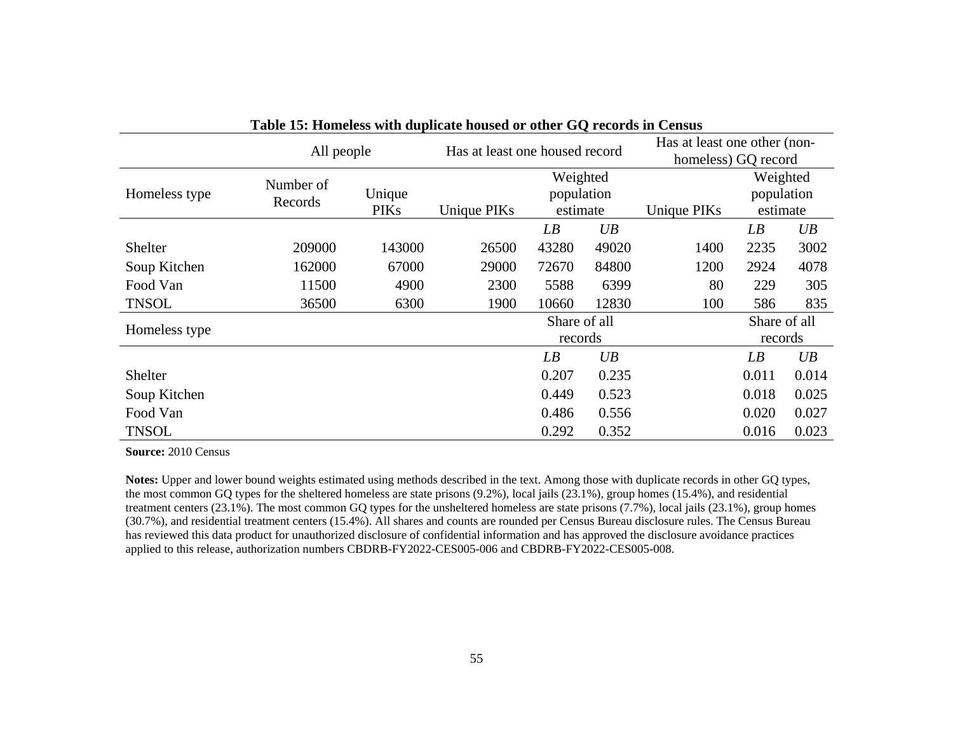| Table 15. Homeless with unplicate housed of other GQ Fecorus in Census |                      |                       |                                                                  |                 |       |                                    |                                                     |       |  |
|------------------------------------------------------------------------|----------------------|-----------------------|------------------------------------------------------------------|-----------------|-------|------------------------------------|-----------------------------------------------------|-------|--|
|                                                                        | All people           |                       | Has at least one housed record                                   |                 |       |                                    | Has at least one other (non-<br>homeless) GQ record |       |  |
| Homeless type                                                          | Number of<br>Records | Unique<br><b>PIKs</b> | Weighted<br>population<br>estimate<br>Unique PIKs<br>Unique PIKs |                 |       | Weighted<br>population<br>estimate |                                                     |       |  |
|                                                                        |                      |                       |                                                                  | $\overline{LB}$ | UB    |                                    | LB                                                  | UB    |  |
| Shelter                                                                | 209000               | 143000                | 26500                                                            | 43280           | 49020 | 1400                               | 2235                                                | 3002  |  |
| Soup Kitchen                                                           | 162000               | 67000                 | 29000                                                            | 72670           | 84800 | 1200                               | 2924                                                | 4078  |  |
| Food Van                                                               | 11500                | 4900                  | 2300                                                             | 5588            | 6399  | 80                                 | 229                                                 | 305   |  |
| <b>TNSOL</b>                                                           | 36500                | 6300                  | 1900                                                             | 10660           | 12830 | 100                                | 586                                                 | 835   |  |
| Homeless type                                                          |                      |                       |                                                                  | Share of all    |       |                                    | Share of all                                        |       |  |
|                                                                        |                      |                       |                                                                  | records         |       |                                    | records                                             |       |  |
|                                                                        |                      |                       |                                                                  | LB              | UB    |                                    | LB                                                  | UB    |  |
| Shelter                                                                |                      |                       |                                                                  | 0.207           | 0.235 |                                    | 0.011                                               | 0.014 |  |
| Soup Kitchen                                                           |                      |                       |                                                                  | 0.449           | 0.523 |                                    | 0.018                                               | 0.025 |  |
| Food Van                                                               |                      |                       |                                                                  | 0.486           | 0.556 |                                    | 0.020                                               | 0.027 |  |
| <b>TNSOL</b>                                                           |                      |                       |                                                                  | 0.292           | 0.352 |                                    | 0.016                                               | 0.023 |  |

**Table 15: Homeless with duplicate housed or other GQ records in Census**

**Source:** 2010 Census

**Notes:** Upper and lower bound weights estimated using methods described in the text. Among those with duplicate records in other GQ types, the most common GQ types for the sheltered homeless are state prisons (9.2%), local jails (23.1%), group homes (15.4%), and residential treatment centers (23.1%). The most common GQ types for the unsheltered homeless are state prisons (7.7%), local jails (23.1%), group homes (30.7%), and residential treatment centers (15.4%). All shares and counts are rounded per Census Bureau disclosure rules. The Census Bureau has reviewed this data product for unauthorized disclosure of confidential information and has approved the disclosure avoidance practices applied to this release, authorization numbers CBDRB-FY2022-CES005-006 and CBDRB-FY2022-CES005-008.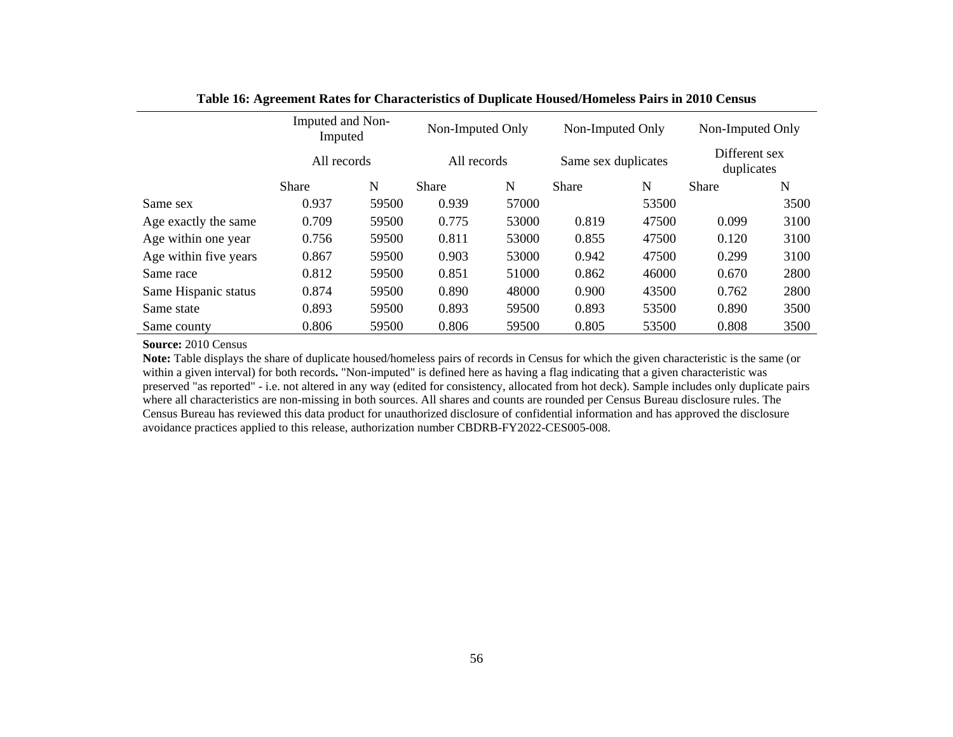|                       | Imputed and Non-<br>Imputed |             |              | Non-Imputed Only |              | Non-Imputed Only    |              | Non-Imputed Only            |  |
|-----------------------|-----------------------------|-------------|--------------|------------------|--------------|---------------------|--------------|-----------------------------|--|
|                       |                             | All records |              | All records      |              | Same sex duplicates |              | Different sex<br>duplicates |  |
|                       | <b>Share</b>                | N           | <b>Share</b> | N                | <b>Share</b> | N                   | <b>Share</b> | N                           |  |
| Same sex              | 0.937                       | 59500       | 0.939        | 57000            |              | 53500               |              | 3500                        |  |
| Age exactly the same  | 0.709                       | 59500       | 0.775        | 53000            | 0.819        | 47500               | 0.099        | 3100                        |  |
| Age within one year   | 0.756                       | 59500       | 0.811        | 53000            | 0.855        | 47500               | 0.120        | 3100                        |  |
| Age within five years | 0.867                       | 59500       | 0.903        | 53000            | 0.942        | 47500               | 0.299        | 3100                        |  |
| Same race             | 0.812                       | 59500       | 0.851        | 51000            | 0.862        | 46000               | 0.670        | 2800                        |  |
| Same Hispanic status  | 0.874                       | 59500       | 0.890        | 48000            | 0.900        | 43500               | 0.762        | 2800                        |  |
| Same state            | 0.893                       | 59500       | 0.893        | 59500            | 0.893        | 53500               | 0.890        | 3500                        |  |
| Same county           | 0.806                       | 59500       | 0.806        | 59500            | 0.805        | 53500               | 0.808        | 3500                        |  |

**Table 16: Agreement Rates for Characteristics of Duplicate Housed/Homeless Pairs in 2010 Census**

**Source:** 2010 Census

**Note:** Table displays the share of duplicate housed/homeless pairs of records in Census for which the given characteristic is the same (or within a given interval) for both records**.** "Non-imputed" is defined here as having a flag indicating that a given characteristic was preserved "as reported" - i.e. not altered in any way (edited for consistency, allocated from hot deck). Sample includes only duplicate pairs where all characteristics are non-missing in both sources. All shares and counts are rounded per Census Bureau disclosure rules. The Census Bureau has reviewed this data product for unauthorized disclosure of confidential information and has approved the disclosure avoidance practices applied to this release, authorization number CBDRB-FY2022-CES005-008.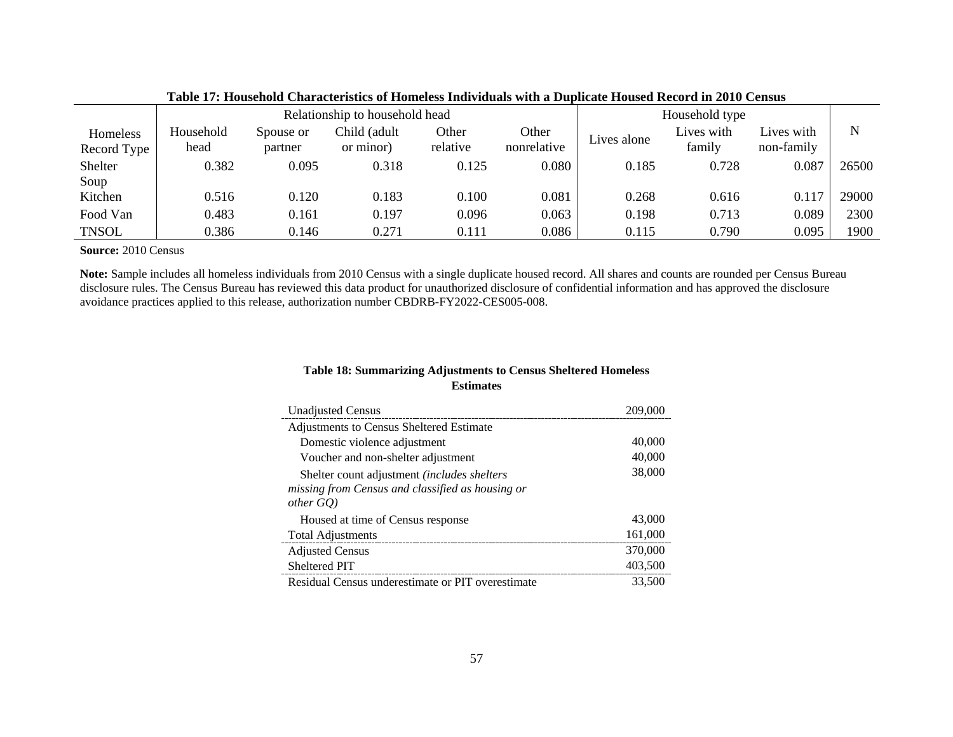|                         | Relationship to household head |                      |                          |                   |                      |             | Household type       |                          |       |
|-------------------------|--------------------------------|----------------------|--------------------------|-------------------|----------------------|-------------|----------------------|--------------------------|-------|
| Homeless<br>Record Type | Household<br>head              | Spouse or<br>partner | Child (adult<br>or minor | Other<br>relative | Other<br>nonrelative | Lives alone | Lives with<br>family | Lives with<br>non-family | N     |
| Shelter                 | 0.382                          | 0.095                | 0.318                    | 0.125             | 0.080                | 0.185       | 0.728                | 0.087                    | 26500 |
| Soup<br>Kitchen         | 0.516                          | 0.120                | 0.183                    | 0.100             | 0.081                | 0.268       | 0.616                | 0.117                    | 29000 |
| Food Van                | 0.483                          | 0.161                | 0.197                    | 0.096             | 0.063                | 0.198       | 0.713                | 0.089                    | 2300  |
| <b>TNSOL</b>            | 0.386                          | 0.146                | 0.271                    | 0.111             | 0.086                | 0.115       | 0.790                | 0.095                    | 1900  |

#### **Table 17: Household Characteristics of Homeless Individuals with a Duplicate Housed Record in 2010 Census**

**Source:** 2010 Census

**Note:** Sample includes all homeless individuals from 2010 Census with a single duplicate housed record. All shares and counts are rounded per Census Bureau disclosure rules. The Census Bureau has reviewed this data product for unauthorized disclosure of confidential information and has approved the disclosure avoidance practices applied to this release, authorization number CBDRB-FY2022-CES005-008.

# **Table 18: Summarizing Adjustments to Census Sheltered Homeless Estimates**

| <b>Unadjusted Census</b>                             | 209,000 |
|------------------------------------------------------|---------|
| Adjustments to Census Sheltered Estimate             |         |
| Domestic violence adjustment                         | 40,000  |
| Voucher and non-shelter adjustment                   | 40,000  |
| Shelter count adjustment <i>(includes shelters</i> ) | 38,000  |
| missing from Census and classified as housing or     |         |
| $other\,GQ$ )                                        |         |
| Housed at time of Census response                    | 43,000  |
| <b>Total Adjustments</b>                             | 161,000 |
| <b>Adjusted Census</b>                               | 370,000 |
| Sheltered PIT                                        | 403,500 |
| Residual Census underestimate or PIT overestimate    | 33,500  |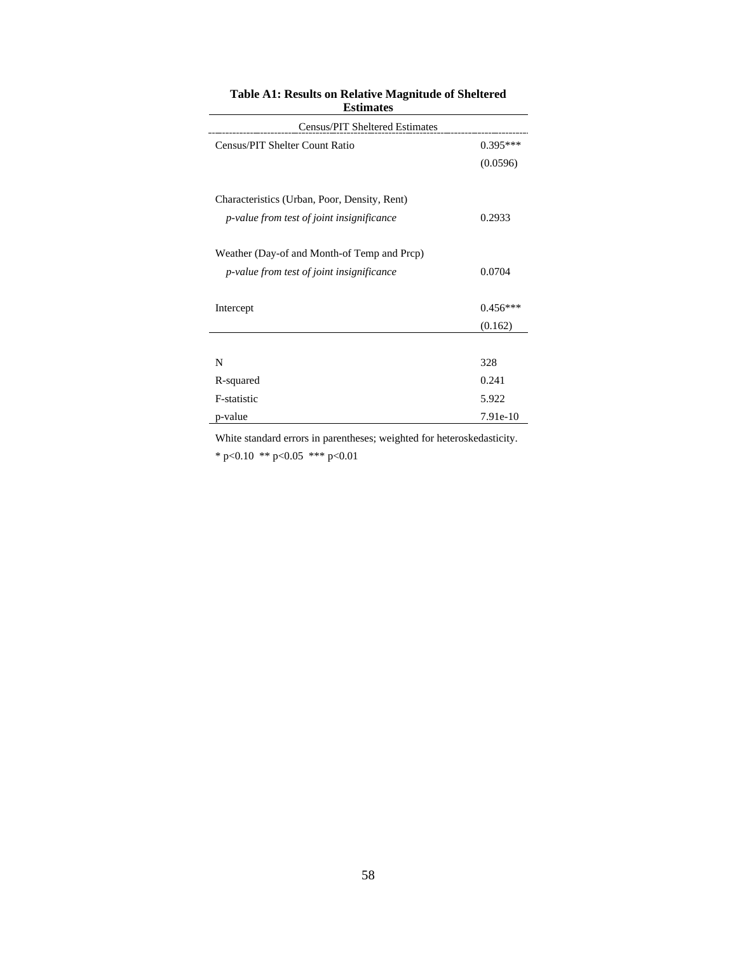| <b>Census/PIT Sheltered Estimates</b>            |            |
|--------------------------------------------------|------------|
| Census/PIT Shelter Count Ratio                   | $0.395***$ |
|                                                  | (0.0596)   |
| Characteristics (Urban, Poor, Density, Rent)     |            |
| <i>p-value from test of joint insignificance</i> | 0.2933     |
| Weather (Day-of and Month-of Temp and Prcp)      |            |
| <i>p-value from test of joint insignificance</i> | 0.0704     |
| Intercept                                        | $0.456***$ |
|                                                  | (0.162)    |
|                                                  |            |
| N                                                | 328        |
| R-squared                                        | 0.241      |
| F-statistic                                      | 5.922      |
| p-value                                          | 7.91e-10   |

### **Table A1: Results on Relative Magnitude of Sheltered Estimates**

White standard errors in parentheses; weighted for heteroskedasticity.

\* p<0.10 \*\* p<0.05 \*\*\* p<0.01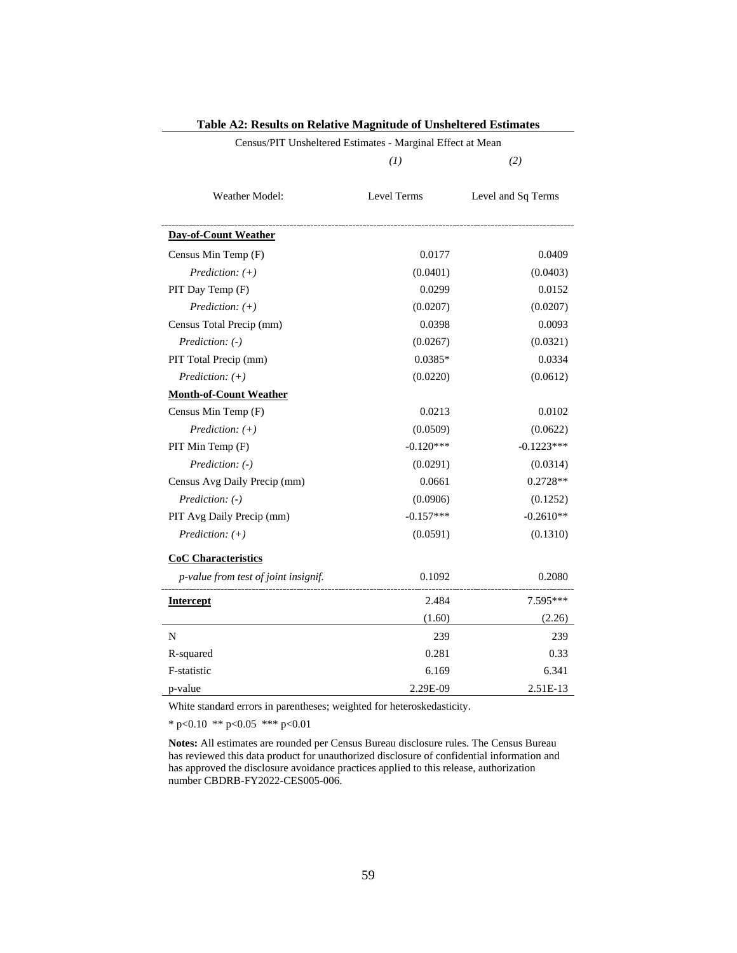|                                      | (I)         | (2)                |  |
|--------------------------------------|-------------|--------------------|--|
| <b>Weather Model:</b>                | Level Terms | Level and Sq Terms |  |
| <b>Day-of-Count Weather</b>          |             |                    |  |
| Census Min Temp (F)                  | 0.0177      | 0.0409             |  |
| Prediction: $(+)$                    | (0.0401)    | (0.0403)           |  |
| PIT Day Temp (F)                     | 0.0299      | 0.0152             |  |
| Prediction: $(+)$                    | (0.0207)    | (0.0207)           |  |
| Census Total Precip (mm)             | 0.0398      | 0.0093             |  |
| Prediction: (-)                      | (0.0267)    | (0.0321)           |  |
| PIT Total Precip (mm)                | $0.0385*$   | 0.0334             |  |
| Prediction: $(+)$                    | (0.0220)    | (0.0612)           |  |
| <b>Month-of-Count Weather</b>        |             |                    |  |
| Census Min Temp (F)                  | 0.0213      | 0.0102             |  |
| Prediction: $(+)$                    | (0.0509)    | (0.0622)           |  |
| PIT Min Temp (F)                     | $-0.120***$ | $-0.1223***$       |  |
| Prediction: (-)                      | (0.0291)    | (0.0314)           |  |
| Census Avg Daily Precip (mm)         | 0.0661      | $0.2728**$         |  |
| Prediction: (-)                      | (0.0906)    | (0.1252)           |  |
| PIT Avg Daily Precip (mm)            | $-0.157***$ | $-0.2610**$        |  |
| Prediction: $(+)$                    | (0.0591)    | (0.1310)           |  |
| <b>CoC Characteristics</b>           |             |                    |  |
| p-value from test of joint insignif. | 0.1092      | 0.2080             |  |
| <b>Intercept</b>                     | 2.484       | 7.595***           |  |
|                                      | (1.60)      | (2.26)             |  |
| N                                    | 239         | 239                |  |
| R-squared                            | 0.281       | 0.33               |  |
| F-statistic                          | 6.169       | 6.341              |  |
| p-value                              | 2.29E-09    | 2.51E-13           |  |

| <b>Table A2: Results on Relative Magnitude of Unsheltered Estimates</b> |  |
|-------------------------------------------------------------------------|--|
| Census/PIT Unsheltered Estimates - Marginal Effect at Mean              |  |

White standard errors in parentheses; weighted for heteroskedasticity.

\* p<0.10 \*\* p<0.05 \*\*\* p<0.01

**Notes:** All estimates are rounded per Census Bureau disclosure rules. The Census Bureau has reviewed this data product for unauthorized disclosure of confidential information and has approved the disclosure avoidance practices applied to this release, authorization number CBDRB-FY2022-CES005-006.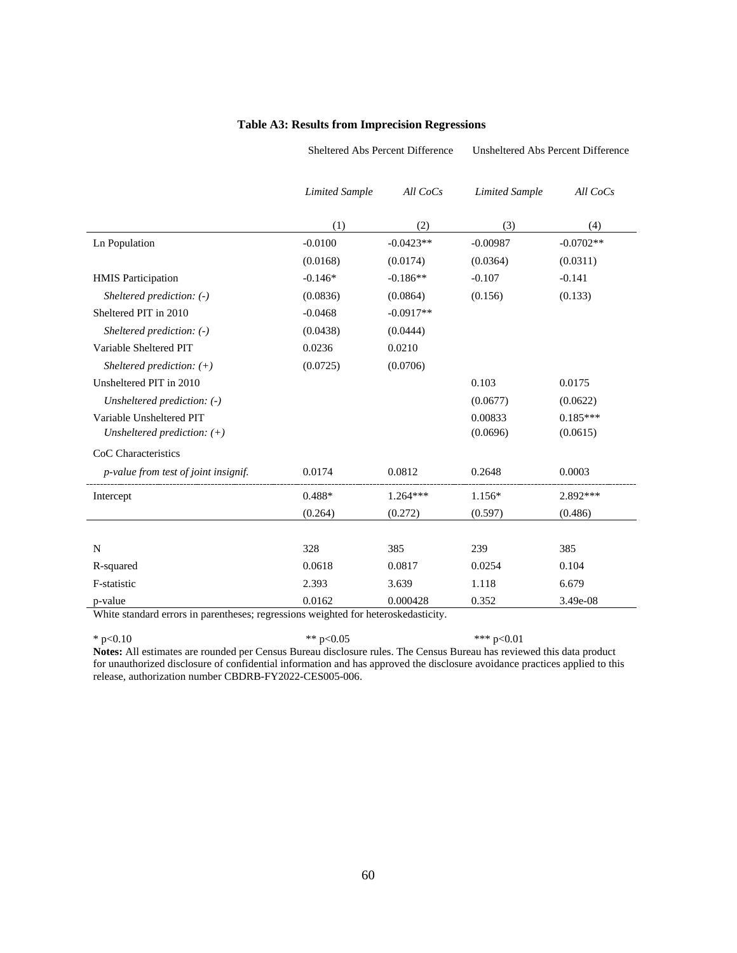#### **Table A3: Results from Imprecision Regressions**

Sheltered Abs Percent Difference Unsheltered Abs Percent Difference

|                                      | <b>Limited Sample</b> | All CoCs    | <b>Limited Sample</b> | All $CoCs$  |
|--------------------------------------|-----------------------|-------------|-----------------------|-------------|
|                                      | (1)                   | (2)         | (3)                   | (4)         |
| Ln Population                        | $-0.0100$             | $-0.0423**$ | $-0.00987$            | $-0.0702**$ |
|                                      | (0.0168)              | (0.0174)    | (0.0364)              | (0.0311)    |
| <b>HMIS</b> Participation            | $-0.146*$             | $-0.186**$  | $-0.107$              | $-0.141$    |
| Sheltered prediction: $(-)$          | (0.0836)              | (0.0864)    | (0.156)               | (0.133)     |
| Sheltered PIT in 2010                | $-0.0468$             | $-0.0917**$ |                       |             |
| Sheltered prediction: (-)            | (0.0438)              | (0.0444)    |                       |             |
| Variable Sheltered PIT               | 0.0236                | 0.0210      |                       |             |
| Sheltered prediction: $(+)$          | (0.0725)              | (0.0706)    |                       |             |
| Unsheltered PIT in 2010              |                       |             | 0.103                 | 0.0175      |
| Unsheltered prediction: (-)          |                       |             | (0.0677)              | (0.0622)    |
| Variable Unsheltered PIT             |                       |             | 0.00833               | $0.185***$  |
| Unsheltered prediction: $(+)$        |                       |             | (0.0696)              | (0.0615)    |
| CoC Characteristics                  |                       |             |                       |             |
| p-value from test of joint insignif. | 0.0174                | 0.0812      | 0.2648                | 0.0003      |
| Intercept                            | $0.488*$              | $1.264***$  | 1.156*                | 2.892 ***   |
|                                      | (0.264)               | (0.272)     | (0.597)               | (0.486)     |
|                                      |                       |             |                       |             |
| N                                    | 328                   | 385         | 239                   | 385         |
| R-squared                            | 0.0618                | 0.0817      | 0.0254                | 0.104       |
| F-statistic                          | 2.393                 | 3.639       | 1.118                 | 6.679       |
| p-value                              | 0.0162                | 0.000428    | 0.352                 | 3.49e-08    |

White standard errors in parentheses; regressions weighted for heteroskedasticity.

\* p<0.10  $*$  p <0.05  $*$   $*$  p  $\leq 0.01$ 

**Notes:** All estimates are rounded per Census Bureau disclosure rules. The Census Bureau has reviewed this data product for unauthorized disclosure of confidential information and has approved the disclosure avoidance practices applied to this release, authorization number CBDRB-FY2022-CES005-006.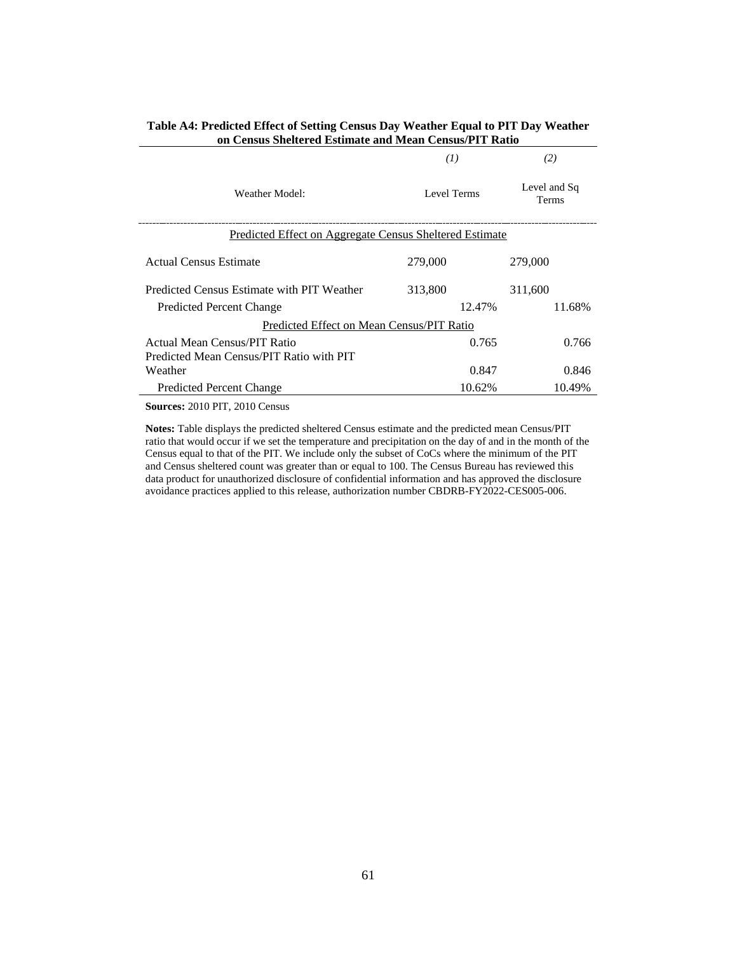|                                                                          | (I)         | (2)                          |
|--------------------------------------------------------------------------|-------------|------------------------------|
| Weather Model:                                                           | Level Terms | Level and Sq<br><b>Terms</b> |
| Predicted Effect on Aggregate Census Sheltered Estimate                  |             |                              |
| Actual Census Estimate                                                   | 279,000     | 279,000                      |
| Predicted Census Estimate with PIT Weather                               | 313,800     | 311,600                      |
| <b>Predicted Percent Change</b>                                          | 12.47%      | 11.68%                       |
| Predicted Effect on Mean Census/PIT Ratio                                |             |                              |
| Actual Mean Census/PIT Ratio<br>Predicted Mean Census/PIT Ratio with PIT | 0.765       | 0.766                        |
| Weather                                                                  | 0.847       | 0.846                        |
| <b>Predicted Percent Change</b>                                          | 10.62%      | 10.49%                       |

#### **Table A4: Predicted Effect of Setting Census Day Weather Equal to PIT Day Weather on Census Sheltered Estimate and Mean Census/PIT Ratio**

**Sources:** 2010 PIT, 2010 Census

**Notes:** Table displays the predicted sheltered Census estimate and the predicted mean Census/PIT ratio that would occur if we set the temperature and precipitation on the day of and in the month of the Census equal to that of the PIT. We include only the subset of CoCs where the minimum of the PIT and Census sheltered count was greater than or equal to 100. The Census Bureau has reviewed this data product for unauthorized disclosure of confidential information and has approved the disclosure avoidance practices applied to this release, authorization number CBDRB-FY2022-CES005-006.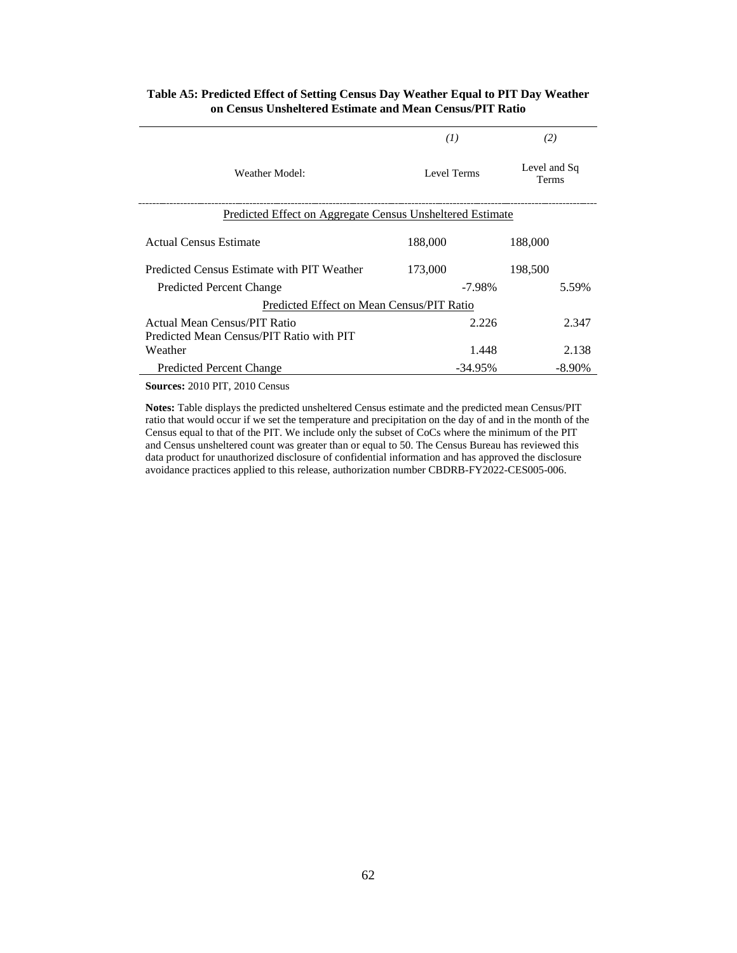|                                                                  | (I)                                  | (2)       |  |  |  |  |  |  |
|------------------------------------------------------------------|--------------------------------------|-----------|--|--|--|--|--|--|
| Weather Model:                                                   | Level and Sq<br>Level Terms<br>Terms |           |  |  |  |  |  |  |
| <u>Predicted Effect on Aggregate Census Unsheltered Estimate</u> |                                      |           |  |  |  |  |  |  |
| Actual Census Estimate                                           | 188,000                              | 188,000   |  |  |  |  |  |  |
| Predicted Census Estimate with PIT Weather                       | 173,000<br>198,500                   |           |  |  |  |  |  |  |
| <b>Predicted Percent Change</b>                                  | $-7.98\%$<br>5.59%                   |           |  |  |  |  |  |  |
| Predicted Effect on Mean Census/PIT Ratio                        |                                      |           |  |  |  |  |  |  |
| Actual Mean Census/PIT Ratio                                     | 2.226                                | 2.347     |  |  |  |  |  |  |
| Predicted Mean Census/PIT Ratio with PIT                         |                                      |           |  |  |  |  |  |  |
| Weather                                                          | 1.448                                | 2.138     |  |  |  |  |  |  |
| <b>Predicted Percent Change</b>                                  | -34.95%                              | $-8.90\%$ |  |  |  |  |  |  |

# **Table A5: Predicted Effect of Setting Census Day Weather Equal to PIT Day Weather on Census Unsheltered Estimate and Mean Census/PIT Ratio**

**Sources:** 2010 PIT, 2010 Census

**Notes:** Table displays the predicted unsheltered Census estimate and the predicted mean Census/PIT ratio that would occur if we set the temperature and precipitation on the day of and in the month of the Census equal to that of the PIT. We include only the subset of CoCs where the minimum of the PIT and Census unsheltered count was greater than or equal to 50. The Census Bureau has reviewed this data product for unauthorized disclosure of confidential information and has approved the disclosure avoidance practices applied to this release, authorization number CBDRB-FY2022-CES005-006.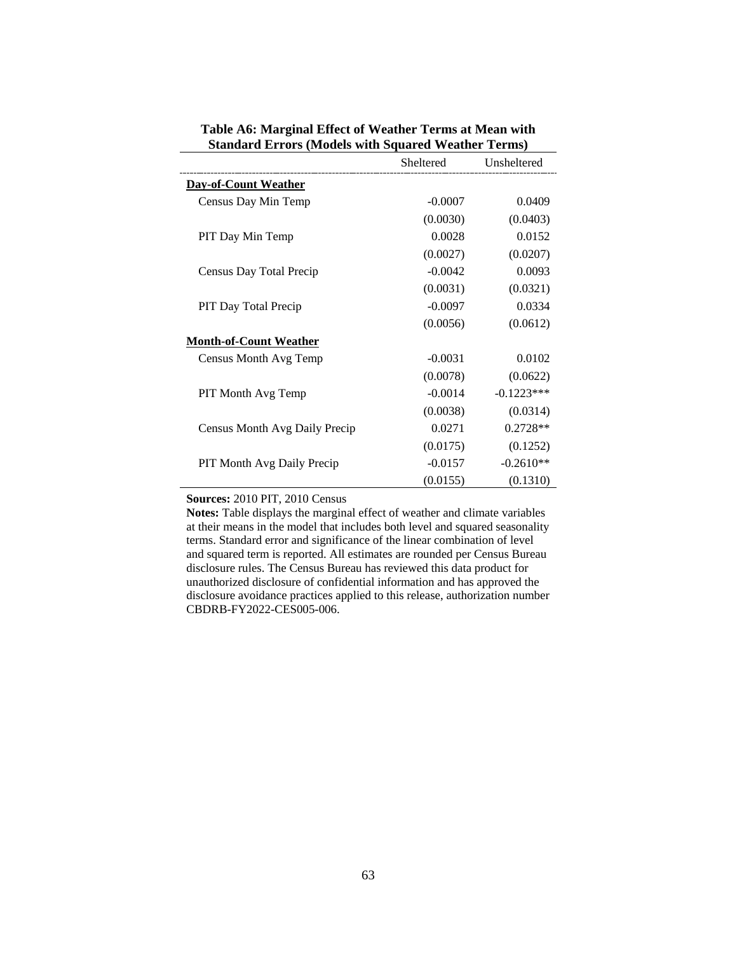|                                   | Sheltered Unsheltered |              |
|-----------------------------------|-----------------------|--------------|
| <b>Day-of-Count Weather</b>       |                       |              |
| Census Day Min Temp               | $-0.0007$             | 0.0409       |
|                                   | (0.0030)              | (0.0403)     |
| PIT Day Min Temp                  | 0.0028                | 0.0152       |
|                                   | (0.0027)              | (0.0207)     |
| Census Day Total Precip           | $-0.0042$             | 0.0093       |
|                                   | (0.0031)              | (0.0321)     |
| PIT Day Total Precip              | $-0.0097$             | 0.0334       |
|                                   | (0.0056)              | (0.0612)     |
| <b>Month-of-Count Weather</b>     |                       |              |
| Census Month Avg Temp             | $-0.0031$             | 0.0102       |
|                                   | (0.0078)              | (0.0622)     |
| PIT Month Avg Temp                | $-0.0014$             | $-0.1223***$ |
|                                   | (0.0038)              | (0.0314)     |
| Census Month Avg Daily Precip     | 0.0271                | $0.2728**$   |
|                                   | (0.0175)              | (0.1252)     |
| <b>PIT Month Avg Daily Precip</b> | $-0.0157$             | $-0.2610**$  |
|                                   | (0.0155)              | (0.1310)     |

**Table A6: Marginal Effect of Weather Terms at Mean with Standard Errors (Models with Squared Weather Terms)**

**Sources:** 2010 PIT, 2010 Census

**Notes:** Table displays the marginal effect of weather and climate variables at their means in the model that includes both level and squared seasonality terms. Standard error and significance of the linear combination of level and squared term is reported. All estimates are rounded per Census Bureau disclosure rules. The Census Bureau has reviewed this data product for unauthorized disclosure of confidential information and has approved the disclosure avoidance practices applied to this release, authorization number CBDRB-FY2022-CES005-006.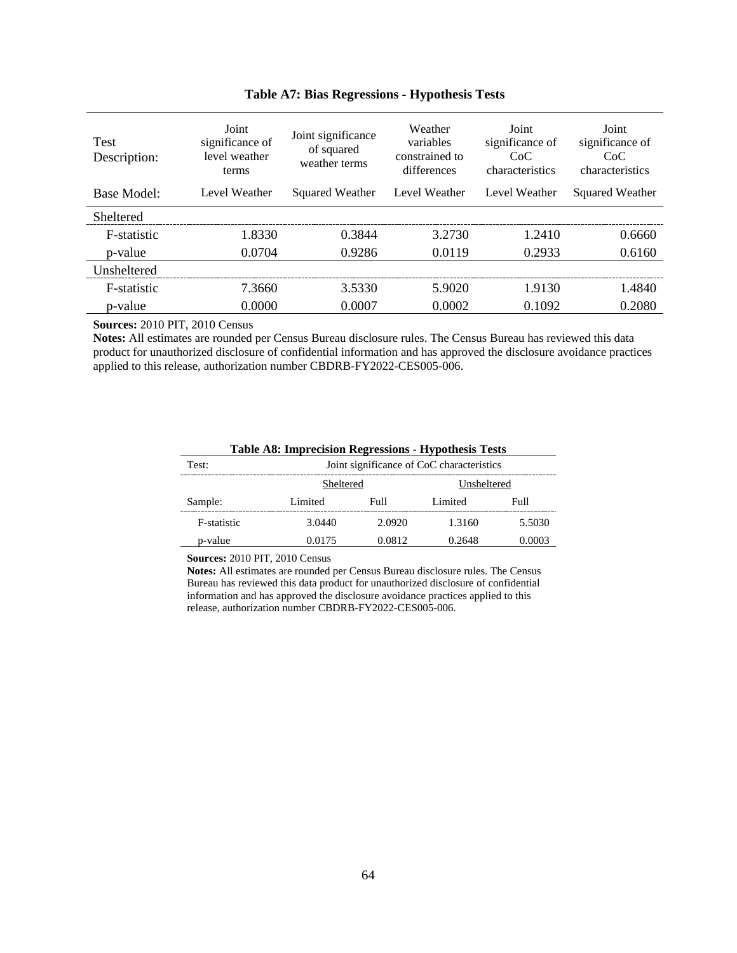| <b>Test</b><br>Description: | Joint<br>significance of<br>level weather<br>terms | Joint significance<br>of squared<br>weather terms | Weather<br>variables<br>constrained to<br>differences | Joint<br>significance of<br>CoC<br>characteristics | Joint<br>significance of<br>CoC<br>characteristics |  |
|-----------------------------|----------------------------------------------------|---------------------------------------------------|-------------------------------------------------------|----------------------------------------------------|----------------------------------------------------|--|
| Base Model:                 | Level Weather                                      | Squared Weather                                   | Level Weather                                         | Level Weather                                      | Squared Weather                                    |  |
| Sheltered                   |                                                    |                                                   |                                                       |                                                    |                                                    |  |
| F-statistic                 | 1.8330                                             | 0.3844                                            | 3.2730                                                | 1.2410                                             | 0.6660                                             |  |
| p-value                     | 0.0704                                             | 0.9286                                            | 0.0119                                                | 0.2933                                             | 0.6160                                             |  |
| <b>Unsheltered</b>          |                                                    |                                                   |                                                       |                                                    |                                                    |  |
| F-statistic                 | 7.3660                                             | 3.5330                                            | 5.9020                                                | 1.9130                                             | 1.4840                                             |  |
| p-value                     | 0.0000                                             | 0.0007                                            | 0.0002                                                | 0.1092                                             | 0.2080                                             |  |

# **Table A7: Bias Regressions - Hypothesis Tests**

**Sources:** 2010 PIT, 2010 Census

**Notes:** All estimates are rounded per Census Bureau disclosure rules. The Census Bureau has reviewed this data product for unauthorized disclosure of confidential information and has approved the disclosure avoidance practices applied to this release, authorization number CBDRB-FY2022-CES005-006.

| Table A8: Imprecision Regressions - Hypothesis Tests |                                           |        |         |        |  |  |  |  |  |
|------------------------------------------------------|-------------------------------------------|--------|---------|--------|--|--|--|--|--|
| Test:                                                | Joint significance of CoC characteristics |        |         |        |  |  |  |  |  |
|                                                      | Unsheltered<br>Sheltered                  |        |         |        |  |  |  |  |  |
| Sample:                                              | Limited                                   | Full   | Limited | Full   |  |  |  |  |  |
| F-statistic                                          | 3.0440                                    | 2.0920 | 1.3160  | 5.5030 |  |  |  |  |  |
| p-value                                              | 0.0175                                    | 0.0812 | 0.2648  | 0.0003 |  |  |  |  |  |

#### **Table A8: Imprecision Regressions - Hypothesis Tests**

**Sources:** 2010 PIT, 2010 Census

**Notes:** All estimates are rounded per Census Bureau disclosure rules. The Census Bureau has reviewed this data product for unauthorized disclosure of confidential information and has approved the disclosure avoidance practices applied to this release, authorization number CBDRB-FY2022-CES005-006.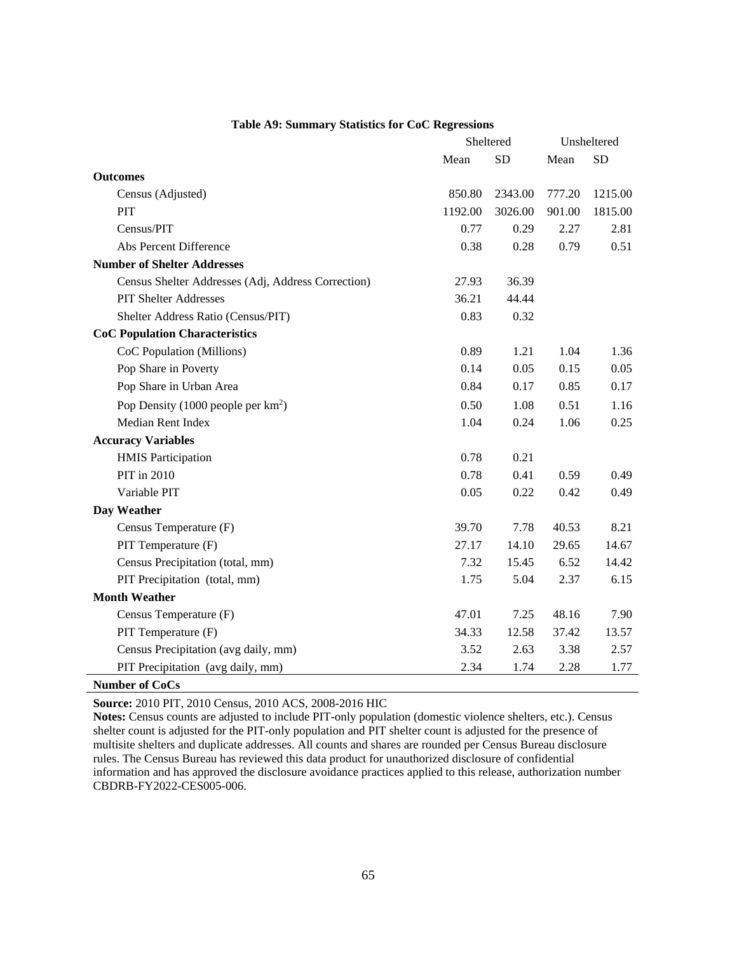|                                                    | Sheltered | Unsheltered |        |           |
|----------------------------------------------------|-----------|-------------|--------|-----------|
|                                                    | Mean      | <b>SD</b>   | Mean   | <b>SD</b> |
| <b>Outcomes</b>                                    |           |             |        |           |
| Census (Adjusted)                                  | 850.80    | 2343.00     | 777.20 | 1215.00   |
| PIT                                                | 1192.00   | 3026.00     | 901.00 | 1815.00   |
| Census/PIT                                         | 0.77      | 0.29        | 2.27   | 2.81      |
| Abs Percent Difference                             | 0.38      | 0.28        | 0.79   | 0.51      |
| <b>Number of Shelter Addresses</b>                 |           |             |        |           |
| Census Shelter Addresses (Adj, Address Correction) | 27.93     | 36.39       |        |           |
| <b>PIT Shelter Addresses</b>                       | 36.21     | 44.44       |        |           |
| Shelter Address Ratio (Census/PIT)                 | 0.83      | 0.32        |        |           |
| <b>CoC Population Characteristics</b>              |           |             |        |           |
| CoC Population (Millions)                          | 0.89      | 1.21        | 1.04   | 1.36      |
| Pop Share in Poverty                               | 0.14      | 0.05        | 0.15   | 0.05      |
| Pop Share in Urban Area                            | 0.84      | 0.17        | 0.85   | 0.17      |
| Pop Density (1000 people per km <sup>2</sup> )     | 0.50      | 1.08        | 0.51   | 1.16      |
| Median Rent Index                                  | 1.04      | 0.24        | 1.06   | 0.25      |
| <b>Accuracy Variables</b>                          |           |             |        |           |
| <b>HMIS Participation</b>                          | 0.78      | 0.21        |        |           |
| PIT in 2010                                        | 0.78      | 0.41        | 0.59   | 0.49      |
| Variable PIT                                       | 0.05      | 0.22        | 0.42   | 0.49      |
| Day Weather                                        |           |             |        |           |
| Census Temperature (F)                             | 39.70     | 7.78        | 40.53  | 8.21      |
| PIT Temperature (F)                                | 27.17     | 14.10       | 29.65  | 14.67     |
| Census Precipitation (total, mm)                   | 7.32      | 15.45       | 6.52   | 14.42     |
| PIT Precipitation (total, mm)                      | 1.75      | 5.04        | 2.37   | 6.15      |
| <b>Month Weather</b>                               |           |             |        |           |
| Census Temperature (F)                             | 47.01     | 7.25        | 48.16  | 7.90      |
| PIT Temperature (F)                                | 34.33     | 12.58       | 37.42  | 13.57     |
| Census Precipitation (avg daily, mm)               | 3.52      | 2.63        | 3.38   | 2.57      |
| PIT Precipitation (avg daily, mm)                  | 2.34      | 1.74        | 2.28   | 1.77      |
| <b>Number of CoCs</b>                              |           |             |        |           |

#### **Table A9: Summary Statistics for CoC Regressions**

**Source:** 2010 PIT, 2010 Census, 2010 ACS, 2008-2016 HIC

**Notes:** Census counts are adjusted to include PIT-only population (domestic violence shelters, etc.). Census shelter count is adjusted for the PIT-only population and PIT shelter count is adjusted for the presence of multisite shelters and duplicate addresses. All counts and shares are rounded per Census Bureau disclosure rules. The Census Bureau has reviewed this data product for unauthorized disclosure of confidential information and has approved the disclosure avoidance practices applied to this release, authorization number CBDRB-FY2022-CES005-006.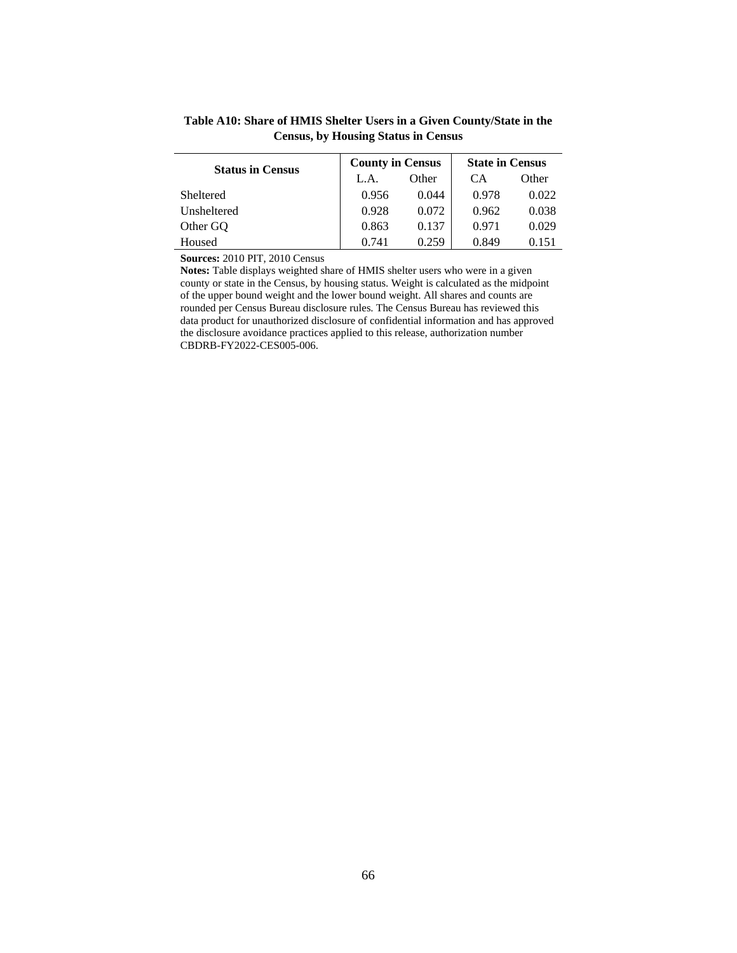| Census, by Housing Status in Census |                         |       |                        |       |  |  |  |  |  |
|-------------------------------------|-------------------------|-------|------------------------|-------|--|--|--|--|--|
| <b>Status in Census</b>             | <b>County in Census</b> |       | <b>State in Census</b> |       |  |  |  |  |  |
|                                     |                         | Other |                        | Other |  |  |  |  |  |
| Sheltered                           |                         |       |                        |       |  |  |  |  |  |

Unsheltered 0.928 0.072 0.962 0.038 Other GQ 0.863 0.137 0.971 0.029 Housed 0.741 0.259 0.849 0.151

# **Table A10: Share of HMIS Shelter Users in a Given County/State in the Census, by Housing Status in Census**

**Sources:** 2010 PIT, 2010 Census

**Notes:** Table displays weighted share of HMIS shelter users who were in a given county or state in the Census, by housing status. Weight is calculated as the midpoint of the upper bound weight and the lower bound weight. All shares and counts are rounded per Census Bureau disclosure rules. The Census Bureau has reviewed this data product for unauthorized disclosure of confidential information and has approved the disclosure avoidance practices applied to this release, authorization number CBDRB-FY2022-CES005-006.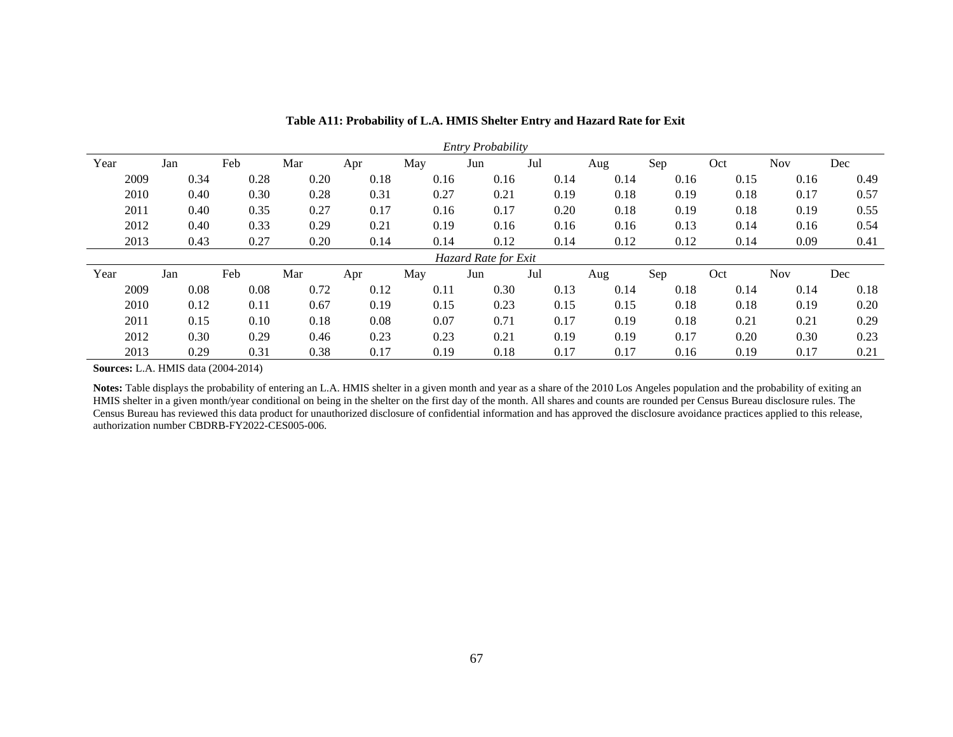| Entry Probability |     |      |      |      |      |      |                      |      |      |      |      |            |      |
|-------------------|-----|------|------|------|------|------|----------------------|------|------|------|------|------------|------|
| Year              | Jan |      | Feb  | Mar  | Apr  | May  | Jun                  | Jul  | Aug  | Sep  | Oct  | <b>Nov</b> | Dec  |
| 2009              |     | 0.34 | 0.28 | 0.20 | 0.18 | 0.16 | 0.16                 | 0.14 | 0.14 | 0.16 | 0.15 | 0.16       | 0.49 |
| 2010              |     | 0.40 | 0.30 | 0.28 | 0.31 | 0.27 | 0.21                 | 0.19 | 0.18 | 0.19 | 0.18 | 0.17       | 0.57 |
| 2011              |     | 0.40 | 0.35 | 0.27 | 0.17 | 0.16 | 0.17                 | 0.20 | 0.18 | 0.19 | 0.18 | 0.19       | 0.55 |
| 2012              |     | 0.40 | 0.33 | 0.29 | 0.21 | 0.19 | 0.16                 | 0.16 | 0.16 | 0.13 | 0.14 | 0.16       | 0.54 |
| 2013              |     | 0.43 | 0.27 | 0.20 | 0.14 | 0.14 | 0.12                 | 0.14 | 0.12 | 0.12 | 0.14 | 0.09       | 0.41 |
|                   |     |      |      |      |      |      | Hazard Rate for Exit |      |      |      |      |            |      |
| Year              | Jan |      | Feb  | Mar  | Apr  | May  | Jun                  | Jul  | Aug  | Sep  | Oct  | <b>Nov</b> | Dec  |
| 2009              |     | 0.08 | 0.08 | 0.72 | 0.12 | 0.11 | 0.30                 | 0.13 | 0.14 | 0.18 | 0.14 | 0.14       | 0.18 |
| 2010              |     | 0.12 | 0.11 | 0.67 | 0.19 | 0.15 | 0.23                 | 0.15 | 0.15 | 0.18 | 0.18 | 0.19       | 0.20 |
| 2011              |     | 0.15 | 0.10 | 0.18 | 0.08 | 0.07 | 0.71                 | 0.17 | 0.19 | 0.18 | 0.21 | 0.21       | 0.29 |
| 2012              |     | 0.30 | 0.29 | 0.46 | 0.23 | 0.23 | 0.21                 | 0.19 | 0.19 | 0.17 | 0.20 | 0.30       | 0.23 |
| 2013              |     | 0.29 | 0.31 | 0.38 | 0.17 | 0.19 | 0.18                 | 0.17 | 0.17 | 0.16 | 0.19 | 0.17       | 0.21 |

**Table A11: Probability of L.A. HMIS Shelter Entry and Hazard Rate for Exit**

**Sources:** L.A. HMIS data (2004-2014)

Notes: Table displays the probability of entering an L.A. HMIS shelter in a given month and year as a share of the 2010 Los Angeles population and the probability of exiting an HMIS shelter in a given month/year conditional on being in the shelter on the first day of the month. All shares and counts are rounded per Census Bureau disclosure rules. The Census Bureau has reviewed this data product for unauthorized disclosure of confidential information and has approved the disclosure avoidance practices applied to this release, authorization number CBDRB-FY2022-CES005-006.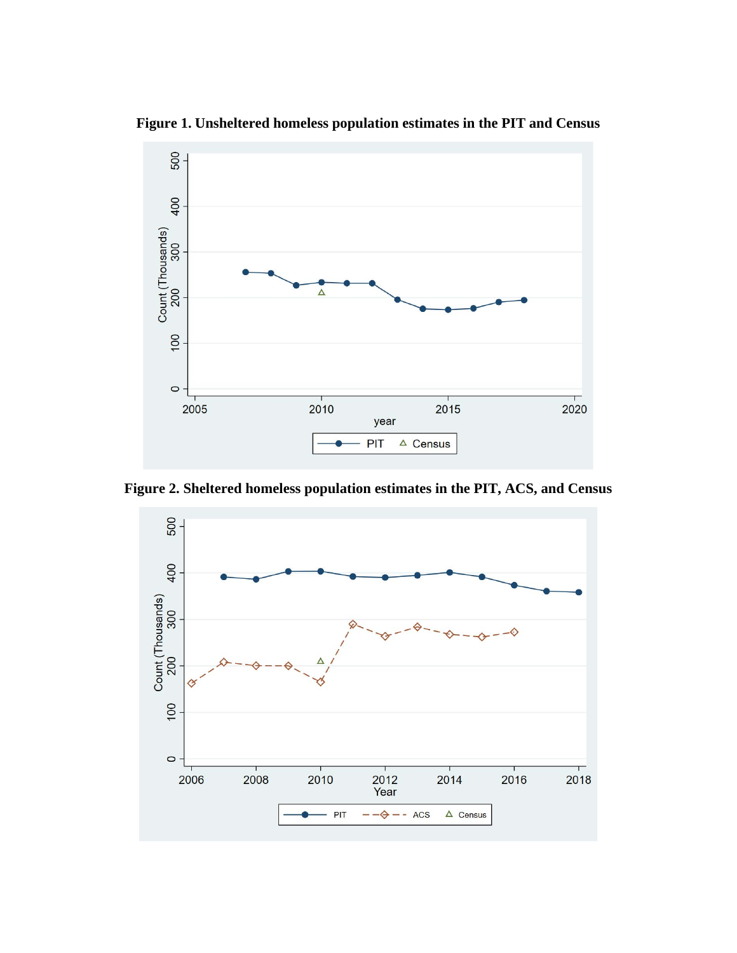

**Figure 1. Unsheltered homeless population estimates in the PIT and Census**

**Figure 2. Sheltered homeless population estimates in the PIT, ACS, and Census**

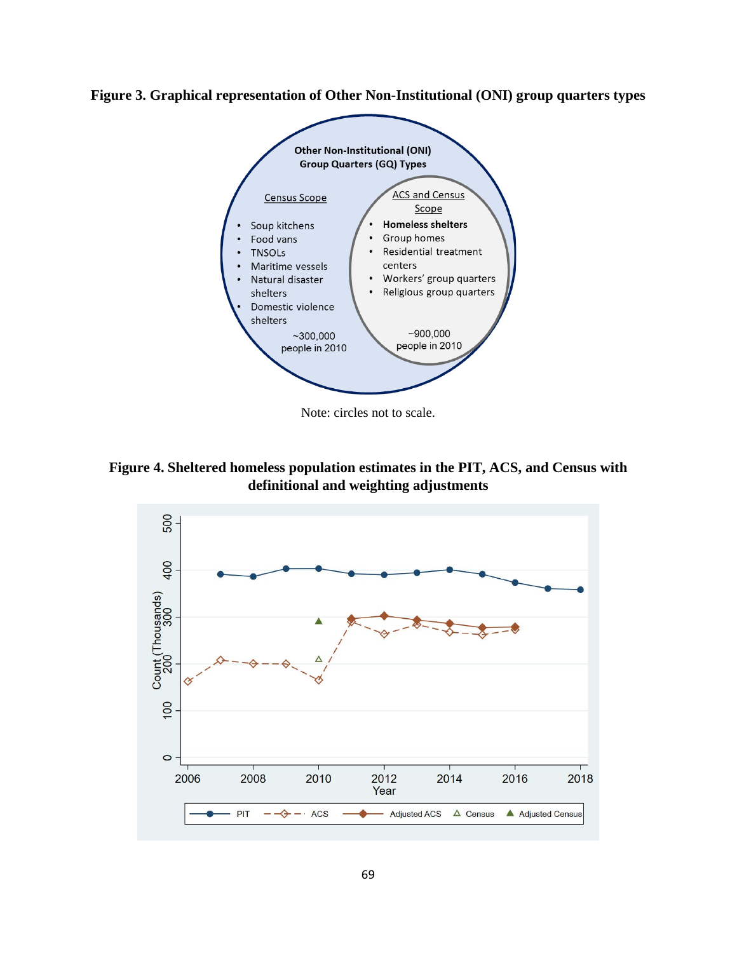



Note: circles not to scale.

**Figure 4. Sheltered homeless population estimates in the PIT, ACS, and Census with definitional and weighting adjustments**